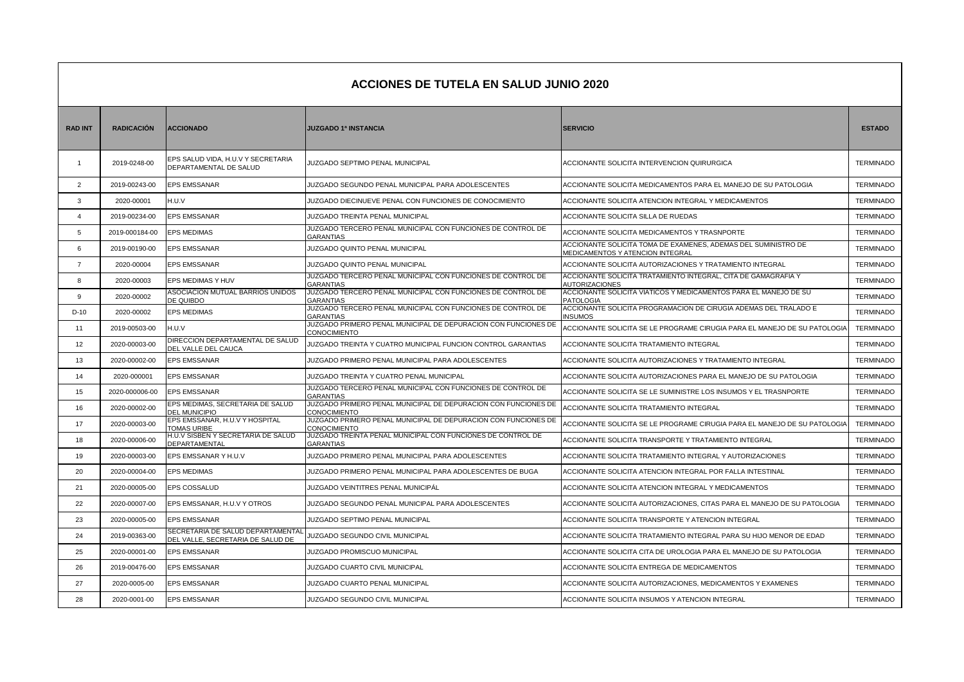|                | <b>ACCIONES DE TUTELA EN SALUD JUNIO 2020</b> |                                                                        |                                                                                 |                                                                                                    |                  |  |  |
|----------------|-----------------------------------------------|------------------------------------------------------------------------|---------------------------------------------------------------------------------|----------------------------------------------------------------------------------------------------|------------------|--|--|
| <b>RAD INT</b> | <b>RADICACIÓN</b>                             | <b>ACCIONADO</b>                                                       | <b>JUZGADO 1ª INSTANCIA</b>                                                     | <b>SERVICIO</b>                                                                                    | <b>ESTADO</b>    |  |  |
| -1             | 2019-0248-00                                  | EPS SALUD VIDA, H.U.V Y SECRETARIA<br>DEPARTAMENTAL DE SALUD           | JUZGADO SEPTIMO PENAL MUNICIPAL                                                 | ACCIONANTE SOLICITA INTERVENCION QUIRURGICA                                                        | <b>TERMINADO</b> |  |  |
| $\overline{2}$ | 2019-00243-00                                 | EPS EMSSANAR                                                           | JUZGADO SEGUNDO PENAL MUNICIPAL PARA ADOLESCENTES                               | ACCIONANTE SOLICITA MEDICAMENTOS PARA EL MANEJO DE SU PATOLOGIA                                    | <b>TERMINADO</b> |  |  |
| 3              | 2020-00001                                    | H.U.V                                                                  | JUZGADO DIECINUEVE PENAL CON FUNCIONES DE CONOCIMIENTO                          | ACCIONANTE SOLICITA ATENCION INTEGRAL Y MEDICAMENTOS                                               | <b>TERMINADO</b> |  |  |
| $\overline{4}$ | 2019-00234-00                                 | <b>EPS EMSSANAR</b>                                                    | JUZGADO TREINTA PENAL MUNICIPAL                                                 | ACCIONANTE SOLICITA SILLA DE RUEDAS                                                                | <b>TERMINADO</b> |  |  |
| 5              | 2019-000184-00                                | <b>EPS MEDIMAS</b>                                                     | JUZGADO TERCERO PENAL MUNICIPAL CON FUNCIONES DE CONTROL DE<br>GARANTIAS        | ACCIONANTE SOLICITA MEDICAMENTOS Y TRASNPORTE                                                      | <b>TERMINADO</b> |  |  |
| 6              | 2019-00190-00                                 | <b>EPS EMSSANAR</b>                                                    | JUZGADO QUINTO PENAL MUNICIPAL                                                  | ACCIONANTE SOLICITA TOMA DE EXAMENES, ADEMAS DEL SUMINISTRO DE<br>MEDICAMENTOS Y ATENCION INTEGRAL | <b>TERMINADO</b> |  |  |
| $\overline{7}$ | 2020-00004                                    | EPS EMSSANAR                                                           | JUZGADO QUINTO PENAL MUNICIPAL                                                  | ACCIONANTE SOLICITA AUTORIZACIONES Y TRATAMIENTO INTEGRAL                                          | <b>TERMINADO</b> |  |  |
| 8              | 2020-00003                                    | EPS MEDIMAS Y HUV                                                      | JUZGADO TERCERO PENAL MUNICIPAL CON FUNCIONES DE CONTROL DE<br><b>GARANTIAS</b> | ACCIONANTE SOLICITA TRATAMIENTO INTEGRAL, CITA DE GAMAGRAFIA Y<br><b>AUTORIZACIONES</b>            | <b>TERMINADO</b> |  |  |
| 9              | 2020-00002                                    | ASOCIACION MUTUAL BARRIOS UNIDOS<br>DE QUIBDO                          | JUZGADO TERCERO PENAL MUNICIPAL CON FUNCIONES DE CONTROL DE<br>GARANTIAS        | ACCIONANTE SOLICITA VIATICOS Y MEDICAMENTOS PARA EL MANEJO DE SU<br>PATOLOGIA                      | <b>TERMINADO</b> |  |  |
| $D-10$         | 2020-00002                                    | <b>EPS MEDIMAS</b>                                                     | JUZGADO TERCERO PENAL MUNICIPAL CON FUNCIONES DE CONTROL DE<br>GARANTIAS        | ACCIONANTE SOLICITA PROGRAMACION DE CIRUGIA ADEMAS DEL TRALADO E<br><b>INSUMOS</b>                 | <b>TERMINADO</b> |  |  |
| 11             | 2019-00503-00                                 | H.U.V                                                                  | JUZGADO PRIMERO PENAL MUNICIPAL DE DEPURACION CON FUNCIONES DE<br>CONOCIMIENTO  | ACCIONANTE SOLICITA SE LE PROGRAME CIRUGIA PARA EL MANEJO DE SU PATOLOGIA                          | TERMINADO        |  |  |
| 12             | 2020-00003-00                                 | DIRECCION DEPARTAMENTAL DE SALUD<br>DEL VALLE DEL CAUCA                | JUZGADO TREINTA Y CUATRO MUNICIPAL FUNCION CONTROL GARANTIAS                    | ACCIONANTE SOLICITA TRATAMIENTO INTEGRAL                                                           | <b>TERMINADO</b> |  |  |
| 13             | 2020-00002-00                                 | <b>EPS EMSSANAR</b>                                                    | JUZGADO PRIMERO PENAL MUNICIPAL PARA ADOLESCENTES                               | ACCIONANTE SOLICITA AUTORIZACIONES Y TRATAMIENTO INTEGRAL                                          | <b>TERMINADO</b> |  |  |
| 14             | 2020-000001                                   | <b>EPS EMSSANAR</b>                                                    | JUZGADO TREINTA Y CUATRO PENAL MUNICIPAL                                        | ACCIONANTE SOLICITA AUTORIZACIONES PARA EL MANEJO DE SU PATOLOGIA                                  | <b>TERMINADO</b> |  |  |
| 15             | 2020-000006-00                                | EPS EMSSANAR                                                           | JUZGADO TERCERO PENAL MUNICIPAL CON FUNCIONES DE CONTROL DE<br><b>GARANTIAS</b> | ACCIONANTE SOLICITA SE LE SUMINISTRE LOS INSUMOS Y EL TRASNPORTE                                   | <b>TERMINADO</b> |  |  |
| 16             | 2020-00002-00                                 | EPS MEDIMAS, SECRETARIA DE SALUD<br><b>DEL MUNICIPIO</b>               | JUZGADO PRIMERO PENAL MUNICIPAL DE DEPURACION CON FUNCIONES DE<br>CONOCIMIENTO  | ACCIONANTE SOLICITA TRATAMIENTO INTEGRAL                                                           | <b>TERMINADO</b> |  |  |
| 17             | 2020-00003-00                                 | EPS EMSSANAR, H.U.V Y HOSPITAL<br>TOMAS URIBE                          | JUZGADO PRIMERO PENAL MUNICIPAL DE DEPURACION CON FUNCIONES DE<br>CONOCIMIENTO  | ACCIONANTE SOLICITA SE LE PROGRAME CIRUGIA PARA EL MANEJO DE SU PATOLOGIA                          | <b>TERMINADO</b> |  |  |
| 18             | 2020-00006-00                                 | H.U.V SISBEN Y SECRETARIA DE SALUD<br>DEPARTAMENTAL                    | JUZGADO TREINTA PENAL MUNICIPAL CON FUNCIONES DE CONTROL DE<br><b>GARANTIAS</b> | ACCIONANTE SOLICITA TRANSPORTE Y TRATAMIENTO INTEGRAL                                              | <b>TERMINADO</b> |  |  |
| 19             | 2020-00003-00                                 | EPS EMSSANAR Y H.U.V                                                   | JUZGADO PRIMERO PENAL MUNICIPAL PARA ADOLESCENTES                               | ACCIONANTE SOLICITA TRATAMIENTO INTEGRAL Y AUTORIZACIONES                                          | <b>TERMINADO</b> |  |  |
| 20             | 2020-00004-00                                 | <b>EPS MEDIMAS</b>                                                     | JUZGADO PRIMERO PENAL MUNICIPAL PARA ADOLESCENTES DE BUGA                       | ACCIONANTE SOLICITA ATENCION INTEGRAL POR FALLA INTESTINAL                                         | <b>TERMINADO</b> |  |  |
| 21             | 2020-00005-00                                 | EPS COSSALUD                                                           | JUZGADO VEINTITRES PENAL MUNICIPÁL                                              | ACCIONANTE SOLICITA ATENCION INTEGRAL Y MEDICAMENTOS                                               | <b>TERMINADO</b> |  |  |
| 22             | 2020-00007-00                                 | EPS EMSSANAR, H.U.V Y OTROS                                            | JUZGADO SEGUNDO PENAL MUNICIPAL PARA ADOLESCENTES                               | ACCIONANTE SOLICITA AUTORIZACIONES, CITAS PARA EL MANEJO DE SU PATOLOGIA                           | <b>TERMINADO</b> |  |  |
| 23             | 2020-00005-00                                 | <b>EPS EMSSANAR</b>                                                    | JUZGADO SEPTIMO PENAL MUNICIPAL                                                 | ACCIONANTE SOLICITA TRANSPORTE Y ATENCION INTEGRAL                                                 | <b>TERMINADO</b> |  |  |
| 24             | 2019-00363-00                                 | SECRETARIA DE SALUD DEPARTAMENTAL<br>DEL VALLE, SECRETARIA DE SALUD DE | JUZGADO SEGUNDO CIVIL MUNICIPAL                                                 | ACCIONANTE SOLICITA TRATAMIENTO INTEGRAL PARA SU HIJO MENOR DE EDAD                                | <b>TERMINADO</b> |  |  |
| 25             | 2020-00001-00                                 | <b>EPS EMSSANAR</b>                                                    | JUZGADO PROMISCUO MUNICIPAL                                                     | ACCIONANTE SOLICITA CITA DE UROLOGIA PARA EL MANEJO DE SU PATOLOGIA                                | <b>TERMINADO</b> |  |  |
| 26             | 2019-00476-00                                 | EPS EMSSANAR                                                           | JUZGADO CUARTO CIVIL MUNICIPAL                                                  | ACCIONANTE SOLICITA ENTREGA DE MEDICAMENTOS                                                        | <b>TERMINADO</b> |  |  |
| 27             | 2020-0005-00                                  | EPS EMSSANAR                                                           | JUZGADO CUARTO PENAL MUNICIPAL                                                  | ACCIONANTE SOLICITA AUTORIZACIONES, MEDICAMENTOS Y EXAMENES                                        | <b>TERMINADO</b> |  |  |
| 28             | 2020-0001-00                                  | <b>EPS EMSSANAR</b>                                                    | JUZGADO SEGUNDO CIVIL MUNICIPAL                                                 | ACCIONANTE SOLICITA INSUMOS Y ATENCION INTEGRAL                                                    | <b>TERMINADO</b> |  |  |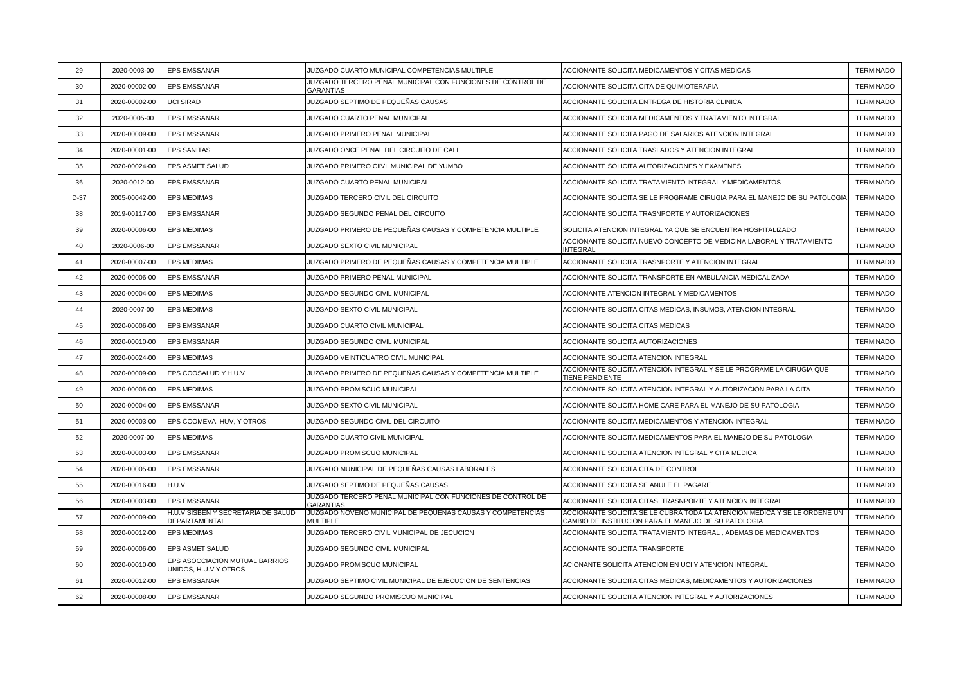| 29     | 2020-0003-00  | <b>EPS EMSSANAR</b>                                     | JUZGADO CUARTO MUNICIPAL COMPETENCIAS MULTIPLE                                  | ACCIONANTE SOLICITA MEDICAMENTOS Y CITAS MEDICAS                                                                                  | <b>TERMINADO</b> |
|--------|---------------|---------------------------------------------------------|---------------------------------------------------------------------------------|-----------------------------------------------------------------------------------------------------------------------------------|------------------|
| 30     | 2020-00002-00 | <b>EPS EMSSANAR</b>                                     | JUZGADO TERCERO PENAL MUNICIPAL CON FUNCIONES DE CONTROL DE<br>GARANTIAS        | ACCIONANTE SOLICITA CITA DE QUIMIOTERAPIA                                                                                         | <b>TERMINADO</b> |
| 31     | 2020-00002-00 | <b>UCI SIRAD</b>                                        | JUZGADO SEPTIMO DE PEQUEÑAS CAUSAS                                              | ACCIONANTE SOLICITA ENTREGA DE HISTORIA CLINICA                                                                                   | <b>TERMINADO</b> |
| 32     | 2020-0005-00  | <b>EPS EMSSANAR</b>                                     | JUZGADO CUARTO PENAL MUNICIPAL                                                  | ACCIONANTE SOLICITA MEDICAMENTOS Y TRATAMIENTO INTEGRAL                                                                           | <b>TERMINADO</b> |
| 33     | 2020-00009-00 | <b>EPS EMSSANAR</b>                                     | JUZGADO PRIMERO PENAL MUNICIPAL                                                 | ACCIONANTE SOLICITA PAGO DE SALARIOS ATENCION INTEGRAL                                                                            | <b>TERMINADO</b> |
| 34     | 2020-00001-00 | <b>EPS SANITAS</b>                                      | JUZGADO ONCE PENAL DEL CIRCUITO DE CALI                                         | ACCIONANTE SOLICITA TRASLADOS Y ATENCION INTEGRAL                                                                                 | <b>TERMINADO</b> |
| 35     | 2020-00024-00 | <b>EPS ASMET SALUD</b>                                  | JUZGADO PRIMERO CIIVL MUNICIPAL DE YUMBO                                        | ACCIONANTE SOLICITA AUTORIZACIONES Y EXAMENES                                                                                     | <b>TERMINADO</b> |
| 36     | 2020-0012-00  | <b>EPS EMSSANAR</b>                                     | JUZGADO CUARTO PENAL MUNICIPAL                                                  | ACCIONANTE SOLICITA TRATAMIENTO INTEGRAL Y MEDICAMENTOS                                                                           | <b>TERMINADO</b> |
| $D-37$ | 2005-00042-00 | <b>EPS MEDIMAS</b>                                      | JUZGADO TERCERO CIVIL DEL CIRCUITO                                              | ACCIONANTE SOLICITA SE LE PROGRAME CIRUGIA PARA EL MANEJO DE SU PATOLOGIA                                                         | <b>TERMINADO</b> |
| 38     | 2019-00117-00 | <b>EPS EMSSANAR</b>                                     | JUZGADO SEGUNDO PENAL DEL CIRCUITO                                              | ACCIONANTE SOLICITA TRASNPORTE Y AUTORIZACIONES                                                                                   | <b>TERMINADO</b> |
| 39     | 2020-00006-00 | <b>EPS MEDIMAS</b>                                      | JUZGADO PRIMERO DE PEQUEÑAS CAUSAS Y COMPETENCIA MULTIPLE                       | SOLICITA ATENCION INTEGRAL YA QUE SE ENCUENTRA HOSPITALIZADO                                                                      | <b>TERMINADO</b> |
| 40     | 2020-0006-00  | <b>EPS EMSSANAR</b>                                     | JUZGADO SEXTO CIVIL MUNICIPAL                                                   | ACCIONANTE SOLICITA NUEVO CONCEPTO DE MEDICINA LABORAL Y TRATAMIENTO<br>INTEGRAL                                                  | <b>TERMINADO</b> |
| 41     | 2020-00007-00 | <b>EPS MEDIMAS</b>                                      | JUZGADO PRIMERO DE PEQUEÑAS CAUSAS Y COMPETENCIA MULTIPLE                       | ACCIONANTE SOLICITA TRASNPORTE Y ATENCION INTEGRAL                                                                                | <b>TERMINADO</b> |
| 42     | 2020-00006-00 | <b>EPS EMSSANAR</b>                                     | JUZGADO PRIMERO PENAL MUNICIPAL                                                 | ACCIONANTE SOLICITA TRANSPORTE EN AMBULANCIA MEDICALIZADA                                                                         | <b>TERMINADO</b> |
| 43     | 2020-00004-00 | <b>EPS MEDIMAS</b>                                      | JUZGADO SEGUNDO CIVIL MUNICIPAL                                                 | ACCIONANTE ATENCION INTEGRAL Y MEDICAMENTOS                                                                                       | <b>TERMINADO</b> |
| 44     | 2020-0007-00  | <b>EPS MEDIMAS</b>                                      | JUZGADO SEXTO CIVIL MUNICIPAL                                                   | ACCIONANTE SOLICITA CITAS MEDICAS, INSUMOS, ATENCION INTEGRAL                                                                     | <b>TERMINADO</b> |
| 45     | 2020-00006-00 | <b>EPS EMSSANAR</b>                                     | JUZGADO CUARTO CIVIL MUNICIPAL                                                  | ACCIONANTE SOLICITA CITAS MEDICAS                                                                                                 | <b>TERMINADO</b> |
| 46     | 2020-00010-00 | <b>EPS EMSSANAR</b>                                     | JUZGADO SEGUNDO CIVIL MUNICIPAL                                                 | ACCIONANTE SOLICITA AUTORIZACIONES                                                                                                | <b>TERMINADO</b> |
| 47     | 2020-00024-00 | <b>EPS MEDIMAS</b>                                      | JUZGADO VEINTICUATRO CIVIL MUNICIPAL                                            | ACCIONANTE SOLICITA ATENCION INTEGRAL                                                                                             | <b>TERMINADO</b> |
| 48     | 2020-00009-00 | EPS COOSALUD Y H.U.V                                    | JUZGADO PRIMERO DE PEQUEÑAS CAUSAS Y COMPETENCIA MULTIPLE                       | ACCIONANTE SOLICITA ATENCION INTEGRAL Y SE LE PROGRAME LA CIRUGIA QUE<br>TIENE PENDIENTE                                          | <b>TERMINADO</b> |
| 49     | 2020-00006-00 | <b>EPS MEDIMAS</b>                                      | JUZGADO PROMISCUO MUNICIPAL                                                     | ACCIONANTE SOLICITA ATENCION INTEGRAL Y AUTORIZACION PARA LA CITA                                                                 | <b>TERMINADO</b> |
| 50     | 2020-00004-00 | <b>EPS EMSSANAR</b>                                     | JUZGADO SEXTO CIVIL MUNICIPAL                                                   | ACCIONANTE SOLICITA HOME CARE PARA EL MANEJO DE SU PATOLOGIA                                                                      | <b>TERMINADO</b> |
| 51     | 2020-00003-00 | EPS COOMEVA, HUV, Y OTROS                               | JUZGADO SEGUNDO CIVIL DEL CIRCUITO                                              | ACCIONANTE SOLICITA MEDICAMENTOS Y ATENCION INTEGRAL                                                                              | <b>TERMINADO</b> |
| 52     | 2020-0007-00  | <b>EPS MEDIMAS</b>                                      | JUZGADO CUARTO CIVIL MUNICIPAL                                                  | ACCIONANTE SOLICITA MEDICAMENTOS PARA EL MANEJO DE SU PATOLOGIA                                                                   | <b>TERMINADO</b> |
| 53     | 2020-00003-00 | <b>EPS EMSSANAR</b>                                     | JUZGADO PROMISCUO MUNICIPAL                                                     | ACCIONANTE SOLICITA ATENCION INTEGRAL Y CITA MEDICA                                                                               | <b>TERMINADO</b> |
| 54     | 2020-00005-00 | <b>EPS EMSSANAR</b>                                     | JUZGADO MUNICIPAL DE PEQUEÑAS CAUSAS LABORALES                                  | ACCIONANTE SOLICITA CITA DE CONTROL                                                                                               | <b>TERMINADO</b> |
| 55     | 2020-00016-00 | H.U.V                                                   | JUZGADO SEPTIMO DE PEQUEÑAS CAUSAS                                              | ACCIONANTE SOLICITA SE ANULE EL PAGARE                                                                                            | <b>TERMINADO</b> |
| 56     | 2020-00003-00 | <b>EPS EMSSANAR</b>                                     | JUZGADO TERCERO PENAL MUNICIPAL CON FUNCIONES DE CONTROL DE<br><b>GARANTIAS</b> | ACCIONANTE SOLICITA CITAS, TRASNPORTE Y ATENCION INTEGRAL                                                                         | <b>TERMINADO</b> |
| 57     | 2020-00009-00 | H.U.V SISBEN Y SECRETARIA DE SALUD<br>DEPARTAMENTAL     | JUZGADO NOVENO MUNICIPAL DE PEQUEÑAS CAUSAS Y COMPETENCIAS<br><b>MULTIPLE</b>   | ACCIONANTE SOLICITA SE LE CUBRA TODA LA ATENCION MEDICA Y SE LE ORDENE UN<br>CAMBIO DE INSTITUCION PARA EL MANEJO DE SU PATOLOGIA | <b>TERMINADO</b> |
| 58     | 2020-00012-00 | <b>EPS MEDIMAS</b>                                      | JUZGADO TERCERO CIVIL MUNICIPAL DE JECUCION                                     | ACCIONANTE SOLICITA TRATAMIENTO INTEGRAL , ADEMAS DE MEDICAMENTOS                                                                 | <b>TERMINADO</b> |
| 59     | 2020-00006-00 | EPS ASMET SALUD                                         | JUZGADO SEGUNDO CIVIL MUNICIPAL                                                 | <b>ACCIONANTE SOLICITA TRANSPORTE</b>                                                                                             | <b>TERMINADO</b> |
| 60     | 2020-00010-00 | EPS ASOCCIACION MUTUAL BARRIOS<br>UNIDOS, H.U.V Y OTROS | JUZGADO PROMISCUO MUNICIPAL                                                     | ACIONANTE SOLICITA ATENCION EN UCI Y ATENCION INTEGRAL                                                                            | <b>TERMINADO</b> |
| 61     | 2020-00012-00 | <b>EPS EMSSANAR</b>                                     | JUZGADO SEPTIMO CIVIL MUNICIPAL DE EJECUCION DE SENTENCIAS                      | ACCIONANTE SOLICITA CITAS MEDICAS, MEDICAMENTOS Y AUTORIZACIONES                                                                  | <b>TERMINADO</b> |
| 62     | 2020-00008-00 | <b>EPS EMSSANAR</b>                                     | JUZGADO SEGUNDO PROMISCUO MUNICIPAL                                             | ACCIONANTE SOLICITA ATENCION INTEGRAL Y AUTORIZACIONES                                                                            | <b>TERMINADO</b> |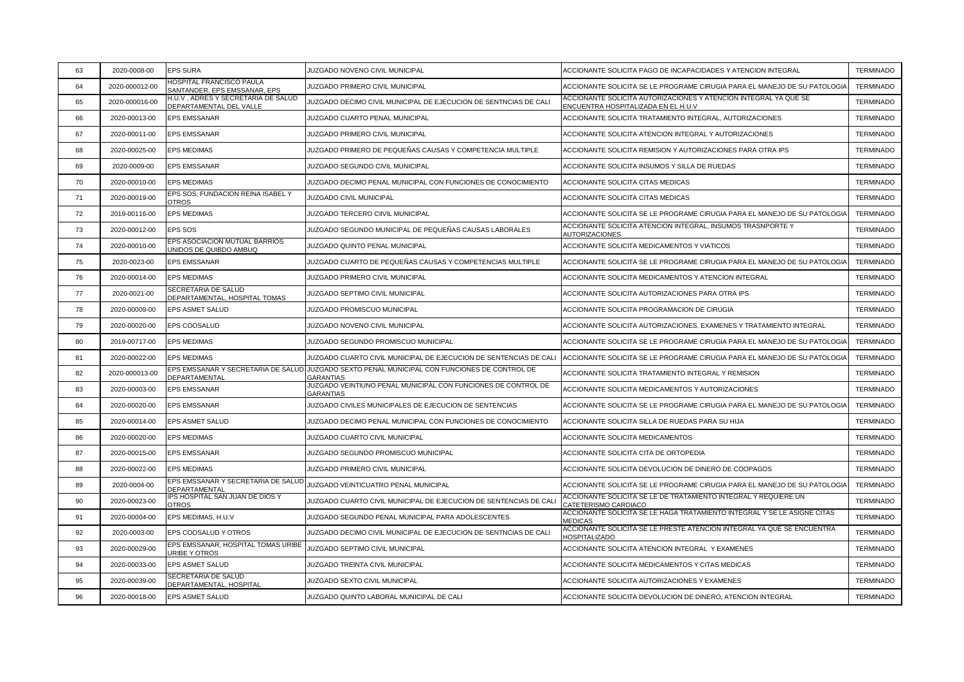| 63 | 2020-0008-00   | <b>EPS SURA</b>                                                 | JUZGADO NOVENO CIVIL MUNICIPAL                                                                                   | ACCIONANTE SOLICITA PAGO DE INCAPACIDADES Y ATENCION INTEGRAL                                           | <b>TERMINADO</b> |
|----|----------------|-----------------------------------------------------------------|------------------------------------------------------------------------------------------------------------------|---------------------------------------------------------------------------------------------------------|------------------|
| 64 | 2020-000012-00 | <b>HOSPITAL FRANCISCO PAULA</b><br>SANTANDER, EPS EMSSANAR, EPS | JUZGADO PRIMERO CIVIL MUNICIPAL                                                                                  | ACCIONANTE SOLICITA SE LE PROGRAME CIRUGIA PARA EL MANEJO DE SU PATOLOGIA                               | <b>TERMINADO</b> |
| 65 | 2020-000016-00 | H.U.V, ADRES Y SECRETARIA DE SALUD<br>DEPARTAMENTAL DEL VALLE   | JUZGADO DECIMO CIVIL MUNICIPAL DE EJECUCION DE SENTNCIAS DE CALI                                                 | ACCIONANTE SOLICITA AUTORIZACIONES Y ATENCION INTEGRAL YA QUE SE<br>ENCUENTRA HOSPITALIZADA EN EL H.U.V | <b>TERMINADO</b> |
| 66 | 2020-00013-00  | <b>EPS EMSSANAR</b>                                             | JUZGADO CUARTO PENAL MUNICIPAL                                                                                   | ACCIONANTE SOLICITA TRATAMIENTO INTEGRAL, AUTORIZACIONES                                                | <b>TERMINADO</b> |
| 67 | 2020-00011-00  | <b>EPS EMSSANAR</b>                                             | JUZGADO PRIMERO CIVIL MUNICIPAL                                                                                  | ACCIONANTE SOLICITA ATENCION INTEGRAL Y AUTORIZACIONES                                                  | <b>TERMINADO</b> |
| 68 | 2020-00025-00  | <b>EPS MEDIMAS</b>                                              | JUZGADO PRIMERO DE PEQUEÑAS CAUSAS Y COMPETENCIA MULTIPLE                                                        | ACCIONANTE SOLICITA REMISION Y AUTORIZACIONES PARA OTRA IPS                                             | <b>TERMINADO</b> |
| 69 | 2020-0009-00   | <b>EPS EMSSANAR</b>                                             | JUZGADO SEGUNDO CIVIL MUNICIPAL                                                                                  | ACCIONANTE SOLICITA INSUMOS Y SILLA DE RUEDAS                                                           | <b>TERMINADO</b> |
| 70 | 2020-00010-00  | <b>EPS MEDIMAS</b>                                              | JUZGADO DECIMO PENAL MUNICIPAL CON FUNCIONES DE CONOCIMIENTO                                                     | ACCIONANTE SOLICITA CITAS MEDICAS                                                                       | <b>TERMINADO</b> |
| 71 | 2020-00019-00  | EPS SOS, FUNDACION REINA ISABEL Y<br><b>OTROS</b>               | JUZGADO CIVIL MUNICIPAL                                                                                          | ACCIONANTE SOLICITA CITAS MEDICAS                                                                       | <b>TERMINADO</b> |
| 72 | 2019-00116-00  | <b>EPS MEDIMAS</b>                                              | JUZGADO TERCERO CIIVIL MUNICIPAL                                                                                 | ACCIONANTE SOLICITA SE LE PROGRAME CIRUGIA PARA EL MANEJO DE SU PATOLOGIA                               | <b>TERMINADO</b> |
| 73 | 2020-00012-00  | <b>EPS SOS</b>                                                  | JUZGADO SEGUNDO MUNICIPAL DE PEQUEÑAS CAUSAS LABORALES                                                           | ACCIONANTE SOLICITA ATENCION INTEGRAL, INSUMOS TRASNPORTE Y<br><b>AUTORIZACIONES</b>                    | <b>TERMINADO</b> |
| 74 | 2020-00010-00  | EPS ASOCIACION MUTUAL BARRIOS<br>JNIDOS DE QUIBDO AMBUQ         | JUZGADO QUINTO PENAL MUNICIPAL                                                                                   | ACCIONANTE SOLICITA MEDICAMENTOS Y VIATICOS                                                             | <b>TERMINADO</b> |
| 75 | 2020-0023-00   | <b>EPS EMSSANAR</b>                                             | JUZGADO CUARTO DE PEQUEÑAS CAUSAS Y COMPETENCIAS MULTIPLE                                                        | ACCIONANTE SOLICITA SE LE PROGRAME CIRUGIA PARA EL MANEJO DE SU PATOLOGIA                               | <b>TERMINADO</b> |
| 76 | 2020-00014-00  | <b>EPS MEDIMAS</b>                                              | JUZGADO PRIMERO CIVIL MUNICIPAL                                                                                  | ACCIONANTE SOLICITA MEDICAMENTOS Y ATENCION INTEGRAL                                                    | <b>TERMINADO</b> |
| 77 | 2020-0021-00   | SECRETARIA DE SALUD<br>DEPARTAMENTAL, HOSPITAL TOMAS            | JUZGADO SEPTIMO CIVIL MUNICIPAL                                                                                  | ACCIONANTE SOLICITA AUTORIZACIONES PARA OTRA IPS                                                        | <b>TERMINADO</b> |
| 78 | 2020-00009-00  | EPS ASMET SALUD                                                 | JUZGADO PROMISCUO MUNICIPAL                                                                                      | ACCIONANTE SOLICITA PROGRAMACION DE CIRUGIA                                                             | <b>TERMINADO</b> |
| 79 | 2020-00020-00  | EPS COOSALUD                                                    | JUZGADO NOVENO CIVIL MUNICIPAL                                                                                   | ACCIONANTE SOLICITA AUTORIZACIONES, EXAMENES Y TRATAMIENTO INTEGRAL                                     | <b>TERMINADO</b> |
| 80 | 2019-00717-00  | <b>EPS MEDIMAS</b>                                              | JUZGADO SEGUNDO PROMISCUO MUNICIPAL                                                                              | ACCIONANTE SOLICITA SE LE PROGRAME CIRUGIA PARA EL MANEJO DE SU PATOLOGIA                               | <b>TERMINADO</b> |
| 81 | 2020-00022-00  | <b>EPS MEDIMAS</b>                                              | JUZGADO CUARTO CIVIL MUNICIPAL DE EJECUCION DE SENTENCIAS DE CALI                                                | ACCIONANTE SOLICITA SE LE PROGRAME CIRUGIA PARA EL MANEJO DE SU PATOLOGIA                               | <b>TERMINADO</b> |
| 82 | 2020-000013-00 | DEPARTAMENTAL                                                   | EPS EMSSANAR Y SECRETARIA DE SALUD JUZGADO SEXTO PENAL MUNICIPAL CON FUNCIONES DE CONTROL DE<br><b>GARANTIAS</b> | ACCIONANTE SOLICITA TRATAMIENTO INTEGRAL Y REMISION                                                     | <b>TERMINADO</b> |
| 83 | 2020-00003-00  | <b>EPS EMSSANAR</b>                                             | JUZGADO VEINTIUNO PENAL MUNICIPAL CON FUNCIONES DE CONTROL DE<br>GARANTIAS                                       | ACCIONANTE SOLICITA MEDICAMENTOS Y AUTORIZACIONES                                                       | <b>TERMINADO</b> |
| 84 | 2020-00020-00  | <b>EPS EMSSANAR</b>                                             | JUZGADO CIVILES MUNICIPALES DE EJECUCION DE SENTENCIAS                                                           | ACCIONANTE SOLICITA SE LE PROGRAME CIRUGIA PARA EL MANEJO DE SU PATOLOGIA                               | <b>TERMINADO</b> |
| 85 | 2020-00014-00  | <b>EPS ASMET SALUD</b>                                          | JUZGADO DECIMO PENAL MUNICIPAL CON FUNCIONES DE CONOCIMIENTO                                                     | ACCIONANTE SOLICITA SILLA DE RUEDAS PARA SU HIJA                                                        | <b>TERMINADO</b> |
| 86 | 2020-00020-00  | <b>EPS MEDIMAS</b>                                              | JUZGADO CUARTO CIVIL MUNICIPAL                                                                                   | ACCIONANTE SOLICITA MEDICAMENTOS                                                                        | <b>TERMINADO</b> |
| 87 | 2020-00015-00  | <b>EPS EMSSANAR</b>                                             | JUZGADO SEGUNDO PROMISCUO MUNICIPAL                                                                              | ACCIONANTE SOLICITA CITA DE ORTOPEDIA                                                                   | <b>TERMINADO</b> |
| 88 | 2020-00022-00  | <b>EPS MEDIMAS</b>                                              | JUZGADO PRIMERO CIVIL MUNICIPAL                                                                                  | ACCIONANTE SOLICITA DEVOLUCION DE DINERO DE COOPAGOS                                                    | <b>TERMINADO</b> |
| 89 | 2020-0004-00   | EPS EMSSANAR Y SECRETARIA DE SALUD<br>DEPARTAMENTAL             | JUZGADO VEINTICUATRO PENAL MUNICIPAL                                                                             | ACCIONANTE SOLICITA SE LE PROGRAME CIRUGIA PARA EL MANEJO DE SU PATOLOGIA                               | <b>TERMINADO</b> |
| 90 | 2020-00023-00  | IPS HOSPITAL SAN JUAN DE DIOS Y<br><b>OTROS</b>                 | JUZGADO CUARTO CIVIL MUNICIPAL DE EJECUCION DE SENTENCIAS DE CALI                                                | ACCIONANTE SOLICITA SE LE DE TRATAMIENTO INTEGRAL Y REQUIERE UN<br>CATETERISMO CARDIACO                 | <b>TERMINADO</b> |
| 91 | 2020-00004-00  | EPS MEDIMAS, H.U.V                                              | JUZGADO SEGUNDO PENAL MUNICIPAL PARA ADOLESCENTES                                                                | ACCIONANTE SOLICITA SE LE HAGA TRATAMIENTO INTEGRAL Y SE LE ASIGNE CITAS<br><b>MEDICAS</b>              | <b>TERMINADO</b> |
| 92 | 2020-0003-00   | EPS COOSALUD Y OTROS                                            | JUZGADO DECIMO CIVIL MUNICIPAL DE EJECUCION DE SENTNCIAS DE CALI                                                 | ACCIONANTE SOLICITA SE LE PRESTE ATENCION INTEGRAL YA QUE SE ENCUENTRA<br><b>HOSPITALIZADO</b>          | <b>TERMINADO</b> |
| 93 | 2020-00029-00  | EPS EMSSANAR, HOSPITAL TOMAS URIBE<br>JRIBE Y OTROS             | JUZGADO SEPTIMO CIVIL MUNICIPAL                                                                                  | ACCIONANTE SOLICITA ATENCION INTEGRAL Y EXAMENES                                                        | <b>TERMINADO</b> |
| 94 | 2020-00033-00  | <b>EPS ASMET SALUD</b>                                          | JUZGADO TREINTA CIVIL MUNICIPAL                                                                                  | ACCIONANTE SOLICITA MEDICAMENTOS Y CITAS MEDICAS                                                        | <b>TERMINADO</b> |
| 95 | 2020-00039-00  | SECRETARIA DE SALUD<br>DEPARTAMENTAL, HOSPITAL                  | JUZGADO SEXTO CIVIL MUNICIPAL                                                                                    | ACCIONANTE SOLICITA AUTORIZACIONES Y EXAMENES                                                           | <b>TERMINADO</b> |
| 96 | 2020-00018-00  | <b>EPS ASMET SALUD</b>                                          | JUZGADO QUINTO LABORAL MUNICIPAL DE CALI                                                                         | ACCIONANTE SOLICITA DEVOLUCION DE DINERO, ATENCION INTEGRAL                                             | <b>TERMINADO</b> |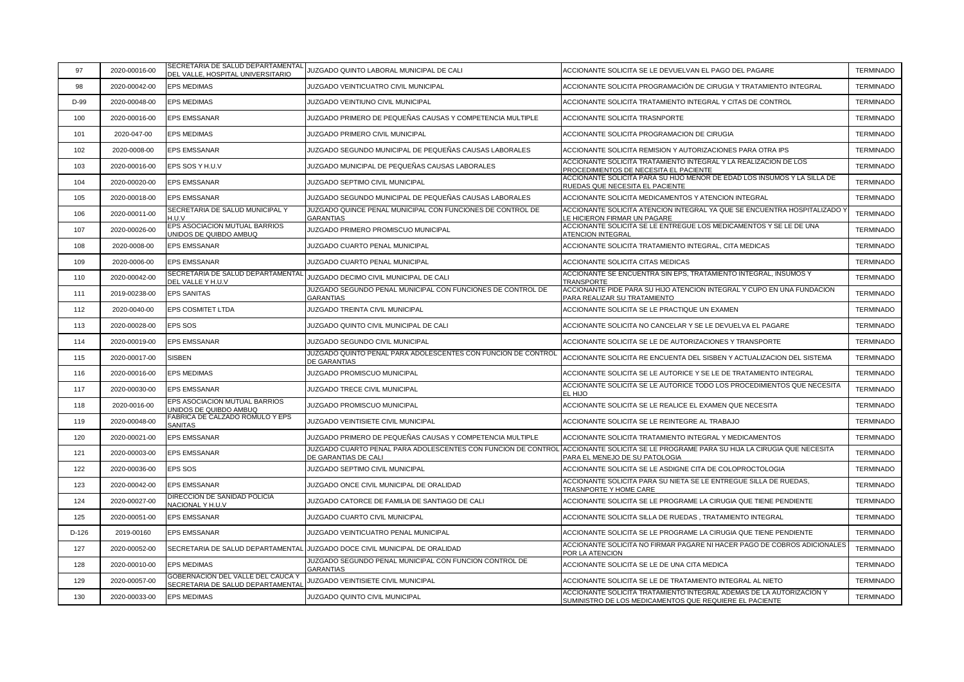| 97      | 2020-00016-00 | SECRETARIA DE SALUD DEPARTAMENTAL                                      | JUZGADO QUINTO LABORAL MUNICIPAL DE CALI                                              | ACCIONANTE SOLICITA SE LE DEVUELVAN EL PAGO DEL PAGARE                                                                          | <b>TERMINADO</b> |
|---------|---------------|------------------------------------------------------------------------|---------------------------------------------------------------------------------------|---------------------------------------------------------------------------------------------------------------------------------|------------------|
| 98      | 2020-00042-00 | DEL VALLE, HOSPITAL UNIVERSITARIO<br><b>EPS MEDIMAS</b>                | JUZGADO VEINTICUATRO CIVIL MUNICIPAL                                                  | ACCIONANTE SOLICITA PROGRAMACIÓN DE CIRUGIA Y TRATAMIENTO INTEGRAL                                                              | <b>TERMINADO</b> |
|         |               |                                                                        |                                                                                       |                                                                                                                                 |                  |
| D-99    | 2020-00048-00 | <b>EPS MEDIMAS</b>                                                     | JUZGADO VEINTIUNO CIVIL MUNICIPAL                                                     | ACCIONANTE SOLICITA TRATAMIENTO INTEGRAL Y CITAS DE CONTROL                                                                     | <b>TERMINADO</b> |
| 100     | 2020-00016-00 | <b>EPS EMSSANAR</b>                                                    | JUZGADO PRIMERO DE PEQUEÑAS CAUSAS Y COMPETENCIA MULTIPLE                             | ACCIONANTE SOLICITA TRASNPORTE                                                                                                  | <b>TERMINADO</b> |
| 101     | 2020-047-00   | <b>EPS MEDIMAS</b>                                                     | JUZGADO PRIMERO CIVIL MUNICIPAL                                                       | ACCIONANTE SOLICITA PROGRAMACION DE CIRUGIA                                                                                     | <b>TERMINADO</b> |
| 102     | 2020-0008-00  | <b>EPS EMSSANAR</b>                                                    | JUZGADO SEGUNDO MUNICIPAL DE PEQUEÑAS CAUSAS LABORALES                                | ACCIONANTE SOLICITA REMISION Y AUTORIZACIONES PARA OTRA IPS                                                                     | <b>TERMINADO</b> |
| 103     | 2020-00016-00 | EPS SOS Y H.U.V                                                        | JUZGADO MUNICIPAL DE PEQUEÑAS CAUSAS LABORALES                                        | ACCIONANTE SOLICITA TRATAMIENTO INTEGRAL Y LA REALIZACION DE LOS<br>PROCEDIMIENTOS DE NECESITA EL PACIENTE                      | <b>TERMINADO</b> |
| 104     | 2020-00020-00 | <b>EPS EMSSANAR</b>                                                    | JUZGADO SEPTIMO CIVIL MUNICIPAL                                                       | ACCIONANTE SOLICITA PARA SU HIJO MENOR DE EDAD LOS INSUMOS Y LA SILLA DE<br>RUEDAS QUE NECESITA EL PACIENTE                     | <b>TERMINADO</b> |
| 105     | 2020-00018-00 | <b>EPS EMSSANAR</b>                                                    | JUZGADO SEGUNDO MUNICIPAL DE PEQUEÑAS CAUSAS LABORALES                                | ACCIONANTE SOLICITA MEDICAMENTOS Y ATENCION INTEGRAL                                                                            | <b>TERMINADO</b> |
| 106     | 2020-00011-00 | SECRETARIA DE SALUD MUNICIPAL Y<br>H.U.V                               | JUZGADO QUINCE PENAL MUNICIPAL CON FUNCIONES DE CONTROL DE<br><b>GARANTIAS</b>        | ACCIONANTE SOLICITA ATENCION INTEGRAL YA QUE SE ENCUENTRA HOSPITALIZADO Y<br>LE HICIERON FIRMAR UN PAGARE                       | <b>TERMINADO</b> |
| 107     | 2020-00026-00 | EPS ASOCIACION MUTUAL BARRIOS<br>JNIDOS DE QUIBDO AMBUQ                | JUZGADO PRIMERO PROMISCUO MUNICIPAL                                                   | ACCIONANTE SOLICITA SE LE ENTREGUE LOS MEDICAMENTOS Y SE LE DE UNA<br>ATENCION INTEGRAL                                         | <b>TERMINADO</b> |
| 108     | 2020-0008-00  | <b>EPS EMSSANAR</b>                                                    | JUZGADO CUARTO PENAL MUNICIPAL                                                        | ACCIONANTE SOLICITA TRATAMIENTO INTEGRAL, CITA MEDICAS                                                                          | <b>TERMINADO</b> |
| 109     | 2020-0006-00  | <b>EPS EMSSANAR</b>                                                    | JUZGADO CUARTO PENAL MUNICIPAL                                                        | ACCIONANTE SOLICITA CITAS MEDICAS                                                                                               | <b>TERMINADO</b> |
| 110     | 2020-00042-00 | SECRETARIA DE SALUD DEPARTAMENTAL<br>DEL VALLE Y H.U.V                 | JUZGADO DECIMO CIVIL MUNICIPAL DE CALI                                                | ACCIONANTE SE ENCUENTRA SIN EPS, TRATAMIENTO INTEGRAL, INSUMOS Y<br><b>TRANSPORTE</b>                                           | <b>TERMINADO</b> |
| 111     | 2019-00238-00 | <b>EPS SANITAS</b>                                                     | JUZGADO SEGUNDO PENAL MUNICIPAL CON FUNCIONES DE CONTROL DE<br><b>GARANTIAS</b>       | ACCIONANTE PIDE PARA SU HIJO ATENCION INTEGRAL Y CUPO EN UNA FUNDACION<br>PARA REALIZAR SU TRATAMIENTO                          | <b>TERMINADO</b> |
| 112     | 2020-0040-00  | EPS COSMITET LTDA                                                      | <b>JUZGADO TREINTA CIVIL MUNICIPAL</b>                                                | ACCIONANTE SOLICITA SE LE PRACTIQUE UN EXAMEN                                                                                   | <b>TERMINADO</b> |
| 113     | 2020-00028-00 | <b>EPS SOS</b>                                                         | JUZGADO QUINTO CIVIL MUNICIPAL DE CALI                                                | ACCIONANTE SOLICITA NO CANCELAR Y SE LE DEVUELVA EL PAGARE                                                                      | <b>TERMINADO</b> |
| 114     | 2020-00019-00 | <b>EPS EMSSANAR</b>                                                    | JUZGADO SEGUNDO CIVIL MUNICIPAL                                                       | ACCIONANTE SOLICITA SE LE DE AUTORIZACIONES Y TRANSPORTE                                                                        | <b>TERMINADO</b> |
| 115     | 2020-00017-00 | <b>SISBEN</b>                                                          | JUZGADO QUINTO PENAL PARA ADOLESCENTES CON FUNCION DE CONTROL<br>DE GARANTIAS         | ACCIONANTE SOLICITA RE ENCUENTA DEL SISBEN Y ACTUALIZACION DEL SISTEMA                                                          | <b>TERMINADO</b> |
| 116     | 2020-00016-00 | <b>EPS MEDIMAS</b>                                                     | JUZGADO PROMISCUO MUNICIPAL                                                           | ACCIONANTE SOLICITA SE LE AUTORICE Y SE LE DE TRATAMIENTO INTEGRAL                                                              | <b>TERMINADO</b> |
| 117     | 2020-00030-00 | <b>EPS EMSSANAR</b>                                                    | JUZGADO TRECE CIVIL MUNICIPAL                                                         | ACCIONANTE SOLICITA SE LE AUTORICE TODO LOS PROCEDIMIENTOS QUE NECESITA<br>EL HIJO                                              | <b>TERMINADO</b> |
| 118     | 2020-0016-00  | EPS ASOCIACION MUTUAL BARRIOS<br>JNIDOS DE QUIBDO AMBUQ                | JUZGADO PROMISCUO MUNICIPAL                                                           | ACCIONANTE SOLICITA SE LE REALICE EL EXAMEN QUE NECESITA                                                                        | <b>TERMINADO</b> |
| 119     | 2020-00048-00 | FABRICA DE CALZADO ROMULO Y EPS<br><b>SANITAS</b>                      | JUZGADO VEINTISIETE CIVIL MUNICIPAL                                                   | ACCIONANTE SOLICITA SE LE REINTEGRE AL TRABAJO                                                                                  | <b>TERMINADO</b> |
| 120     | 2020-00021-00 | <b>EPS EMSSANAR</b>                                                    | JUZGADO PRIMERO DE PEQUEÑAS CAUSAS Y COMPETENCIA MULTIPLE                             | ACCIONANTE SOLICITA TRATAMIENTO INTEGRAL Y MEDICAMENTOS                                                                         | <b>TERMINADO</b> |
| 121     | 2020-00003-00 | <b>EPS EMSSANAR</b>                                                    | JUZGADO CUARTO PENAL PARA ADOLESCENTES CON FUNCION DE CONTROL<br>DE GARANTIAS DE CALI | ACCIONANTE SOLICITA SE LE PROGRAME PARA SU HIJA LA CIRUGIA QUE NECESITA<br>PARA EL MENEJO DE SU PATOLOGIA                       | <b>TERMINADO</b> |
| 122     | 2020-00036-00 | <b>EPS SOS</b>                                                         | JUZGADO SEPTIMO CIVIL MUNICIPAL                                                       | ACCIONANTE SOLICITA SE LE ASDIGNE CITA DE COLOPROCTOLOGIA                                                                       | <b>TERMINADO</b> |
| 123     | 2020-00042-00 | EPS EMSSANAR                                                           | JUZGADO ONCE CIVIL MUNICIPAL DE ORALIDAD                                              | ACCIONANTE SOLICITA PARA SU NIETA SE LE ENTREGUE SILLA DE RUEDAS,<br>TRASNPORTE Y HOME CARE                                     | <b>TERMINADO</b> |
| 124     | 2020-00027-00 | DIRECCION DE SANIDAD POLICIA<br>NACIONAL Y H.U.V                       | JUZGADO CATORCE DE FAMILIA DE SANTIAGO DE CALI                                        | ACCIONANTE SOLICITA SE LE PROGRAME LA CIRUGIA QUE TIENE PENDIENTE                                                               | <b>TERMINADO</b> |
| 125     | 2020-00051-00 | <b>EPS EMSSANAR</b>                                                    | JUZGADO CUARTO CIVIL MUNICIPAL                                                        | ACCIONANTE SOLICITA SILLA DE RUEDAS, TRATAMIENTO INTEGRAL                                                                       | <b>TERMINADO</b> |
| $D-126$ | 2019-00160    | <b>EPS EMSSANAR</b>                                                    | JUZGADO VEINTICUATRO PENAL MUNICIPAL                                                  | ACCIONANTE SOLICITA SE LE PROGRAME LA CIRUGIA QUE TIENE PENDIENTE                                                               | <b>TERMINADO</b> |
| 127     | 2020-00052-00 | SECRETARIA DE SALUD DEPARTAMENTAL                                      | JUZGADO DOCE CIVIL MUNICIPAL DE ORALIDAD                                              | ACCIONANTE SOLICITA NO FIRMAR PAGARE NI HACER PAGO DE COBROS ADICIONALES<br>POR LA ATENCION                                     | <b>TERMINADO</b> |
| 128     | 2020-00010-00 | <b>EPS MEDIMAS</b>                                                     | JUZGADO SEGUNDO PENAL MUNICIPAL CON FUNCION CONTROL DE<br><b>GARANTIAS</b>            | ACCIONANTE SOLICITA SE LE DE UNA CITA MEDICA                                                                                    | <b>TERMINADO</b> |
| 129     | 2020-00057-00 | GOBERNACION DEL VALLE DEL CAUCA Y<br>SECRETARIA DE SALUD DEPARTAMENTAL | JUZGADO VEINTISIETE CIVIL MUNICIPAL                                                   | ACCIONANTE SOLICITA SE LE DE TRATAMIENTO INTEGRAL AL NIETO                                                                      | <b>TERMINADO</b> |
| 130     | 2020-00033-00 | <b>EPS MEDIMAS</b>                                                     | JUZGADO QUINTO CIVIL MUNICIPAL                                                        | ACCIONANTE SOLICITA TRATAMIENTO INTEGRAL ADEMAS DE LA AUTORIZACION Y<br>SUMINISTRO DE LOS MEDICAMENTOS QUE REQUIERE EL PACIENTE | <b>TERMINADO</b> |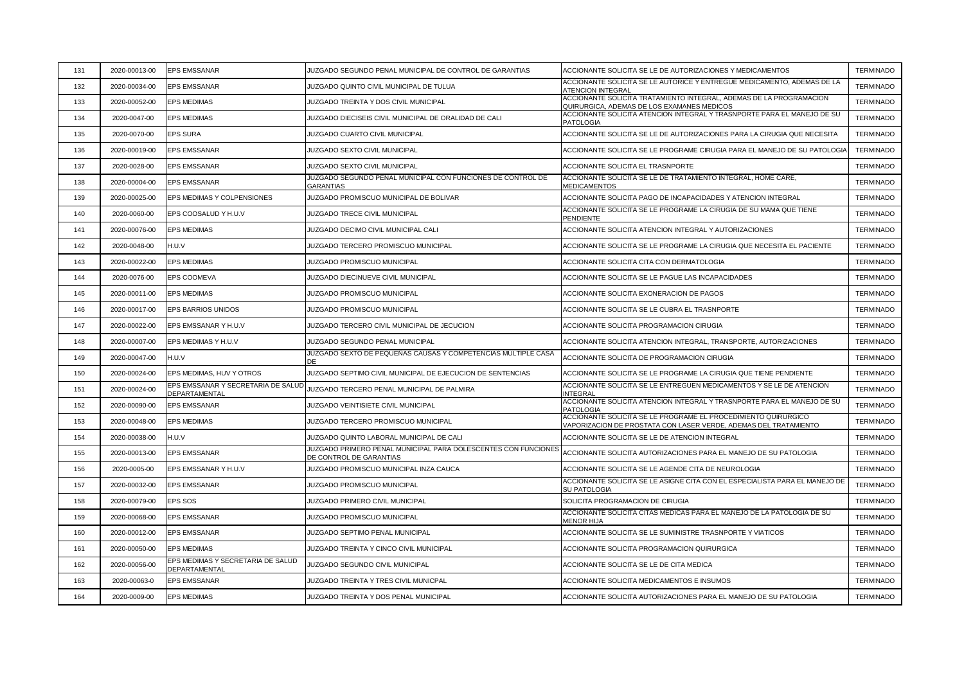| 131 | 2020-00013-00 | <b>EPS EMSSANAR</b>                                 | JUZGADO SEGUNDO PENAL MUNICIPAL DE CONTROL DE GARANTIAS                                   | ACCIONANTE SOLICITA SE LE DE AUTORIZACIONES Y MEDICAMENTOS                                                                         | <b>TERMINADO</b> |
|-----|---------------|-----------------------------------------------------|-------------------------------------------------------------------------------------------|------------------------------------------------------------------------------------------------------------------------------------|------------------|
| 132 | 2020-00034-00 | <b>EPS EMSSANAR</b>                                 | JUZGADO QUINTO CIVIL MUNICIPAL DE TULUA                                                   | ACCIONANTE SOLICITA SE LE AUTORICE Y ENTREGUE MEDICAMENTO, ADEMAS DE LA<br>ATENCION INTEGRAI                                       | <b>TERMINADO</b> |
| 133 | 2020-00052-00 | <b>EPS MEDIMAS</b>                                  | JUZGADO TREINTA Y DOS CIVIL MUNICIPAL                                                     | ACCIONANTE SOLICITA TRATAMIENTO INTEGRAL, ADEMAS DE LA PROGRAMACION<br>QUIRURGICA, ADEMAS DE LOS EXAMANES MEDICOS                  | <b>TERMINADO</b> |
| 134 | 2020-0047-00  | <b>EPS MEDIMAS</b>                                  | JUZGADO DIECISEIS CIVIL MUNICIPAL DE ORALIDAD DE CALI                                     | ACCIONANTE SOLICITA ATENCION INTEGRAL Y TRASNPORTE PARA EL MANEJO DE SU<br><b>PATOLOGIA</b>                                        | <b>TERMINADO</b> |
| 135 | 2020-0070-00  | <b>EPS SURA</b>                                     | JUZGADO CUARTO CIVIL MUNICIPAL                                                            | ACCIONANTE SOLICITA SE LE DE AUTORIZACIONES PARA LA CIRUGIA QUE NECESITA                                                           | <b>TERMINADO</b> |
| 136 | 2020-00019-00 | <b>EPS EMSSANAR</b>                                 | JUZGADO SEXTO CIVIL MUNICIPAL                                                             | ACCIONANTE SOLICITA SE LE PROGRAME CIRUGIA PARA EL MANEJO DE SU PATOLOGIA                                                          | <b>TERMINADO</b> |
| 137 | 2020-0028-00  | <b>EPS EMSSANAR</b>                                 | JUZGADO SEXTO CIVIL MUNICIPAL                                                             | ACCIONANTE SOLICITA EL TRASNPORTE                                                                                                  | <b>TERMINADO</b> |
| 138 | 2020-00004-00 | <b>EPS EMSSANAR</b>                                 | JUZGADO SEGUNDO PENAL MUNICIPAL CON FUNCIONES DE CONTROL DE<br><b>GARANTIAS</b>           | ACCIONANTE SOLICITA SE LE DE TRATAMIENTO INTEGRAL, HOME CARE,<br><b>MEDICAMENTOS</b>                                               | <b>TERMINADO</b> |
| 139 | 2020-00025-00 | EPS MEDIMAS Y COLPENSIONES                          | JUZGADO PROMISCUO MUNICIPAL DE BOLIVAR                                                    | ACCIONANTE SOLICITA PAGO DE INCAPACIDADES Y ATENCION INTEGRAL                                                                      | <b>TERMINADO</b> |
| 140 | 2020-0060-00  | EPS COOSALUD Y H.U.V                                | JUZGADO TRECE CIVIL MUNICIPAL                                                             | ACCIONANTE SOLICITA SE LE PROGRAME LA CIRUGIA DE SU MAMA QUE TIENE<br>PENDIENTE                                                    | <b>TERMINADO</b> |
| 141 | 2020-00076-00 | <b>EPS MEDIMAS</b>                                  | JUZGADO DECIMO CIVIL MUNICIPAL CALI                                                       | ACCIONANTE SOLICITA ATENCION INTEGRAL Y AUTORIZACIONES                                                                             | <b>TERMINADO</b> |
| 142 | 2020-0048-00  | H.U.V                                               | JUZGADO TERCERO PROMISCUO MUNICIPAL                                                       | ACCIONANTE SOLICITA SE LE PROGRAME LA CIRUGIA QUE NECESITA EL PACIENTE                                                             | <b>TERMINADO</b> |
| 143 | 2020-00022-00 | <b>EPS MEDIMAS</b>                                  | JUZGADO PROMISCUO MUNICIPAL                                                               | ACCIONANTE SOLICITA CITA CON DERMATOLOGIA                                                                                          | <b>TERMINADO</b> |
| 144 | 2020-0076-00  | EPS COOMEVA                                         | JUZGADO DIECINUEVE CIVIL MUNICIPAL                                                        | ACCIONANTE SOLICITA SE LE PAGUE LAS INCAPACIDADES                                                                                  | <b>TERMINADO</b> |
| 145 | 2020-00011-00 | <b>EPS MEDIMAS</b>                                  | JUZGADO PROMISCUO MUNICIPAL                                                               | ACCIONANTE SOLICITA EXONERACION DE PAGOS                                                                                           | <b>TERMINADO</b> |
| 146 | 2020-00017-00 | EPS BARRIOS UNIDOS                                  | JUZGADO PROMISCUO MUNICIPAL                                                               | ACCIONANTE SOLICITA SE LE CUBRA EL TRASNPORTE                                                                                      | <b>TERMINADO</b> |
| 147 | 2020-00022-00 | EPS EMSSANAR Y H.U.V                                | JUZGADO TERCERO CIVIL MUNICIPAL DE JECUCION                                               | ACCIONANTE SOLICITA PROGRAMACION CIRUGIA                                                                                           | <b>TERMINADO</b> |
| 148 | 2020-00007-00 | EPS MEDIMAS Y H.U.V                                 | JUZGADO SEGUNDO PENAL MUNICIPAL                                                           | ACCIONANTE SOLICITA ATENCION INTEGRAL, TRANSPORTE, AUTORIZACIONES                                                                  | <b>TERMINADO</b> |
| 149 | 2020-00047-00 | H.U.V                                               | JUZGADO SEXTO DE PEQUEÑAS CAUSAS Y COMPETENCIAS MULTIPLE CASA<br>ЭE                       | ACCIONANTE SOLICITA DE PROGRAMACION CIRUGIA                                                                                        | <b>TERMINADO</b> |
| 150 | 2020-00024-00 | EPS MEDIMAS, HUV Y OTROS                            | JUZGADO SEPTIMO CIVIL MUNICIPAL DE EJECUCION DE SENTENCIAS                                | ACCIONANTE SOLICITA SE LE PROGRAME LA CIRUGIA QUE TIENE PENDIENTE                                                                  | <b>TERMINADO</b> |
| 151 | 2020-00024-00 | EPS EMSSANAR Y SECRETARIA DE SALUD<br>DEPARTAMENTAL | JUZGADO TERCERO PENAL MUNICIPAL DE PALMIRA                                                | ACCIONANTE SOLICITA SE LE ENTREGUEN MEDICAMENTOS Y SE LE DE ATENCION<br><b>INTEGRAI</b>                                            | <b>TERMINADO</b> |
| 152 | 2020-00090-00 | <b>EPS EMSSANAR</b>                                 | JUZGADO VEINTISIETE CIVIL MUNICIPAL                                                       | ACCIONANTE SOLICITA ATENCION INTEGRAL Y TRASNPORTE PARA EL MANEJO DE SU<br>PATOLOGIA                                               | <b>TERMINADO</b> |
| 153 | 2020-00048-00 | <b>EPS MEDIMAS</b>                                  | JUZGADO TERCERO PROMISCUO MUNICIPAL                                                       | ACCIONANTE SOLICITA SE LE PROGRAME EL PROCEDIMIENTO QUIRURGICO<br>VAPORIZACION DE PROSTATA CON LASER VERDE, ADEMAS DEL TRATAMIENTO | <b>TERMINADO</b> |
| 154 | 2020-00038-00 | H.U.V                                               | JUZGADO QUINTO LABORAL MUNICIPAL DE CALI                                                  | ACCIONANTE SOLICITA SE LE DE ATENCION INTEGRAL                                                                                     | <b>TERMINADO</b> |
| 155 | 2020-00013-00 | <b>EPS EMSSANAR</b>                                 | JUZGADO PRIMERO PENAL MUNICIPAL PARA DOLESCENTES CON FUNCIONES<br>DE CONTROL DE GARANTIAS | ACCIONANTE SOLICITA AUTORIZACIONES PARA EL MANEJO DE SU PATOLOGIA                                                                  | <b>TERMINADO</b> |
| 156 | 2020-0005-00  | EPS EMSSANAR Y H.U.V                                | JUZGADO PROMISCUO MUNICIPAL INZA CAUCA                                                    | ACCIONANTE SOLICITA SE LE AGENDE CITA DE NEUROLOGIA                                                                                | <b>TERMINADO</b> |
| 157 | 2020-00032-00 | <b>EPS EMSSANAR</b>                                 | JUZGADO PROMISCUO MUNICIPAL                                                               | ACCIONANTE SOLICITA SE LE ASIGNE CITA CON EL ESPECIALISTA PARA EL MANEJO DE<br>SU PATOLOGIA                                        | <b>TERMINADO</b> |
| 158 | 2020-00079-00 | EPS SOS                                             | JUZGADO PRIMERO CIVIL MUNICIPAL                                                           | SOLICITA PROGRAMACION DE CIRUGIA                                                                                                   | TERMINADO        |
| 159 | 2020-00068-00 | <b>EPS EMSSANAR</b>                                 | JUZGADO PROMISCUO MUNICIPAL                                                               | ACCIONANTE SOLICITA CITAS MEDICAS PARA EL MANEJO DE LA PATOLOGIA DE SU<br><b>MENOR HIJA</b>                                        | <b>TERMINADO</b> |
| 160 | 2020-00012-00 | <b>EPS EMSSANAR</b>                                 | JUZGADO SEPTIMO PENAL MUNICIPAL                                                           | ACCIONANTE SOLICITA SE LE SUMINISTRE TRASNPORTE Y VIATICOS                                                                         | <b>TERMINADO</b> |
| 161 | 2020-00050-00 | <b>EPS MEDIMAS</b>                                  | JUZGADO TREINTA Y CINCO CIVIL MUNICIPAL                                                   | ACCIONANTE SOLICITA PROGRAMACION QUIRURGICA                                                                                        | <b>TERMINADO</b> |
| 162 | 2020-00056-00 | EPS MEDIMAS Y SECRETARIA DE SALUD<br>DEPARTAMENTAL  | JUZGADO SEGUNDO CIVIL MUNICIPAL                                                           | ACCIONANTE SOLICITA SE LE DE CITA MEDICA                                                                                           | <b>TERMINADO</b> |
| 163 | 2020-00063-0  | <b>EPS EMSSANAR</b>                                 | JUZGADO TREINTA Y TRES CIVIL MUNICPAL                                                     | ACCIONANTE SOLICITA MEDICAMENTOS E INSUMOS                                                                                         | <b>TERMINADO</b> |
| 164 | 2020-0009-00  | <b>EPS MEDIMAS</b>                                  | JUZGADO TREINTA Y DOS PENAL MUNICIPAL                                                     | ACCIONANTE SOLICITA AUTORIZACIONES PARA EL MANEJO DE SU PATOLOGIA                                                                  | <b>TERMINADO</b> |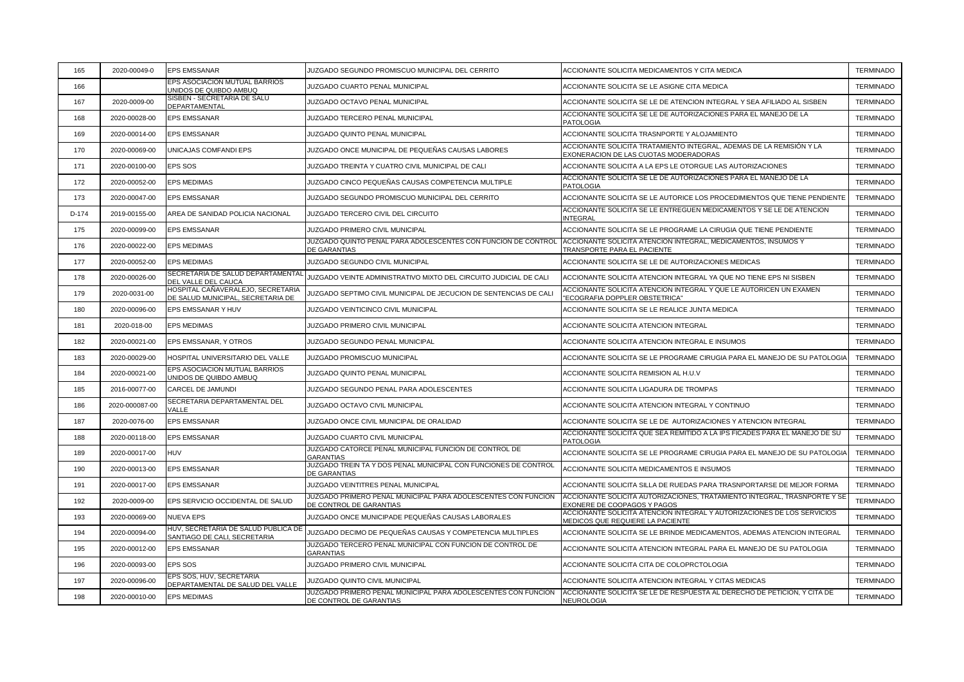| 165   | 2020-00049-0   | <b>EPS EMSSANAR</b>                                                    | JUZGADO SEGUNDO PROMISCUO MUNICIPAL DEL CERRITO                                          | ACCIONANTE SOLICITA MEDICAMENTOS Y CITA MEDICA                                                                | <b>TERMINADO</b> |
|-------|----------------|------------------------------------------------------------------------|------------------------------------------------------------------------------------------|---------------------------------------------------------------------------------------------------------------|------------------|
| 166   |                | EPS ASOCIACION MUTUAL BARRIOS<br>JNIDOS DE QUIBDO AMBUQ                | JUZGADO CUARTO PENAL MUNICIPAL                                                           | ACCIONANTE SOLICITA SE LE ASIGNE CITA MEDICA                                                                  | <b>TERMINADO</b> |
| 167   | 2020-0009-00   | SISBEN - SECRETARIA DE SALU<br>DEPARTAMENTAL                           | JUZGADO OCTAVO PENAL MUNICIPAL                                                           | ACCIONANTE SOLICITA SE LE DE ATENCION INTEGRAL Y SEA AFILIADO AL SISBEN                                       | <b>TERMINADO</b> |
| 168   | 2020-00028-00  | <b>EPS EMSSANAR</b>                                                    | JUZGADO TERCERO PENAL MUNICIPAL                                                          | ACCIONANTE SOLICITA SE LE DE AUTORIZACIONES PARA EL MANEJO DE LA<br><b>PATOLOGIA</b>                          | <b>TERMINADO</b> |
| 169   | 2020-00014-00  | <b>EPS EMSSANAR</b>                                                    | JUZGADO QUINTO PENAL MUNICIPAL                                                           | ACCIONANTE SOLICITA TRASNPORTE Y ALOJAMIENTO                                                                  | <b>TERMINADO</b> |
| 170   | 2020-00069-00  | UNICAJAS COMFANDI EPS                                                  | JUZGADO ONCE MUNICIPAL DE PEQUEÑAS CAUSAS LABORES                                        | ACCIONANTE SOLICITA TRATAMIENTO INTEGRAL, ADEMAS DE LA REMISIÓN Y LA<br>EXONERACION DE LAS CUOTAS MODERADORAS | <b>TERMINADO</b> |
| 171   | 2020-00100-00  | <b>EPS SOS</b>                                                         | JUZGADO TREINTA Y CUATRO CIVIL MUNICIPAL DE CALI                                         | ACCIONANTE SOLICITA A LA EPS LE OTORGUE LAS AUTORIZACIONES                                                    | <b>TERMINADO</b> |
| 172   | 2020-00052-00  | <b>EPS MEDIMAS</b>                                                     | JUZGADO CINCO PEQUEÑAS CAUSAS COMPETENCIA MULTIPLE                                       | ACCIONANTE SOLICITA SE LE DE AUTORIZACIONES PARA EL MANEJO DE LA<br><b>PATOLOGIA</b>                          | <b>TERMINADO</b> |
| 173   | 2020-00047-00  | <b>EPS EMSSANAR</b>                                                    | JUZGADO SEGUNDO PROMISCUO MUNICIPAL DEL CERRITO                                          | ACCIONANTE SOLICITA SE LE AUTORICE LOS PROCEDIMIENTOS QUE TIENE PENDIENTE                                     | <b>TERMINADO</b> |
| D-174 | 2019-00155-00  | AREA DE SANIDAD POLICIA NACIONAL                                       | JUZGADO TERCERO CIVIL DEL CIRCUITO                                                       | ACCIONANTE SOLICITA SE LE ENTREGUEN MEDICAMENTOS Y SE LE DE ATENCION<br><b>INTEGRAL</b>                       | <b>TERMINADO</b> |
| 175   | 2020-00099-00  | <b>EPS EMSSANAR</b>                                                    | JUZGADO PRIMERO CIVIL MUNICIPAL                                                          | ACCIONANTE SOLICITA SE LE PROGRAME LA CIRUGIA QUE TIENE PENDIENTE                                             | <b>TERMINADO</b> |
| 176   | 2020-00022-00  | <b>EPS MEDIMAS</b>                                                     | JUZGADO QUINTO PENAL PARA ADOLESCENTES CON FUNCION DE CONTROL<br><b>DE GARANTIAS</b>     | ACCIONANTE SOLICITA ATENCION INTEGRAL, MEDICAMENTOS, INSUMOS Y<br>TRANSPORTE PARA EL PACIENTE                 | <b>TERMINADO</b> |
| 177   | 2020-00052-00  | <b>EPS MEDIMAS</b>                                                     | JUZGADO SEGUNDO CIVIL MUNICIPAL                                                          | ACCIONANTE SOLICITA SE LE DE AUTORIZACIONES MEDICAS                                                           | <b>TERMINADO</b> |
| 178   | 2020-00026-00  | SECRETARIA DE SALUD DEPARTAMENTAL<br>DEL VALLE DEL CAUCA               | JUZGADO VEINTE ADMINISTRATIVO MIXTO DEL CIRCUITO JUDICIAL DE CALI                        | ACCIONANTE SOLICITA ATENCION INTEGRAL YA QUE NO TIENE EPS NI SISBEN                                           | <b>TERMINADO</b> |
| 179   | 2020-0031-00   | HOSPITAL CAÑAVERALEJO, SECRETARIA<br>DE SALUD MUNICIPAL, SECRETARIA DE | JUZGADO SEPTIMO CIVIL MUNICIPAL DE JECUCION DE SENTENCIAS DE CALI                        | ACCIONANTE SOLICITA ATENCION INTEGRAL Y QUE LE AUTORICEN UN EXAMEN<br>"ECOGRAFIA DOPPLER OBSTETRICA"          | <b>TERMINADO</b> |
| 180   | 2020-00096-00  | EPS EMSSANAR Y HUV                                                     | JUZGADO VEINTICINCO CIVIL MUNICIPAL                                                      | ACCIONANTE SOLICITA SE LE REALICE JUNTA MEDICA                                                                | <b>TERMINADO</b> |
| 181   | 2020-018-00    | <b>EPS MEDIMAS</b>                                                     | JUZGADO PRIMERO CIVIL MUNICIPAL                                                          | ACCIONANTE SOLICITA ATENCION INTEGRAL                                                                         | <b>TERMINADO</b> |
| 182   | 2020-00021-00  | EPS EMSSANAR, Y OTROS                                                  | JUZGADO SEGUNDO PENAL MUNICIPAL                                                          | ACCIONANTE SOLICITA ATENCION INTEGRAL E INSUMOS                                                               | <b>TERMINADO</b> |
| 183   | 2020-00029-00  | HOSPITAL UNIVERSITARIO DEL VALLE                                       | JUZGADO PROMISCUO MUNICIPAL                                                              | ACCIONANTE SOLICITA SE LE PROGRAME CIRUGIA PARA EL MANEJO DE SU PATOLOGIA                                     | <b>TERMINADO</b> |
| 184   | 2020-00021-00  | EPS ASOCIACION MUTUAL BARRIOS<br>UNIDOS DE QUIBDO AMBUQ                | JUZGADO QUINTO PENAL MUNICIPAL                                                           | ACCIONANTE SOLICITA REMISION AL H.U.V                                                                         | <b>TERMINADO</b> |
| 185   | 2016-00077-00  | CARCEL DE JAMUNDI                                                      | JUZGADO SEGUNDO PENAL PARA ADOLESCENTES                                                  | ACCIONANTE SOLICITA LIGADURA DE TROMPAS                                                                       | <b>TERMINADO</b> |
| 186   | 2020-000087-00 | SECRETARIA DEPARTAMENTAL DEL<br>/ALLE                                  | JUZGADO OCTAVO CIVIL MUNICIPAL                                                           | ACCIONANTE SOLICITA ATENCION INTEGRAL Y CONTINUO                                                              | <b>TERMINADO</b> |
| 187   | 2020-0076-00   | <b>EPS EMSSANAR</b>                                                    | JUZGADO ONCE CIVIL MUNICIPAL DE ORALIDAD                                                 | ACCIONANTE SOLICITA SE LE DE AUTORIZACIONES Y ATENCION INTEGRAL                                               | <b>TERMINADO</b> |
| 188   | 2020-00118-00  | <b>EPS EMSSANAR</b>                                                    | JUZGADO CUARTO CIVIL MUNICIPAL                                                           | ACCIONANTE SOLICITA QUE SEA REMITIDO A LA IPS FICADES PARA EL MANEJO DE SU<br><b>PATOLOGIA</b>                | <b>TERMINADO</b> |
| 189   | 2020-00017-00  | <b>HUV</b>                                                             | JUZGADO CATORCE PENAL MUNICIPAL FUNCION DE CONTROL DE<br><b>GARANTIAS</b>                | ACCIONANTE SOLICITA SE LE PROGRAME CIRUGIA PARA EL MANEJO DE SU PATOLOGIA                                     | <b>TERMINADO</b> |
| 190   | 2020-00013-00  | <b>EPS EMSSANAR</b>                                                    | JUZGADO TREIN TA Y DOS PENAL MUNICIPAL CON FUNCIONES DE CONTROL<br><b>DE GARANTIAS</b>   | ACCIONANTE SOLICITA MEDICAMENTOS E INSUMOS                                                                    | <b>TERMINADO</b> |
| 191   | 2020-00017-00  | <b>EPS EMSSANAR</b>                                                    | JUZGADO VEINTITRES PENAL MUNICIPAL                                                       | ACCIONANTE SOLICITA SILLA DE RUEDAS PARA TRASNPORTARSE DE MEJOR FORMA                                         | <b>TERMINADO</b> |
| 192   | 2020-0009-00   | EPS SERVICIO OCCIDENTAL DE SALUD                                       | JUZGADO PRIMERO PENAL MUNICIPAL PARA ADOLESCENTES CON FUNCION<br>DE CONTROL DE GARANTIAS | ACCIONANTE SOLICITA AUTORIZACIONES, TRATAMIENTO INTEGRAL, TRASNPORTE Y SE<br>EXONERE DE COOPAGOS Y PAGOS      | <b>TERMINADO</b> |
| 193   | 2020-00069-00  | NUEVA EPS                                                              | JUZGADO ONCE MUNICIPADE PEQUEÑAS CAUSAS LABORALES                                        | ACCIONANTE SOLICITA ATENCION INTEGRAL Y AUTORIZACIONES DE LOS SERVICIOS<br>MEDICOS QUE REQUIERE LA PACIENTE   | <b>TERMINADO</b> |
| 194   | 2020-00094-00  | HUV, SECRETARIA DE SALUD PUBLICA DE<br>SANTIAGO DE CALI, SECRETARIA    | JUZGADO DECIMO DE PEQUEÑAS CAUSAS Y COMPETENCIA MULTIPLES                                | ACCIONANTE SOLICITA SE LE BRINDE MEDICAMENTOS, ADEMAS ATENCION INTEGRAL                                       | <b>TERMINADO</b> |
| 195   | 2020-00012-00  | <b>EPS EMSSANAR</b>                                                    | JUZGADO TERCERO PENAL MUNICIPAL CON FUNCION DE CONTROL DE<br><b>GARANTIAS</b>            | ACCIONANTE SOLICITA ATENCION INTEGRAL PARA EL MANEJO DE SU PATOLOGIA                                          | <b>TERMINADO</b> |
| 196   | 2020-00093-00  | <b>EPS SOS</b>                                                         | JUZGADO PRIMERO CIVIL MUNICIPAL                                                          | ACCIONANTE SOLICITA CITA DE COLOPRCTOLOGIA                                                                    | <b>TERMINADO</b> |
| 197   | 2020-00096-00  | EPS SOS, HUV, SECRETARIA<br>DEPARTAMENTAL DE SALUD DEL VALLE           | JUZGADO QUINTO CIVIL MUNICIPAL                                                           | ACCIONANTE SOLICITA ATENCION INTEGRAL Y CITAS MEDICAS                                                         | <b>TERMINADO</b> |
| 198   | 2020-00010-00  | <b>EPS MEDIMAS</b>                                                     | JUZGADO PRIMERO PENAL MUNICIPAL PARA ADOLESCENTES CON FUNCION<br>DE CONTROL DE GARANTIAS | ACCIONANTE SOLICITA SE LE DE RESPUESTA AL DERECHO DE PETICION, Y CITA DE<br>NEUROLOGIA                        | <b>TERMINADO</b> |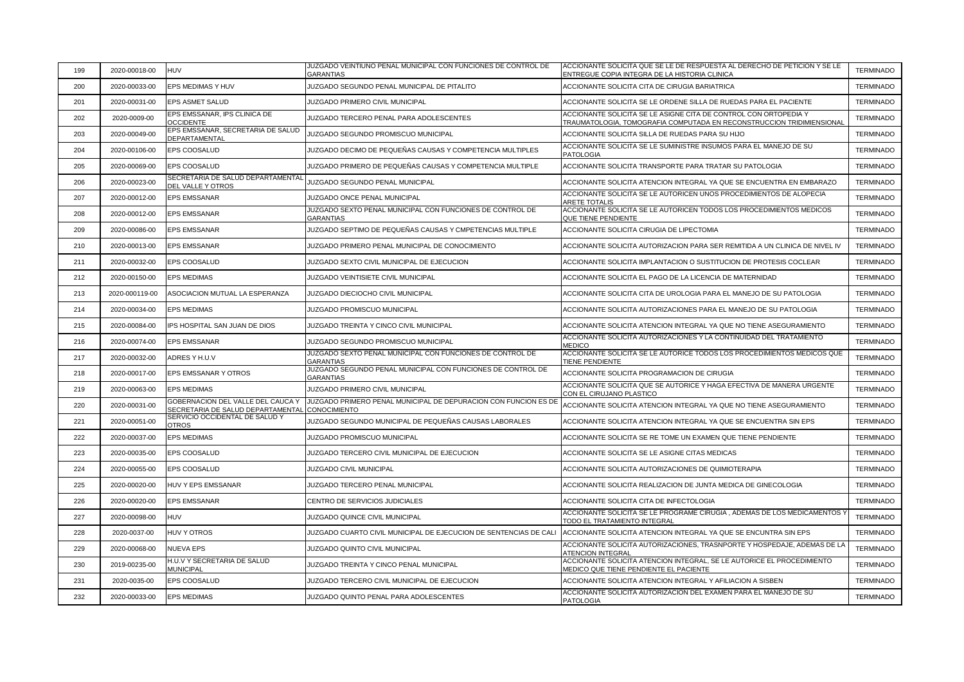| 199 | 2020-00018-00  | <b>HUV</b>                                             | JUZGADO VEINTIUNO PENAL MUNICIPAL CON FUNCIONES DE CONTROL DE<br>GARANTIAS                                        | ACCIONANTE SOLICITA QUE SE LE DE RESPUESTA AL DERECHO DE PETICION Y SE LE<br>ENTREGUE COPIA INTEGRA DE LA HISTORIA CLINICA                | <b>TERMINADO</b> |
|-----|----------------|--------------------------------------------------------|-------------------------------------------------------------------------------------------------------------------|-------------------------------------------------------------------------------------------------------------------------------------------|------------------|
| 200 | 2020-00033-00  | EPS MEDIMAS Y HUV                                      | JUZGADO SEGUNDO PENAL MUNICIPAL DE PITALITO                                                                       | ACCIONANTE SOLICITA CITA DE CIRUGIA BARIATRICA                                                                                            | <b>TERMINADO</b> |
| 201 | 2020-00031-00  | EPS ASMET SALUD                                        | JUZGADO PRIMERO CIVIL MUNICIPAL                                                                                   | ACCIONANTE SOLICITA SE LE ORDENE SILLA DE RUEDAS PARA EL PACIENTE                                                                         | <b>TERMINADO</b> |
| 202 | 2020-0009-00   | EPS EMSSANAR, IPS CLINICA DE<br><b>OCCIDENTE</b>       | JUZGADO TERCERO PENAL PARA ADOLESCENTES                                                                           | ACCIONANTE SOLICITA SE LE ASIGNE CITA DE CONTROL CON ORTOPEDIA Y<br>TRAUMATOLOGIA, TOMOGRAFIA COMPUTADA EN RECONSTRUCCION TRIDIMIENSIONAL | TERMINADO        |
| 203 | 2020-00049-00  | EPS EMSSANAR, SECRETARIA DE SALUD<br>DEPARTAMENTAL     | JUZGADO SEGUNDO PROMISCUO MUNICIPAL                                                                               | ACCIONANTE SOLICITA SILLA DE RUEDAS PARA SU HIJO                                                                                          | <b>TERMINADO</b> |
| 204 | 2020-00106-00  | EPS COOSALUD                                           | JUZGADO DECIMO DE PEQUEÑAS CAUSAS Y COMPETENCIA MULTIPLES                                                         | ACCIONANTE SOLICITA SE LE SUMINISTRE INSUMOS PARA EL MANEJO DE SU<br><b>PATOLOGIA</b>                                                     | <b>TERMINADO</b> |
| 205 | 2020-00069-00  | EPS COOSALUD                                           | JUZGADO PRIMERO DE PEQUEÑAS CAUSAS Y COMPETENCIA MULTIPLE                                                         | ACCIONANTE SOLICITA TRANSPORTE PARA TRATAR SU PATOLOGIA                                                                                   | <b>TERMINADO</b> |
| 206 | 2020-00023-00  | SECRETARIA DE SALUD DEPARTAMENTAL<br>DEL VALLE Y OTROS | JUZGADO SEGUNDO PENAL MUNICIPAL                                                                                   | ACCIONANTE SOLICITA ATENCION INTEGRAL YA QUE SE ENCUENTRA EN EMBARAZO                                                                     | <b>TERMINADO</b> |
| 207 | 2020-00012-00  | EPS EMSSANAR                                           | JUZGADO ONCE PENAL MUNICIPAL                                                                                      | ACCIONANTE SOLICITA SE LE AUTORICEN UNOS PROCEDIMIENTOS DE ALOPECIA<br><b>ARETE TOTALIS</b>                                               | <b>TERMINADO</b> |
| 208 | 2020-00012-00  | EPS EMSSANAR                                           | JUZGADO SEXTO PENAL MUNICIPAL CON FUNCIONES DE CONTROL DE<br><b>GARANTIAS</b>                                     | ACCIONANTE SOLICITA SE LE AUTORICEN TODOS LOS PROCEDIMIENTOS MEDICOS<br>QUE TIENE PENDIENTE                                               | <b>TERMINADO</b> |
| 209 | 2020-00086-00  | EPS EMSSANAR                                           | JUZGADO SEPTIMO DE PEQUEÑAS CAUSAS Y CMPETENCIAS MULTIPLE                                                         | ACCIONANTE SOLICITA CIRUGIA DE LIPECTOMIA                                                                                                 | <b>TERMINADO</b> |
| 210 | 2020-00013-00  | <b>EPS EMSSANAR</b>                                    | JUZGADO PRIMERO PENAL MUNICIPAL DE CONOCIMIENTO                                                                   | ACCIONANTE SOLICITA AUTORIZACION PARA SER REMITIDA A UN CLINICA DE NIVEL IV                                                               | <b>TERMINADO</b> |
| 211 | 2020-00032-00  | EPS COOSALUD                                           | JUZGADO SEXTO CIVIL MUNICIPAL DE EJECUCION                                                                        | ACCIONANTE SOLICITA IMPLANTACION O SUSTITUCION DE PROTESIS COCLEAR                                                                        | <b>TERMINADO</b> |
| 212 | 2020-00150-00  | <b>EPS MEDIMAS</b>                                     | JUZGADO VEINTISIETE CIVIL MUNICIPAL                                                                               | ACCIONANTE SOLICITA EL PAGO DE LA LICENCIA DE MATERNIDAD                                                                                  | <b>TERMINADO</b> |
| 213 | 2020-000119-00 | ASOCIACION MUTUAL LA ESPERANZA                         | JUZGADO DIECIOCHO CIVIL MUNICIPAL                                                                                 | ACCIONANTE SOLICITA CITA DE UROLOGIA PARA EL MANEJO DE SU PATOLOGIA                                                                       | <b>TERMINADO</b> |
| 214 | 2020-00034-00  | <b>EPS MEDIMAS</b>                                     | JUZGADO PROMISCUO MUNICIPAL                                                                                       | ACCIONANTE SOLICITA AUTORIZACIONES PARA EL MANEJO DE SU PATOLOGIA                                                                         | <b>TERMINADO</b> |
| 215 | 2020-00084-00  | IPS HOSPITAL SAN JUAN DE DIOS                          | JUZGADO TREINTA Y CINCO CIVIL MUNICIPAL                                                                           | ACCIONANTE SOLICITA ATENCION INTEGRAL YA QUE NO TIENE ASEGURAMIENTO                                                                       | <b>TERMINADO</b> |
| 216 | 2020-00074-00  | <b>EPS EMSSANAR</b>                                    | JUZGADO SEGUNDO PROMISCUO MUNICIPAL                                                                               | ACCIONANTE SOLICITA AUTORIZACIONES Y LA CONTINUIDAD DEL TRATAMIENTO<br><b>MEDICO</b>                                                      | <b>TERMINADO</b> |
| 217 | 2020-00032-00  | ADRES Y H.U.V                                          | JUZGADO SEXTO PENAL MUNICIPAL CON FUNCIONES DE CONTROL DE<br><b>GARANTIAS</b>                                     | ACCIONANTE SOLICITA SE LE AUTORICE TODOS LOS PROCEDIMIENTOS MEDICOS QUE<br>TIENE PENDIENTE                                                | <b>TERMINADO</b> |
| 218 | 2020-00017-00  | EPS EMSSANAR Y OTROS                                   | JUZGADO SEGUNDO PENAL MUNICIPAL CON FUNCIONES DE CONTROL DE<br>GARANTIAS                                          | ACCIONANTE SOLICITA PROGRAMACION DE CIRUGIA                                                                                               | <b>TERMINADO</b> |
| 219 | 2020-00063-00  | <b>EPS MEDIMAS</b>                                     | JUZGADO PRIMERO CIVIL MUNICIPAL                                                                                   | ACCIONANTE SOLICITA QUE SE AUTORICE Y HAGA EFECTIVA DE MANERA URGENTE<br>CON EL CIRUJANO PLASTICO                                         | <b>TERMINADO</b> |
| 220 | 2020-00031-00  | SECRETARIA DE SALUD DEPARTAMENTAL                      | GOBERNACION DEL VALLE DEL CAUCA Y LUZGADO PRIMERO PENAL MUNICIPAL DE DEPURACION CON FUNCION ES DE<br>CONOCIMIENTO | ACCIONANTE SOLICITA ATENCION INTEGRAL YA QUE NO TIENE ASEGURAMIENTO                                                                       | <b>TERMINADO</b> |
| 221 | 2020-00051-00  | SERVICIO OCCIDENTAL DE SALUD Y<br><b>OTROS</b>         | JUZGADO SEGUNDO MUNICIPAL DE PEQUEÑAS CAUSAS LABORALES                                                            | ACCIONANTE SOLICITA ATENCION INTEGRAL YA QUE SE ENCUENTRA SIN EPS                                                                         | <b>TERMINADO</b> |
| 222 | 2020-00037-00  | <b>EPS MEDIMAS</b>                                     | JUZGADO PROMISCUO MUNICIPAL                                                                                       | ACCIONANTE SOLICITA SE RE TOME UN EXAMEN QUE TIENE PENDIENTE                                                                              | <b>TERMINADO</b> |
| 223 | 2020-00035-00  | EPS COOSALUD                                           | JUZGADO TERCERO CIVIL MUNICIPAL DE EJECUCION                                                                      | ACCIONANTE SOLICITA SE LE ASIGNE CITAS MEDICAS                                                                                            | <b>TERMINADO</b> |
| 224 | 2020-00055-00  | <b>EPS COOSALUD</b>                                    | JUZGADO CIVIL MUNICIPAL                                                                                           | ACCIONANTE SOLICITA AUTORIZACIONES DE QUIMIOTERAPIA                                                                                       | <b>TERMINADO</b> |
| 225 | 2020-00020-00  | HUV Y EPS EMSSANAR                                     | JUZGADO TERCERO PENAL MUNICIPAL                                                                                   | ACCIONANTE SOLICITA REALIZACION DE JUNTA MEDICA DE GINECOLOGIA                                                                            | <b>TERMINADO</b> |
| 226 | 2020-00020-00  | <b>EPS EMSSANAR</b>                                    | CENTRO DE SERVICIOS JUDICIALES                                                                                    | ACCIONANTE SOLICITA CITA DE INFECTOLOGIA                                                                                                  | <b>TERMINADO</b> |
| 227 | 2020-00098-00  | <b>HUV</b>                                             | JUZGADO QUINCE CIVIL MUNICIPAL                                                                                    | ACCIONANTE SOLICITA SE LE PROGRAME CIRUGIA , ADEMAS DE LOS MEDICAMENTOS '<br>TODO EL TRATAMIENTO INTEGRAL                                 | <b>TERMINADO</b> |
| 228 | 2020-0037-00   | <b>HUV Y OTROS</b>                                     | JUZGADO CUARTO CIVIL MUNICIPAL DE EJECUCION DE SENTENCIAS DE CALI                                                 | ACCIONANTE SOLICITA ATENCION INTEGRAL YA QUE SE ENCUNTRA SIN EPS                                                                          | <b>TERMINADO</b> |
| 229 | 2020-00068-00  | NUEVA EPS                                              | JUZGADO QUINTO CIVIL MUNICIPAL                                                                                    | ACCIONANTE SOLICITA AUTORIZACIONES, TRASNPORTE Y HOSPEDAJE, ADEMAS DE LA<br><b>ITENCION INTEGRAL</b>                                      | <b>TERMINADO</b> |
| 230 | 2019-00235-00  | H.U.V Y SECRETARIA DE SALUD<br><b>MUNICIPAL</b>        | JUZGADO TREINTA Y CINCO PENAL MUNICIPAL                                                                           | ACCIONANTE SOLICITA ATENCION INTEGRAL, SE LE AUTORICE EL PROCEDIMIENTO<br>MEDICO QUE TIENE PENDIENTE EL PACIENTE                          | <b>TERMINADO</b> |
| 231 | 2020-0035-00   | EPS COOSALUD                                           | JUZGADO TERCERO CIVIL MUNICIPAL DE EJECUCION                                                                      | ACCIONANTE SOLICITA ATENCION INTEGRAL Y AFILIACION A SISBEN                                                                               | <b>TERMINADO</b> |
| 232 | 2020-00033-00  | <b>EPS MEDIMAS</b>                                     | JUZGADO QUINTO PENAL PARA ADOLESCENTES                                                                            | ACCIONANTE SOLICITA AUTORIZACION DEL EXAMEN PARA EL MANEJO DE SU<br><b>PATOLOGIA</b>                                                      | <b>TERMINADO</b> |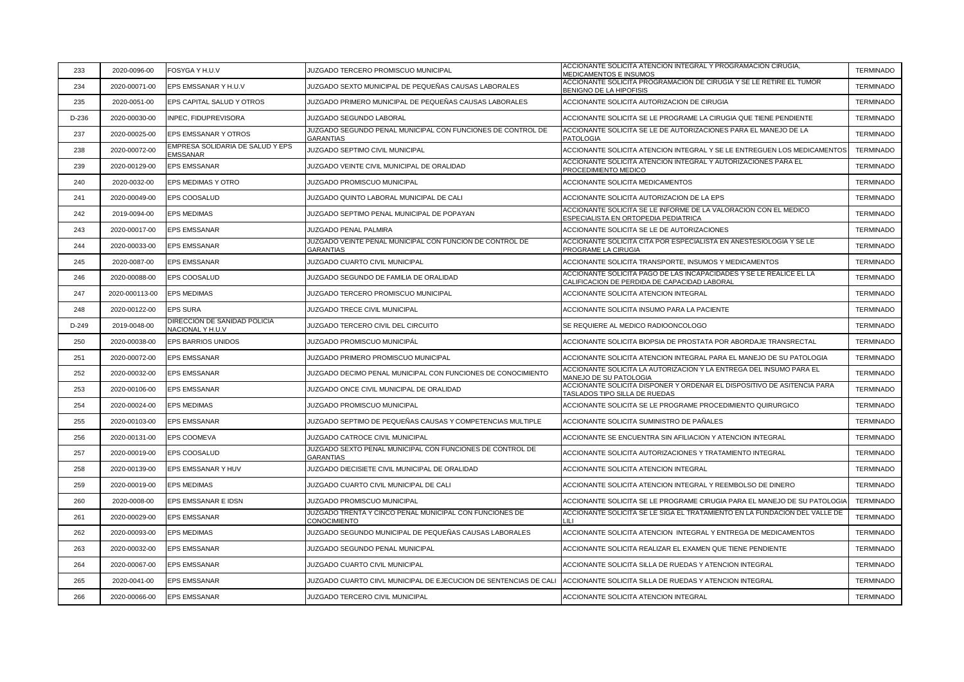| 233     | 2020-0096-00   | FOSYGA Y H.U.V                                      | JUZGADO TERCERO PROMISCUO MUNICIPAL                                             | ACCIONANTE SOLICITA ATENCION INTEGRAL Y PROGRAMACIÓN CIRUGIA,<br>MEDICAMENTOS E INSUMOS                             | <b>TERMINADO</b> |
|---------|----------------|-----------------------------------------------------|---------------------------------------------------------------------------------|---------------------------------------------------------------------------------------------------------------------|------------------|
| 234     | 2020-00071-00  | EPS EMSSANAR Y H.U.V                                | JUZGADO SEXTO MUNICIPAL DE PEQUEÑAS CAUSAS LABORALES                            | ACCIONANTE SOLICITA PROGRAMACION DE CIRUGIA Y SE LE RETIRE EL TUMOR<br>BENIGNO DE LA HIPOFISIS                      | <b>TERMINADO</b> |
| 235     | 2020-0051-00   | EPS CAPITAL SALUD Y OTROS                           | JUZGADO PRIMERO MUNICIPAL DE PEQUEÑAS CAUSAS LABORALES                          | ACCIONANTE SOLICITA AUTORIZACION DE CIRUGIA                                                                         | <b>TERMINADO</b> |
| D-236   | 2020-00030-00  | INPEC, FIDUPREVISORA                                | JUZGADO SEGUNDO LABORAL                                                         | ACCIONANTE SOLICITA SE LE PROGRAME LA CIRUGIA QUE TIENE PENDIENTE                                                   | <b>TERMINADO</b> |
| 237     | 2020-00025-00  | EPS EMSSANAR Y OTROS                                | JUZGADO SEGUNDO PENAL MUNICIPAL CON FUNCIONES DE CONTROL DE<br><b>GARANTIAS</b> | ACCIONANTE SOLICITA SE LE DE AUTORIZACIONES PARA EL MANEJO DE LA<br><b>PATOLOGIA</b>                                | <b>TERMINADO</b> |
| 238     | 2020-00072-00  | EMPRESA SOLIDARIA DE SALUD Y EPS<br><b>EMSSANAR</b> | JUZGADO SEPTIMO CIVIL MUNICIPAL                                                 | ACCIONANTE SOLICITA ATENCION INTEGRAL Y SE LE ENTREGUEN LOS MEDICAMENTOS                                            | <b>TERMINADO</b> |
| 239     | 2020-00129-00  | EPS EMSSANAR                                        | JUZGADO VEINTE CIVIL MUNICIPAL DE ORALIDAD                                      | ACCIONANTE SOLICITA ATENCION INTEGRAL Y AUTORIZACIONES PARA EL<br>PROCEDIMIENTO MEDICO                              | <b>TERMINADO</b> |
| 240     | 2020-0032-00   | EPS MEDIMAS Y OTRO                                  | JUZGADO PROMISCUO MUNICIPAL                                                     | ACCIONANTE SOLICITA MEDICAMENTOS                                                                                    | <b>TERMINADO</b> |
| 241     | 2020-00049-00  | EPS COOSALUD                                        | JUZGADO QUINTO LABORAL MUNICIPAL DE CALI                                        | ACCIONANTE SOLICITA AUTORIZACION DE LA EPS                                                                          | <b>TERMINADO</b> |
| 242     | 2019-0094-00   | <b>EPS MEDIMAS</b>                                  | JUZGADO SEPTIMO PENAL MUNICIPAL DE POPAYAN                                      | ACCIONANTE SOLICITA SE LE INFORME DE LA VALORACION CON EL MEDICO<br>ESPECIALISTA EN ORTOPEDIA PEDIATRICA            | <b>TERMINADO</b> |
| 243     | 2020-00017-00  | <b>EPS EMSSANAR</b>                                 | JUZGADO PENAL PALMIRA                                                           | ACCIONANTE SOLICITA SE LE DE AUTORIZACIONES                                                                         | <b>TERMINADO</b> |
| 244     | 2020-00033-00  | <b>EPS EMSSANAR</b>                                 | JUZGADO VEINTE PENAL MUNICIPAL CON FUNCION DE CONTROL DE<br><b>GARANTIAS</b>    | ACCIONANTE SOLICITA CITA POR ESPECIALISTA EN ANESTESIOLOGIA Y SE LE<br>PROGRAME LA CIRUGIA                          | <b>TERMINADO</b> |
| 245     | 2020-0087-00   | <b>EPS EMSSANAR</b>                                 | JUZGADO CUARTO CIVIL MUNICIPAL                                                  | ACCIONANTE SOLICITA TRANSPORTE, INSUMOS Y MEDICAMENTOS                                                              | <b>TERMINADO</b> |
| 246     | 2020-00088-00  | EPS COOSALUD                                        | JUZGADO SEGUNDO DE FAMILIA DE ORALIDAD                                          | ACCIONANTE SOLICITA PAGO DE LAS INCAPACIDADES Y SE LE REALICE EL LA<br>CALIFICACION DE PERDIDA DE CAPACIDAD LABORAL | <b>TERMINADO</b> |
| 247     | 2020-000113-00 | <b>EPS MEDIMAS</b>                                  | JUZGADO TERCERO PROMISCUO MUNICIPAL                                             | ACCIONANTE SOLICITA ATENCION INTEGRAL                                                                               | <b>TERMINADO</b> |
| 248     | 2020-00122-00  | <b>EPS SURA</b>                                     | JUZGADO TRECE CIVIL MUNICIPAL                                                   | ACCIONANTE SOLICITA INSUMO PARA LA PACIENTE                                                                         | <b>TERMINADO</b> |
| $D-249$ | 2019-0048-00   | DIRECCION DE SANIDAD POLICIA<br>NACIONAL Y H.U.V    | JUZGADO TERCERO CIVIL DEL CIRCUITO                                              | SE REQUIERE AL MEDICO RADIOONCOLOGO                                                                                 | <b>TERMINADO</b> |
| 250     | 2020-00038-00  | EPS BARRIOS UNIDOS                                  | JUZGADO PROMISCUO MUNICIPÁL                                                     | ACCIONANTE SOLICITA BIOPSIA DE PROSTATA POR ABORDAJE TRANSRECTAL                                                    | <b>TERMINADO</b> |
| 251     | 2020-00072-00  | <b>EPS EMSSANAR</b>                                 | JUZGADO PRIMERO PROMISCUO MUNICIPAL                                             | ACCIONANTE SOLICITA ATENCION INTEGRAL PARA EL MANEJO DE SU PATOLOGIA                                                | <b>TERMINADO</b> |
| 252     | 2020-00032-00  | <b>EPS EMSSANAR</b>                                 | JUZGADO DECIMO PENAL MUNICIPAL CON FUNCIONES DE CONOCIMIENTO                    | ACCIONANTE SOLICITA LA AUTORIZACION Y LA ENTREGA DEL INSUMO PARA EL<br>MANEJO DE SU PATOLOGIA                       | <b>TERMINADO</b> |
| 253     | 2020-00106-00  | <b>EPS EMSSANAR</b>                                 | JUZGADO ONCE CIVIL MUNICIPAL DE ORALIDAD                                        | ACCIONANTE SOLICITA DISPONER Y ORDENAR EL DISPOSITIVO DE ASITENCIA PARA<br>TASLADOS TIPO SILLA DE RUEDAS            | <b>TERMINADO</b> |
| 254     | 2020-00024-00  | <b>EPS MEDIMAS</b>                                  | JUZGADO PROMISCUO MUNICIPAL                                                     | ACCIONANTE SOLICITA SE LE PROGRAME PROCEDIMIENTO QUIRURGICO                                                         | <b>TERMINADO</b> |
| 255     | 2020-00103-00  | <b>EPS EMSSANAR</b>                                 | JUZGADO SEPTIMO DE PEQUEÑAS CAUSAS Y COMPETENCIAS MULTIPLE                      | ACCIONANTE SOLICITA SUMINISTRO DE PAÑALES                                                                           | <b>TERMINADO</b> |
| 256     | 2020-00131-00  | EPS COOMEVA                                         | JUZGADO CATROCE CIVIL MUNICIPAL                                                 | ACCIONANTE SE ENCUENTRA SIN AFILIACION Y ATENCION INTEGRAL                                                          | <b>TERMINADO</b> |
| 257     | 2020-00019-00  | EPS COOSALUD                                        | JUZGADO SEXTO PENAL MUNICIPAL CON FUNCIONES DE CONTROL DE<br><b>GARANTIAS</b>   | ACCIONANTE SOLICITA AUTORIZACIONES Y TRATAMIENTO INTEGRAL                                                           | <b>TERMINADO</b> |
| 258     | 2020-00139-00  | EPS EMSSANAR Y HUV                                  | JUZGADO DIECISIETE CIVIL MUNICIPAL DE ORALIDAD                                  | ACCIONANTE SOLICITA ATENCION INTEGRAL                                                                               | <b>TERMINADO</b> |
| 259     | 2020-00019-00  | <b>EPS MEDIMAS</b>                                  | JUZGADO CUARTO CIVIL MUNICIPAL DE CALI                                          | ACCIONANTE SOLICITA ATENCION INTEGRAL Y REEMBOLSO DE DINERO                                                         | <b>TERMINADO</b> |
| 260     | 2020-0008-00   | EPS EMSSANAR E IDSN                                 | JUZGADO PROMISCUO MUNICIPAL                                                     | ACCIONANTE SOLICITA SE LE PROGRAME CIRUGIA PARA EL MANEJO DE SU PATOLOGIA                                           | <b>TERMINADO</b> |
| 261     | 2020-00029-00  | <b>EPS EMSSANAR</b>                                 | JUZGADO TRENTA Y CINCO PENAL MUNICIPAL CON FUNCIONES DE<br>CONOCIMIENTO         | ACCIONANTE SOLICITA SE LE SIGA EL TRATAMIENTO EN LA FUNDACION DEL VALLE DE<br>ШT                                    | <b>TERMINADO</b> |
| 262     | 2020-00093-00  | <b>EPS MEDIMAS</b>                                  | JUZGADO SEGUNDO MUNICIPAL DE PEQUEÑAS CAUSAS LABORALES                          | ACCIONANTE SOLICITA ATENCION INTEGRAL Y ENTREGA DE MEDICAMENTOS                                                     | <b>TERMINADO</b> |
| 263     | 2020-00032-00  | <b>EPS EMSSANAR</b>                                 | JUZGADO SEGUNDO PENAL MUNICIPAL                                                 | ACCIONANTE SOLICITA REALIZAR EL EXAMEN QUE TIENE PENDIENTE                                                          | <b>TERMINADO</b> |
| 264     | 2020-00067-00  | <b>EPS EMSSANAR</b>                                 | JUZGADO CUARTO CIVIL MUNICIPAL                                                  | ACCIONANTE SOLICITA SILLA DE RUEDAS Y ATENCION INTEGRAL                                                             | <b>TERMINADO</b> |
| 265     | 2020-0041-00   | <b>EPS EMSSANAR</b>                                 | JUZGADO CUARTO CIIVL MUNICIPAL DE EJECUCION DE SENTENCIAS DE CALI               | ACCIONANTE SOLICITA SILLA DE RUEDAS Y ATENCION INTEGRAL                                                             | <b>TERMINADO</b> |
| 266     | 2020-00066-00  | <b>EPS EMSSANAR</b>                                 | JUZGADO TERCERO CIVIL MUNICIPAL                                                 | ACCIONANTE SOLICITA ATENCION INTEGRAL                                                                               | <b>TERMINADO</b> |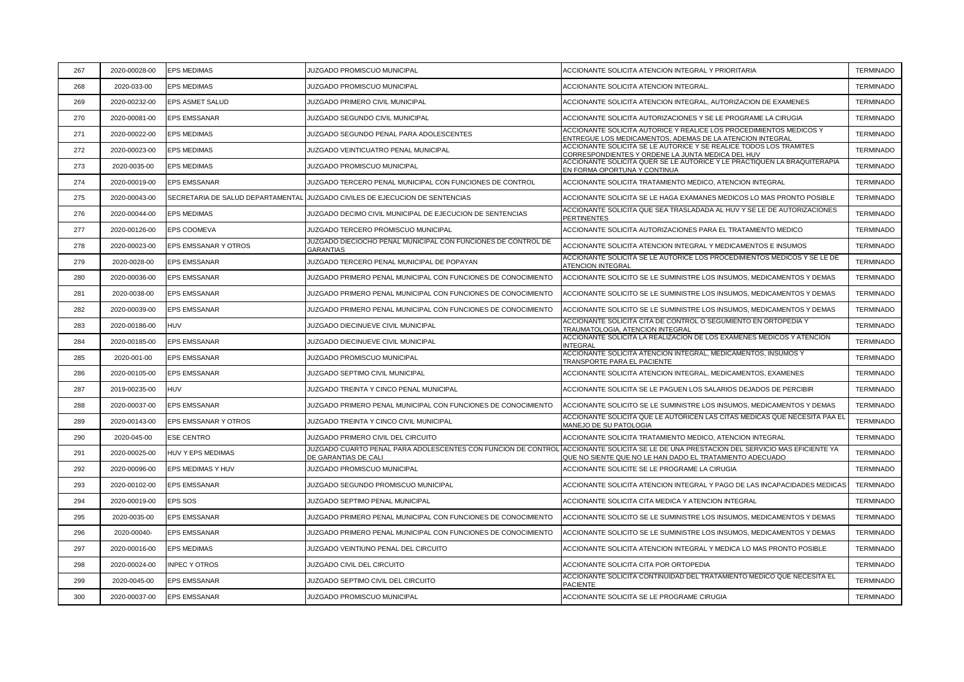| 267 | 2020-00028-00 | <b>EPS MEDIMAS</b>                | <b>JUZGADO PROMISCUO MUNICIPAL</b>                                                    | ACCIONANTE SOLICITA ATENCION INTEGRAL Y PRIORITARIA                                                                                     | <b>TERMINADO</b> |
|-----|---------------|-----------------------------------|---------------------------------------------------------------------------------------|-----------------------------------------------------------------------------------------------------------------------------------------|------------------|
| 268 | 2020-033-00   | <b>EPS MEDIMAS</b>                | JUZGADO PROMISCUO MUNICIPAL                                                           | ACCIONANTE SOLICITA ATENCION INTEGRAL                                                                                                   | <b>TERMINADO</b> |
| 269 | 2020-00232-00 | EPS ASMET SALUD                   | JUZGADO PRIMERO CIVIL MUNICIPAL                                                       | ACCIONANTE SOLICITA ATENCION INTEGRAL, AUTORIZACION DE EXAMENES                                                                         | <b>TERMINADO</b> |
| 270 | 2020-00081-00 | EPS EMSSANAR                      | JUZGADO SEGUNDO CIVIL MUNICIPAL                                                       | ACCIONANTE SOLICITA AUTORIZACIONES Y SE LE PROGRAME LA CIRUGIA                                                                          | <b>TERMINADO</b> |
| 271 | 2020-00022-00 | <b>EPS MEDIMAS</b>                | JUZGADO SEGUNDO PENAL PARA ADOLESCENTES                                               | ACCIONANTE SOLICITA AUTORICE Y REALICE LOS PROCEDIMIENTOS MEDICOS Y<br>ENTREGUE <u>LOS MEDICAMENTOS, ADEMAS DE LA ATENCION INTEGRAL</u> | <b>TERMINADO</b> |
| 272 | 2020-00023-00 | <b>EPS MEDIMAS</b>                | JUZGADO VEINTICUATRO PENAL MUNICIPAL                                                  | ACCIONANTE SOLICITA SE LE AUTORICE Y SE REALICE TODOS LOS TRAMITES<br>CORRESPONDIENTES Y ORDENE LA JUNTA MEDICA DEL HUV                 | <b>TERMINADO</b> |
| 273 | 2020-0035-00  | <b>EPS MEDIMAS</b>                | JUZGADO PROMISCUO MUNICIPAL                                                           | ACCIONANTE SOLICITA QUER SE LE AUTORICE Y LE PRACTIQUEN LA BRAQUITERAPIA<br>EN FORMA OPORTUNA Y CONTINUA                                | <b>TERMINADO</b> |
| 274 | 2020-00019-00 | <b>EPS EMSSANAR</b>               | JUZGADO TERCERO PENAL MUNICIPAL CON FUNCIONES DE CONTROL                              | ACCIONANTE SOLICITA TRATAMIENTO MEDICO, ATENCION INTEGRAL                                                                               | <b>TERMINADO</b> |
| 275 | 2020-00043-00 | SECRETARIA DE SALUD DEPARTAMENTAL | JUZGADO CIVILES DE EJECUCION DE SENTENCIAS                                            | ACCIONANTE SOLICITA SE LE HAGA EXAMANES MEDICOS LO MAS PRONTO POSIBLE                                                                   | <b>TERMINADO</b> |
| 276 | 2020-00044-00 | <b>EPS MEDIMAS</b>                | JUZGADO DECIMO CIVIL MUNICIPAL DE EJECUCION DE SENTENCIAS                             | ACCIONANTE SOLICITA QUE SEA TRASLADADA AL HUV Y SE LE DE AUTORIZACIONES<br>PERTINENTES                                                  | <b>TERMINADO</b> |
| 277 | 2020-00126-00 | EPS COOMEVA                       | JUZGADO TERCERO PROMISCUO MUNICIPAL                                                   | ACCIONANTE SOLICITA AUTORIZACIONES PARA EL TRATAMIENTO MEDICO                                                                           | <b>TERMINADO</b> |
| 278 | 2020-00023-00 | EPS EMSSANAR Y OTROS              | JUZGADO DIECIOCHO PENAL MUNICIPAL CON FUNCIONES DE CONTROL DE<br><b>GARANTIAS</b>     | ACCIONANTE SOLICITA ATENCION INTEGRAL Y MEDICAMENTOS E INSUMOS                                                                          | <b>TERMINADO</b> |
| 279 | 2020-0028-00  | <b>EPS EMSSANAR</b>               | JUZGADO TERCERO PENAL MUNICIPAL DE POPAYAN                                            | ACCIONANTE SOLICITA SE LE AUTORICE LOS PROCEDIMIENTOS MEDICOS Y SE LE DE<br><b>ATENCION INTEGRAL</b>                                    | <b>TERMINADO</b> |
| 280 | 2020-00036-00 | <b>EPS EMSSANAR</b>               | JUZGADO PRIMERO PENAL MUNICIPAL CON FUNCIONES DE CONOCIMIENTO                         | ACCIONANTE SOLICITO SE LE SUMINISTRE LOS INSUMOS, MEDICAMENTOS Y DEMAS                                                                  | <b>TERMINADO</b> |
| 281 | 2020-0038-00  | <b>EPS EMSSANAR</b>               | JUZGADO PRIMERO PENAL MUNICIPAL CON FUNCIONES DE CONOCIMIENTO                         | ACCIONANTE SOLICITO SE LE SUMINISTRE LOS INSUMOS, MEDICAMENTOS Y DEMAS                                                                  | <b>TERMINADO</b> |
| 282 | 2020-00039-00 | <b>EPS EMSSANAR</b>               | JUZGADO PRIMERO PENAL MUNICIPAL CON FUNCIONES DE CONOCIMIENTO                         | ACCIONANTE SOLICITO SE LE SUMINISTRE LOS INSUMOS, MEDICAMENTOS Y DEMAS                                                                  | <b>TERMINADO</b> |
| 283 | 2020-00186-00 | <b>HUV</b>                        | JUZGADO DIECINUEVE CIVIL MUNICIPAL                                                    | ACCIONANTE SOLICITA CITA DE CONTROL O SEGUMIENTO EN ORTOPEDIA Y<br>TRAUMATOLOGIA, ATENCION INTEGRAI                                     | <b>TERMINADO</b> |
| 284 | 2020-00185-00 | <b>EPS EMSSANAR</b>               | JUZGADO DIECINUEVE CIVIL MUNICIPAL                                                    | ACCIONANTE SOLICITA LA REALIZACION DE LOS EXAMENES MEDICOS Y ATENCION<br><b>INTEGRAI</b>                                                | <b>TERMINADO</b> |
| 285 | 2020-001-00   | <b>EPS EMSSANAR</b>               | JUZGADO PROMISCUO MUNICIPAL                                                           | ACCIONANTE SOLICITA ATENCION INTEGRAL, MEDICAMENTOS, INSUMOS Y<br>TRANSPORTE PARA EL PACIENTE                                           | <b>TERMINADO</b> |
| 286 | 2020-00105-00 | <b>EPS EMSSANAR</b>               | JUZGADO SEPTIMO CIVIL MUNICIPAL                                                       | ACCIONANTE SOLICITA ATENCION INTEGRAL, MEDICAMENTOS, EXAMENES                                                                           | <b>TERMINADO</b> |
| 287 | 2019-00235-00 | <b>HUV</b>                        | JUZGADO TREINTA Y CINCO PENAL MUNICIPAL                                               | ACCIONANTE SOLICITA SE LE PAGUEN LOS SALARIOS DEJADOS DE PERCIBIR                                                                       | <b>TERMINADO</b> |
| 288 | 2020-00037-00 | <b>EPS EMSSANAR</b>               | JUZGADO PRIMERO PENAL MUNICIPAL CON FUNCIONES DE CONOCIMIENTO                         | ACCIONANTE SOLICITO SE LE SUMINISTRE LOS INSUMOS, MEDICAMENTOS Y DEMAS                                                                  | <b>TERMINADO</b> |
| 289 | 2020-00143-00 | EPS EMSSANAR Y OTROS              | JUZGADO TREINTA Y CINCO CIVIL MUNICIPAL                                               | ACCIONANTE SOLICITA QUE LE AUTORICEN LAS CITAS MEDICAS QUE NECESITA PAA EL<br>MANEJO DE SU PATOLOGIA                                    | <b>TERMINADO</b> |
| 290 | 2020-045-00   | <b>ESE CENTRO</b>                 | JUZGADO PRIMERO CIVIL DEL CIRCUITO                                                    | ACCIONANTE SOLICITA TRATAMIENTO MEDICO, ATENCION INTEGRAL                                                                               | <b>TERMINADO</b> |
| 291 | 2020-00025-00 | HUV Y EPS MEDIMAS                 | JUZGADO CUARTO PENAL PARA ADOLESCENTES CON FUNCION DE CONTROL<br>DE GARANTIAS DE CALI | ACCIONANTE SOLICITA SE LE DE UNA PRESTACION DEL SERVICIO MAS EFICIENTE YA<br>QUE NO SIENTE QUE NO LE HAN DADO EL TRATAMIENTO ADECUADO   | <b>TERMINADO</b> |
| 292 | 2020-00096-00 | EPS MEDIMAS Y HUV                 | <b>JUZGADO PROMISCUO MUNICIPAL</b>                                                    | ACCIONANTE SOLICITE SE LE PROGRAME LA CIRUGIA                                                                                           | <b>TERMINADO</b> |
| 293 | 2020-00102-00 | <b>EPS EMSSANAR</b>               | JUZGADO SEGUNDO PROMISCUO MUNICIPAL                                                   | ACCIONANTE SOLICITA ATENCION INTEGRAL Y PAGO DE LAS INCAPACIDADES MEDICAS                                                               | <b>TERMINADO</b> |
| 294 | 2020-00019-00 | EPS SOS                           | JUZGADO SEPTIMO PENAL MUNICIPAL                                                       | ACCIONANTE SOLICITA CITA MEDICA Y ATENCION INTEGRAL                                                                                     | <b>TERMINADO</b> |
| 295 | 2020-0035-00  | EPS EMSSANAR                      | JUZGADO PRIMERO PENAL MUNICIPAL CON FUNCIONES DE CONOCIMIENTO                         | ACCIONANTE SOLICITO SE LE SUMINISTRE LOS INSUMOS, MEDICAMENTOS Y DEMAS                                                                  | <b>TERMINADO</b> |
| 296 | 2020-00040-   | EPS EMSSANAR                      | JUZGADO PRIMERO PENAL MUNICIPAL CON FUNCIONES DE CONOCIMIENTO                         | ACCIONANTE SOLICITO SE LE SUMINISTRE LOS INSUMOS, MEDICAMENTOS Y DEMAS                                                                  | <b>TERMINADO</b> |
| 297 | 2020-00016-00 | <b>EPS MEDIMAS</b>                | JUZGADO VEINTIUNO PENAL DEL CIRCUITO                                                  | ACCIONANTE SOLICITA ATENCION INTEGRAL Y MEDICA LO MAS PRONTO POSIBLE                                                                    | <b>TERMINADO</b> |
| 298 | 2020-00024-00 | <b>INPEC Y OTROS</b>              | JUZGADO CIVIL DEL CIRCUITO                                                            | ACCIONANTE SOLICITA CITA POR ORTOPEDIA                                                                                                  | <b>TERMINADO</b> |
| 299 | 2020-0045-00  | <b>EPS EMSSANAR</b>               | JUZGADO SEPTIMO CIVIL DEL CIRCUITO                                                    | ACCIONANTE SOLICITA CONTINUIDAD DEL TRATAMIENTO MEDICO QUE NECESITA EL<br><b>PACIENTE</b>                                               | <b>TERMINADO</b> |
| 300 | 2020-00037-00 | <b>EPS EMSSANAR</b>               | JUZGADO PROMISCUO MUNICIPAL                                                           | ACCIONANTE SOLICITA SE LE PROGRAME CIRUGIA                                                                                              | <b>TERMINADO</b> |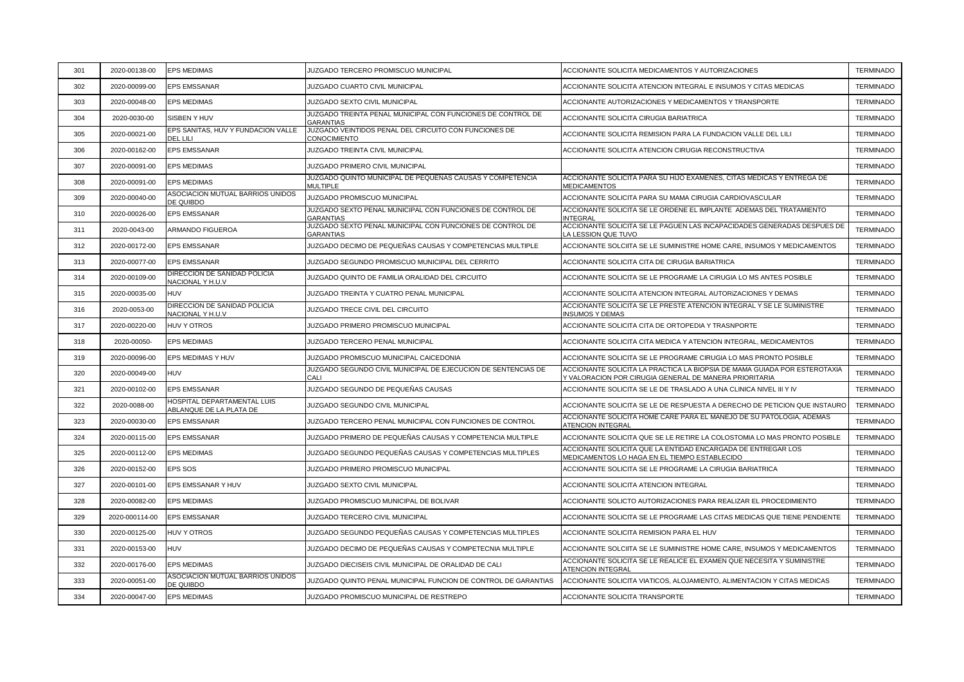| 301 | 2020-00138-00  | <b>EPS MEDIMAS</b>                                     | JUZGADO TERCERO PROMISCUO MUNICIPAL                                             | ACCIONANTE SOLICITA MEDICAMENTOS Y AUTORIZACIONES                                                                                   | <b>TERMINADO</b> |
|-----|----------------|--------------------------------------------------------|---------------------------------------------------------------------------------|-------------------------------------------------------------------------------------------------------------------------------------|------------------|
| 302 | 2020-00099-00  | <b>EPS EMSSANAR</b>                                    | JUZGADO CUARTO CIVIL MUNICIPAL                                                  | ACCIONANTE SOLICITA ATENCION INTEGRAL E INSUMOS Y CITAS MEDICAS                                                                     | <b>TERMINADO</b> |
| 303 | 2020-00048-00  | <b>EPS MEDIMAS</b>                                     | JUZGADO SEXTO CIVIL MUNICIPAL                                                   | ACCIONANTE AUTORIZACIONES Y MEDICAMENTOS Y TRANSPORTE                                                                               | <b>TERMINADO</b> |
| 304 | 2020-0030-00   | SISBEN Y HUV                                           | JUZGADO TREINTA PENAL MUNICIPAL CON FUNCIONES DE CONTROL DE<br><b>GARANTIAS</b> | ACCIONANTE SOLICITA CIRUGIA BARIATRICA                                                                                              | <b>TERMINADO</b> |
| 305 | 2020-00021-00  | EPS SANITAS, HUV Y FUNDACION VALLE<br><b>DEL LILI</b>  | JUZGADO VEINTIDOS PENAL DEL CIRCUITO CON FUNCIONES DE<br>CONOCIMIENTO           | ACCIONANTE SOLICITA REMISION PARA LA FUNDACION VALLE DEL LILI                                                                       | <b>TERMINADO</b> |
| 306 | 2020-00162-00  | <b>EPS EMSSANAR</b>                                    | JUZGADO TREINTA CIVIL MUNICIPAL                                                 | ACCIONANTE SOLICITA ATENCION CIRUGIA RECONSTRUCTIVA                                                                                 | <b>TERMINADO</b> |
| 307 | 2020-00091-00  | <b>EPS MEDIMAS</b>                                     | JUZGADO PRIMERO CIVIL MUNICIPAL                                                 |                                                                                                                                     | <b>TERMINADO</b> |
| 308 | 2020-00091-00  | <b>EPS MEDIMAS</b>                                     | JUZGADO QUINTO MUNICIPAL DE PEQUEÑAS CAUSAS Y COMPETENCIA<br><b>MULTIPLE</b>    | ACCIONANTE SOLICITA PARA SU HIJO EXAMENES, CITAS MEDICAS Y ENTREGA DE<br><b>MEDICAMENTOS</b>                                        | <b>TERMINADO</b> |
| 309 | 2020-00040-00  | ASOCIACION MUTUAL BARRIOS UNIDOS<br>DE QUIBDO          | JUZGADO PROMISCUO MUNICIPAL                                                     | ACCIONANTE SOLICITA PARA SU MAMA CIRUGIA CARDIOVASCULAR                                                                             | <b>TERMINADO</b> |
| 310 | 2020-00026-00  | <b>EPS EMSSANAR</b>                                    | JUZGADO SEXTO PENAL MUNICIPAL CON FUNCIONES DE CONTROL DE<br><b>GARANTIAS</b>   | ACCIONANTE SOLICITA SE LE ORDENE EL IMPLANTE ADEMAS DEL TRATAMIENTO<br><b>INTEGRAI</b>                                              | <b>TERMINADO</b> |
| 311 | 2020-0043-00   | <b>ARMANDO FIGUEROA</b>                                | JUZGADO SEXTO PENAL MUNICIPAL CON FUNCIONES DE CONTROL DE<br><b>GARANTIAS</b>   | ACCIONANTE SOLICITA SE LE PAGUEN LAS INCAPACIDADES GENERADAS DESPUES DE<br>LA LESSION QUE TUVO                                      | <b>TERMINADO</b> |
| 312 | 2020-00172-00  | <b>EPS EMSSANAR</b>                                    | JUZGADO DECIMO DE PEQUEÑAS CAUSAS Y COMPETENCIAS MULTIPLE                       | ACCIONANTE SOLCIITA SE LE SUMINISTRE HOME CARE, INSUMOS Y MEDICAMENTOS                                                              | <b>TERMINADO</b> |
| 313 | 2020-00077-00  | <b>EPS EMSSANAR</b>                                    | JUZGADO SEGUNDO PROMISCUO MUNICIPAL DEL CERRITO                                 | ACCIONANTE SOLICITA CITA DE CIRUGIA BARIATRICA                                                                                      | <b>TERMINADO</b> |
| 314 | 2020-00109-00  | DIRECCION DE SANIDAD POLICIA<br>NACIONAL Y H.U.V       | JUZGADO QUINTO DE FAMILIA ORALIDAD DEL CIRCUITO                                 | ACCIONANTE SOLICITA SE LE PROGRAME LA CIRUGIA LO MS ANTES POSIBLE                                                                   | <b>TERMINADO</b> |
| 315 | 2020-00035-00  | <b>HUV</b>                                             | JUZGADO TREINTA Y CUATRO PENAL MUNICIPAL                                        | ACCIONANTE SOLICITA ATENCION INTEGRAL AUTORIZACIONES Y DEMAS                                                                        | <b>TERMINADO</b> |
| 316 | 2020-0053-00   | DIRECCION DE SANIDAD POLICIA<br>NACIONAL Y H.U.V       | JUZGADO TRECE CIVIL DEL CIRCUITO                                                | ACCIONANTE SOLICITA SE LE PRESTE ATENCION INTEGRAL Y SE LE SUMINISTRE<br><b>INSUMOS Y DEMAS</b>                                     | <b>TERMINADO</b> |
| 317 | 2020-00220-00  | <b>HUV Y OTROS</b>                                     | JUZGADO PRIMERO PROMISCUO MUNICIPAL                                             | ACCIONANTE SOLICITA CITA DE ORTOPEDIA Y TRASNPORTE                                                                                  | <b>TERMINADO</b> |
| 318 | 2020-00050-    | <b>EPS MEDIMAS</b>                                     | JUZGADO TERCERO PENAL MUNICIPAL                                                 | ACCIONANTE SOLICITA CITA MEDICA Y ATENCION INTEGRAL, MEDICAMENTOS                                                                   | <b>TERMINADO</b> |
| 319 | 2020-00096-00  | EPS MEDIMAS Y HUV                                      | JUZGADO PROMISCUO MUNICIPAL CAICEDONIA                                          | ACCIONANTE SOLICITA SE LE PROGRAME CIRUGIA LO MAS PRONTO POSIBLE                                                                    | <b>TERMINADO</b> |
| 320 | 2020-00049-00  | <b>HUV</b>                                             | JUZGADO SEGUNDO CIVIL MUNICIPAL DE EJECUCION DE SENTENCIAS DE<br>CALI           | ACCIONANTE SOLICITA LA PRACTICA LA BIOPSIA DE MAMA GUIADA POR ESTEROTAXIA<br>Y VALORACION POR CIRUGIA GENERAL DE MANERA PRIORITARIA | <b>TERMINADO</b> |
| 321 | 2020-00102-00  | EPS EMSSANAR                                           | JUZGADO SEGUNDO DE PEQUEÑAS CAUSAS                                              | ACCIONANTE SOLICITA SE LE DE TRASLADO A UNA CLINICA NIVEL III Y IV                                                                  | <b>TERMINADO</b> |
| 322 | 2020-0088-00   | HOSPITAL DEPARTAMENTAL LUIS<br>ABLANQUE DE LA PLATA DE | JUZGADO SEGUNDO CIVIL MUNICIPAL                                                 | ACCIONANTE SOLICITA SE LE DE RESPUESTA A DERECHO DE PETICION QUE INSTAURO                                                           | <b>TERMINADO</b> |
| 323 | 2020-00030-00  | <b>EPS EMSSANAR</b>                                    | JUZGADO TERCERO PENAL MUNICIPAL CON FUNCIONES DE CONTROL                        | ACCIONANTE SOLICITA HOME CARE PARA EL MANEJO DE SU PATOLOGIA, ADEMAS<br>ATENCION INTEGRAL                                           | <b>TERMINADO</b> |
| 324 | 2020-00115-00  | <b>EPS EMSSANAR</b>                                    | JUZGADO PRIMERO DE PEQUEÑAS CAUSAS Y COMPETENCIA MULTIPLE                       | ACCIONANTE SOLICITA QUE SE LE RETIRE LA COLOSTOMIA LO MAS PRONTO POSIBLE                                                            | <b>TERMINADO</b> |
| 325 | 2020-00112-00  | <b>EPS MEDIMAS</b>                                     | JUZGADO SEGUNDO PEQUEÑAS CAUSAS Y COMPETENCIAS MULTIPLES                        | ACCIONANTE SOLICITA QUE LA ENTIDAD ENCARGADA DE ENTREGAR LOS<br>MEDICAMENTOS LO HAGA EN EL TIEMPO ESTABLECIDO                       | <b>TERMINADO</b> |
| 326 | 2020-00152-00  | EPS SOS                                                | JUZGADO PRIMERO PROMISCUO MUNICIPAL                                             | ACCIONANTE SOLICITA SE LE PROGRAME LA CIRUGIA BARIATRICA                                                                            | <b>TERMINADO</b> |
| 327 | 2020-00101-00  | EPS EMSSANAR Y HUV                                     | JUZGADO SEXTO CIVIL MUNICIPAL                                                   | ACCIONANTE SOLICITA ATENCION INTEGRAL                                                                                               | <b>TERMINADO</b> |
| 328 | 2020-00082-00  | <b>EPS MEDIMAS</b>                                     | JUZGADO PROMISCUO MUNICIPAL DE BOLIVAR                                          | ACCIONANTE SOLICTO AUTORIZACIONES PARA REALIZAR EL PROCEDIMIENTO                                                                    | <b>TERMINADO</b> |
| 329 | 2020-000114-00 | <b>EPS EMSSANAR</b>                                    | JUZGADO TERCERO CIVIL MUNICIPAL                                                 | ACCIONANTE SOLICITA SE LE PROGRAME LAS CITAS MEDICAS QUE TIENE PENDIENTE                                                            | <b>TERMINADO</b> |
| 330 | 2020-00125-00  | <b>HUV Y OTROS</b>                                     | JUZGADO SEGUNDO PEQUEÑAS CAUSAS Y COMPETENCIAS MULTIPLES                        | ACCIONANTE SOLICITA REMISION PARA EL HUV                                                                                            | <b>TERMINADO</b> |
| 331 | 2020-00153-00  | <b>HUV</b>                                             | JUZGADO DECIMO DE PEQUEÑAS CAUSAS Y COMPETECNIA MULTIPLE                        | ACCIONANTE SOLCIITA SE LE SUMINISTRE HOME CARE, INSUMOS Y MEDICAMENTOS                                                              | <b>TERMINADO</b> |
| 332 | 2020-00176-00  | <b>EPS MEDIMAS</b>                                     | JUZGADO DIECISEIS CIVIL MUNICIPAL DE ORALIDAD DE CALI                           | ACCIONANTE SOLICITA SE LE REALICE EL EXAMEN QUE NECESITA Y SUMINISTRE<br>ATENCION INTEGRAL                                          | <b>TERMINADO</b> |
| 333 | 2020-00051-00  | ASOCIACION MUTUAL BARRIOS UNIDOS<br>DE QUIBDO          | JUZGADO QUINTO PENAL MUNICIPAL FUNCION DE CONTROL DE GARANTIAS                  | ACCIONANTE SOLICITA VIATICOS, ALOJAMIENTO, ALIMENTACION Y CITAS MEDICAS                                                             | <b>TERMINADO</b> |
| 334 | 2020-00047-00  | <b>EPS MEDIMAS</b>                                     | JUZGADO PROMISCUO MUNICIPAL DE RESTREPO                                         | ACCIONANTE SOLICITA TRANSPORTE                                                                                                      | <b>TERMINADO</b> |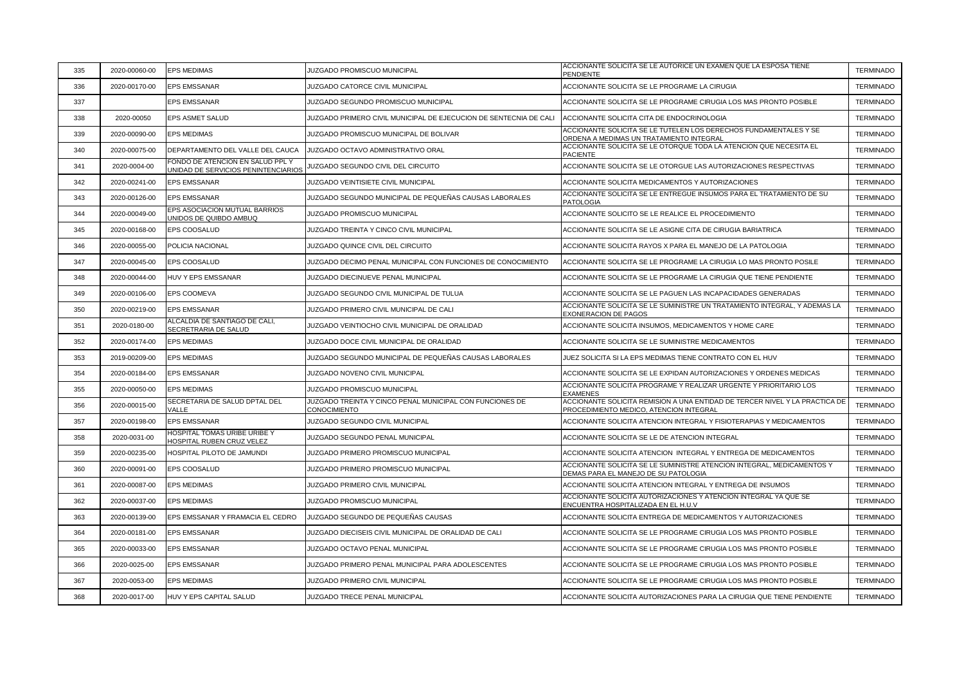| 335 | 2020-00060-00 | <b>EPS MEDIMAS</b>                                                      | JUZGADO PROMISCUO MUNICIPAL                                              | ACCIONANTE SOLICITA SE LE AUTORICE UN EXAMEN QUE LA ESPOSA TIENE<br>PENDIENTE                                          | <b>TERMINADO</b> |
|-----|---------------|-------------------------------------------------------------------------|--------------------------------------------------------------------------|------------------------------------------------------------------------------------------------------------------------|------------------|
| 336 | 2020-00170-00 | <b>EPS EMSSANAR</b>                                                     | JUZGADO CATORCE CIVIL MUNICIPAL                                          | ACCIONANTE SOLICITA SE LE PROGRAME LA CIRUGIA                                                                          | <b>TERMINADO</b> |
| 337 |               | <b>EPS EMSSANAR</b>                                                     | JUZGADO SEGUNDO PROMISCUO MUNICIPAL                                      | ACCIONANTE SOLICITA SE LE PROGRAME CIRUGIA LOS MAS PRONTO POSIBLE                                                      | <b>TERMINADO</b> |
| 338 | 2020-00050    | <b>EPS ASMET SALUD</b>                                                  | JUZGADO PRIMERO CIVIL MUNICIPAL DE EJECUCION DE SENTECNIA DE CALI        | ACCIONANTE SOLICITA CITA DE ENDOCRINOLOGIA                                                                             | <b>TERMINADO</b> |
| 339 | 2020-00090-00 | <b>EPS MEDIMAS</b>                                                      | JUZGADO PROMISCUO MUNICIPAL DE BOLIVAR                                   | ACCIONANTE SOLICITA SE LE TUTELEN LOS DERECHOS FUNDAMENTALES Y SE<br>ORDENA A MEDIMAS UN TRATAMIENTO INTEGRAL          | <b>TERMINADO</b> |
| 340 | 2020-00075-00 | DEPARTAMENTO DEL VALLE DEL CAUCA                                        | JUZGADO OCTAVO ADMINISTRATIVO ORAL                                       | ACCIONANTE SOLICITA SE LE OTORQUE TODA LA ATENCION QUE NECESITA EL<br><b>PACIENTE</b>                                  | <b>TERMINADO</b> |
| 341 | 2020-0004-00  | FONDO DE ATENCION EN SALUD PPL Y<br>UNIDAD DE SERVICIOS PENINTENCIARIOS | JUZGADO SEGUNDO CIVIL DEL CIRCUITO                                       | ACCIONANTE SOLICITA SE LE OTORGUE LAS AUTORIZACIONES RESPECTIVAS                                                       | <b>TERMINADO</b> |
| 342 | 2020-00241-00 | <b>EPS EMSSANAR</b>                                                     | JUZGADO VEINTISIETE CIVIL MUNICIPAL                                      | ACCIONANTE SOLICITA MEDICAMENTOS Y AUTORIZACIONES                                                                      | <b>TERMINADO</b> |
| 343 | 2020-00126-00 | <b>EPS EMSSANAR</b>                                                     | JUZGADO SEGUNDO MUNICIPAL DE PEQUEÑAS CAUSAS LABORALES                   | ACCIONANTE SOLICITA SE LE ENTREGUE INSUMOS PARA EL TRATAMIENTO DE SU<br><b>PATOLOGIA</b>                               | <b>TERMINADO</b> |
| 344 | 2020-00049-00 | EPS ASOCIACION MUTUAL BARRIOS<br>UNIDOS DE QUIBDO AMBUQ                 | JUZGADO PROMISCUO MUNICIPAL                                              | ACCIONANTE SOLICITO SE LE REALICE EL PROCEDIMIENTO                                                                     | <b>TERMINADO</b> |
| 345 | 2020-00168-00 | EPS COOSALUD                                                            | JUZGADO TREINTA Y CINCO CIVIL MUNICIPAL                                  | ACCIONANTE SOLICITA SE LE ASIGNE CITA DE CIRUGIA BARIATRICA                                                            | <b>TERMINADO</b> |
| 346 | 2020-00055-00 | POLICIA NACIONAL                                                        | JUZGADO QUINCE CIVIL DEL CIRCUITO                                        | ACCIONANTE SOLICITA RAYOS X PARA EL MANEJO DE LA PATOLOGIA                                                             | <b>TERMINADO</b> |
| 347 | 2020-00045-00 | EPS COOSALUD                                                            | JUZGADO DECIMO PENAL MUNICIPAL CON FUNCIONES DE CONOCIMIENTO             | ACCIONANTE SOLICITA SE LE PROGRAME LA CIRUGIA LO MAS PRONTO POSILE                                                     | <b>TERMINADO</b> |
| 348 | 2020-00044-00 | HUV Y EPS EMSSANAR                                                      | JUZGADO DIECINUEVE PENAL MUNICIPAL                                       | ACCIONANTE SOLICITA SE LE PROGRAME LA CIRUGIA QUE TIENE PENDIENTE                                                      | <b>TERMINADO</b> |
| 349 | 2020-00106-00 | EPS COOMEVA                                                             | JUZGADO SEGUNDO CIVIL MUNICIPAL DE TULUA                                 | ACCIONANTE SOLICITA SE LE PAGUEN LAS INCAPACIDADES GENERADAS                                                           | <b>TERMINADO</b> |
| 350 | 2020-00219-00 | EPS EMSSANAR                                                            | JUZGADO PRIMERO CIVIL MUNICIPAL DE CALI                                  | ACCIONANTE SOLICITA SE LE SUMINISTRE UN TRATAMIENTO INTEGRAL, Y ADEMAS LA<br><b>EXONERACION DE PAGOS</b>               | TERMINADO        |
| 351 | 2020-0180-00  | ALCALDIA DE SANTIAGO DE CALI,<br>SECRETRARIA DE SALUD                   | JUZGADO VEINTIOCHO CIVIL MUNICIPAL DE ORALIDAD                           | ACCIONANTE SOLICITA INSUMOS, MEDICAMENTOS Y HOME CARE                                                                  | <b>TERMINADO</b> |
| 352 | 2020-00174-00 | <b>EPS MEDIMAS</b>                                                      | JUZGADO DOCE CIVIL MUNICIPAL DE ORALIDAD                                 | ACCIONANTE SOLICITA SE LE SUMINISTRE MEDICAMENTOS                                                                      | <b>TERMINADO</b> |
| 353 | 2019-00209-00 | <b>EPS MEDIMAS</b>                                                      | JUZGADO SEGUNDO MUNICIPAL DE PEQUEÑAS CAUSAS LABORALES                   | JUEZ SOLICITA SI LA EPS MEDIMAS TIENE CONTRATO CON EL HUV                                                              | <b>TERMINADO</b> |
| 354 | 2020-00184-00 | <b>EPS EMSSANAR</b>                                                     | JUZGADO NOVENO CIVIL MUNICIPAL                                           | ACCIONANTE SOLICITA SE LE EXPIDAN AUTORIZACIONES Y ORDENES MEDICAS                                                     | <b>TERMINADO</b> |
| 355 | 2020-00050-00 | <b>EPS MEDIMAS</b>                                                      | JUZGADO PROMISCUO MUNICIPAL                                              | ACCIONANTE SOLICITA PROGRAME Y REALIZAR URGENTE Y PRIORITARIO LOS<br>EXAMENES                                          | <b>TERMINADO</b> |
| 356 | 2020-00015-00 | SECRETARIA DE SALUD DPTAL DEL<br>VALLE                                  | JUZGADO TREINTA Y CINCO PENAL MUNICIPAL CON FUNCIONES DE<br>CONOCIMIENTO | ACCIONANTE SOLICITA REMISION A UNA ENTIDAD DE TERCER NIVEL Y LA PRACTICA DE<br>PROCEDIMIENTO MEDICO, ATENCION INTEGRAL | <b>TERMINADO</b> |
| 357 | 2020-00198-00 | <b>EPS EMSSANAR</b>                                                     | JUZGADO SEGUNDO CIVIL MUNICIPAL                                          | ACCIONANTE SOLICITA ATENCION INTEGRAL Y FISIOTERAPIAS Y MEDICAMENTOS                                                   | <b>TERMINADO</b> |
| 358 | 2020-0031-00  | HOSPITAL TOMAS URIBE URIBE Y<br>HOSPITAL RUBEN CRUZ VELEZ               | JUZGADO SEGUNDO PENAL MUNICIPAL                                          | ACCIONANTE SOLICITA SE LE DE ATENCION INTEGRAL                                                                         | <b>TERMINADO</b> |
| 359 | 2020-00235-00 | HOSPITAL PILOTO DE JAMUNDI                                              | JUZGADO PRIMERO PROMISCUO MUNICIPAL                                      | ACCIONANTE SOLICITA ATENCION INTEGRAL Y ENTREGA DE MEDICAMENTOS                                                        | <b>TERMINADO</b> |
| 360 | 2020-00091-00 | EPS COOSALUD                                                            | <b>JUZGADO PRIMERO PROMISCUO MUNICIPAL</b>                               | ACCIONANTE SOLICITA SE LE SUMINISTRE ATENCION INTEGRAL, MEDICAMENTOS Y<br>DEMAS PARA EL MANEJO DE SU PATOLOGIA         | <b>TERMINADO</b> |
| 361 | 2020-00087-00 | <b>EPS MEDIMAS</b>                                                      | JUZGADO PRIMERO CIVIL MUNICIPAL                                          | ACCIONANTE SOLICITA ATENCION INTEGRAL Y ENTREGA DE INSUMOS                                                             | <b>TERMINADO</b> |
| 362 | 2020-00037-00 | <b>EPS MEDIMAS</b>                                                      | JUZGADO PROMISCUO MUNICIPAL                                              | ACCIONANTE SOLICITA AUTORIZACIONES Y ATENCION INTEGRAL YA QUE SE<br>ENCUENTRA HOSPITALIZADA EN EL H.U.V                | <b>TERMINADO</b> |
| 363 | 2020-00139-00 | EPS EMSSANAR Y FRAMACIA EL CEDRO                                        | JUZGADO SEGUNDO DE PEQUEÑAS CAUSAS                                       | ACCIONANTE SOLICITA ENTREGA DE MEDICAMENTOS Y AUTORIZACIONES                                                           | <b>TERMINADO</b> |
| 364 | 2020-00181-00 | <b>EPS EMSSANAR</b>                                                     | JUZGADO DIECISEIS CIVIL MUNICIPAL DE ORALIDAD DE CALI                    | ACCIONANTE SOLICITA SE LE PROGRAME CIRUGIA LOS MAS PRONTO POSIBLE                                                      | <b>TERMINADO</b> |
| 365 | 2020-00033-00 | <b>EPS EMSSANAR</b>                                                     | JUZGADO OCTAVO PENAL MUNICIPAL                                           | ACCIONANTE SOLICITA SE LE PROGRAME CIRUGIA LOS MAS PRONTO POSIBLE                                                      | <b>TERMINADO</b> |
| 366 | 2020-0025-00  | <b>EPS EMSSANAR</b>                                                     | JUZGADO PRIMERO PENAL MUNICIPAL PARA ADOLESCENTES                        | ACCIONANTE SOLICITA SE LE PROGRAME CIRUGIA LOS MAS PRONTO POSIBLE                                                      | <b>TERMINADO</b> |
| 367 | 2020-0053-00  | <b>EPS MEDIMAS</b>                                                      | JUZGADO PRIMERO CIVIL MUNICIPAL                                          | ACCIONANTE SOLICITA SE LE PROGRAME CIRUGIA LOS MAS PRONTO POSIBLE                                                      | <b>TERMINADO</b> |
| 368 | 2020-0017-00  | HUV Y EPS CAPITAL SALUD                                                 | JUZGADO TRECE PENAL MUNICIPAL                                            | ACCIONANTE SOLICITA AUTORIZACIONES PARA LA CIRUGIA QUE TIENE PENDIENTE                                                 | <b>TERMINADO</b> |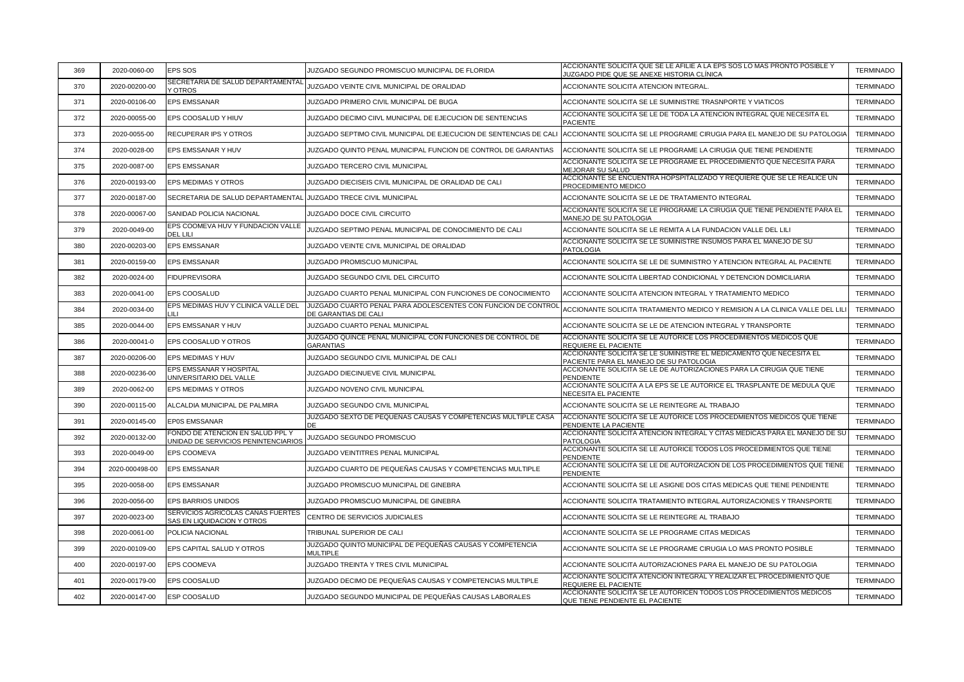| 369 | 2020-0060-00   | <b>EPS SOS</b>                                                          | JUZGADO SEGUNDO PROMISCUO MUNICIPAL DE FLORIDA                                        | ACCIONANTE SOLICITA QUE SE LE AFILIE A LA EPS SOS LO MAS PRONTO POSIBLE Y<br>JUZGADO PIDE QUE SE ANEXE HISTORIA CLÍNICA | <b>TERMINADO</b> |
|-----|----------------|-------------------------------------------------------------------------|---------------------------------------------------------------------------------------|-------------------------------------------------------------------------------------------------------------------------|------------------|
| 370 | 2020-00200-00  | SECRETARIA DE SALUD DEPARTAMENTAL<br>Y OTROS                            | JUZGADO VEINTE CIVIL MUNICIPAL DE ORALIDAD                                            | ACCIONANTE SOLICITA ATENCION INTEGRAL.                                                                                  | <b>TERMINADO</b> |
| 371 | 2020-00106-00  | <b>EPS EMSSANAR</b>                                                     | JUZGADO PRIMERO CIVIL MUNICIPAL DE BUGA                                               | ACCIONANTE SOLICITA SE LE SUMINISTRE TRASNPORTE Y VIATICOS                                                              | <b>TERMINADO</b> |
| 372 | 2020-00055-00  | EPS COOSALUD Y HIUV                                                     | JUZGADO DECIMO CIIVL MUNICIPAL DE EJECUCION DE SENTENCIAS                             | ACCIONANTE SOLICITA SE LE DE TODA LA ATENCION INTEGRAL QUE NECESITA EL<br><b>PACIENTE</b>                               | <b>TERMINADO</b> |
| 373 | 2020-0055-00   | RECUPERAR IPS Y OTROS                                                   | JUZGADO SEPTIMO CIVIL MUNICIPAL DE EJECUCION DE SENTENCIAS DE CALI                    | ACCIONANTE SOLICITA SE LE PROGRAME CIRUGIA PARA EL MANEJO DE SU PATOLOGIA                                               | <b>TERMINADO</b> |
| 374 | 2020-0028-00   | EPS EMSSANAR Y HUV                                                      | JUZGADO QUINTO PENAL MUNICIPAL FUNCION DE CONTROL DE GARANTIAS                        | ACCIONANTE SOLICITA SE LE PROGRAME LA CIRUGIA QUE TIENE PENDIENTE                                                       | <b>TERMINADO</b> |
| 375 | 2020-0087-00   | <b>EPS EMSSANAR</b>                                                     | JUZGADO TERCERO CIVIL MUNICIPAL                                                       | ACCIONANTE SOLICITA SE LE PROGRAME EL PROCEDIMIENTO QUE NECESITA PARA<br><b>MEJORAR SU SALUD</b>                        | <b>TERMINADO</b> |
| 376 | 2020-00193-00  | EPS MEDIMAS Y OTROS                                                     | JUZGADO DIECISEIS CIVIL MUNICIPAL DE ORALIDAD DE CALI                                 | ACCIONANTE SE ENCUENTRA HOPSPITALIZADO Y REQUIERE QUE SE LE REALICE UN<br>PROCEDIMIENTO MEDICO                          | <b>TERMINADO</b> |
| 377 | 2020-00187-00  | SECRETARIA DE SALUD DEPARTAMENTAL                                       | JUZGADO TRECE CIVIL MUNICIPAL                                                         | ACCIONANTE SOLICITA SE LE DE TRATAMIENTO INTEGRAL                                                                       | <b>TERMINADO</b> |
| 378 | 2020-00067-00  | SANIDAD POLICIA NACIONAL                                                | JUZGADO DOCE CIVIL CIRCUITO                                                           | ACCIONANTE SOLICITA SE LE PROGRAME LA CIRUGIA QUE TIENE PENDIENTE PARA EL<br>MANEJO DE SU PATOLOGIA                     | <b>TERMINADO</b> |
| 379 | 2020-0049-00   | EPS COOMEVA HUV Y FUNDACION VALLE<br>DEL LILI                           | JUZGADO SEPTIMO PENAL MUNICIPAL DE CONOCIMIENTO DE CALI                               | ACCIONANTE SOLICITA SE LE REMITA A LA FUNDACION VALLE DEL LILI                                                          | <b>TERMINADO</b> |
| 380 | 2020-00203-00  | <b>EPS EMSSANAR</b>                                                     | JUZGADO VEINTE CIVIL MUNICIPAL DE ORALIDAD                                            | ACCIONANTE SOLICITA SE LE SUMINISTRE INSUMOS PARA EL MANEJO DE SU<br><b>PATOLOGIA</b>                                   | <b>TERMINADO</b> |
| 381 | 2020-00159-00  | <b>EPS EMSSANAR</b>                                                     | JUZGADO PROMISCUO MUNICIPAL                                                           | ACCIONANTE SOLICITA SE LE DE SUMINISTRO Y ATENCION INTEGRAL AL PACIENTE                                                 | <b>TERMINADO</b> |
| 382 | 2020-0024-00   | <b>FIDUPREVISORA</b>                                                    | JUZGADO SEGUNDO CIVIL DEL CIRCUITO                                                    | ACCIONANTE SOLICITA LIBERTAD CONDICIONAL Y DETENCION DOMICILIARIA                                                       | <b>TERMINADO</b> |
| 383 | 2020-0041-00   | <b>EPS COOSALUD</b>                                                     | JUZGADO CUARTO PENAL MUNICIPAL CON FUNCIONES DE CONOCIMIENTO                          | ACCIONANTE SOLICITA ATENCION INTEGRAL Y TRATAMIENTO MEDICO                                                              | <b>TERMINADO</b> |
| 384 | 2020-0034-00   | EPS MEDIMAS HUV Y CLINICA VALLE DEL                                     | JUZGADO CUARTO PENAL PARA ADOLESCENTES CON FUNCION DE CONTROL<br>DE GARANTIAS DE CALI | ACCIONANTE SOLICITA TRATAMIENTO MEDICO Y REMISION A LA CLINICA VALLE DEL LIL                                            | <b>TERMINADO</b> |
| 385 | 2020-0044-00   | EPS EMSSANAR Y HUV                                                      | JUZGADO CUARTO PENAL MUNICIPAL                                                        | ACCIONANTE SOLICITA SE LE DE ATENCION INTEGRAL Y TRANSPORTE                                                             | <b>TERMINADO</b> |
| 386 | 2020-00041-0   | EPS COOSALUD Y OTROS                                                    | JUZGADO QUINCE PENAL MUNICIPAL CON FUNCIONES DE CONTROL DE<br><b>GARANTIAS</b>        | ACCIONANTE SOLICITA SE LE AUTORICE LOS PROCEDIMIENTOS MEDICOS QUE<br>REQUIERE EL PACIENTE                               | <b>TERMINADO</b> |
| 387 | 2020-00206-00  | EPS MEDIMAS Y HUV                                                       | JUZGADO SEGUNDO CIVIL MUNICIPAL DE CALI                                               | ACCIONANTE SOLICITA SE LE SUMINISTRE EL MEDICAMENTO QUE NECESITA EL<br>PACIENTE PARA EL MANEJO DE SU PATOLOGIA          | <b>TERMINADO</b> |
| 388 | 2020-00236-00  | EPS EMSSANAR Y HOSPITAL<br>UNIVERSITARIO DEL VALLE                      | JUZGADO DIECINUEVE CIVIL MUNICIPAL                                                    | ACCIONANTE SOLICITA SE LE DE AUTORIZACIONES PARA LA CIRUGIA QUE TIENE<br>PENDIENTE                                      | <b>TERMINADO</b> |
| 389 | 2020-0062-00   | EPS MEDIMAS Y OTROS                                                     | JUZGADO NOVENO CIVIL MUNICIPAL                                                        | ACCIONANTE SOLICITA A LA EPS SE LE AUTORICE EL TRASPLANTE DE MEDULA QUE<br><b>NECESITA EL PACIENTE</b>                  | <b>TERMINADO</b> |
| 390 | 2020-00115-00  | ALCALDIA MUNICIPAL DE PALMIRA                                           | JUZGADO SEGUNDO CIVIL MUNICIPAL                                                       | ACCIONANTE SOLICITA SE LE REINTEGRE AL TRABAJO                                                                          | <b>TERMINADO</b> |
| 391 | 2020-00145-00  | <b>EP0S EMSSANAR</b>                                                    | JUZGADO SEXTO DE PEQUEÑAS CAUSAS Y COMPETENCIAS MULTIPLE CASA<br>DE.                  | ACCIONANTE SOLICITA SE LE AUTORICE LOS PROCEDMIENTOS MEDICOS QUE TIENE<br>PENDIENTE LA PACIENTE                         | <b>TERMINADO</b> |
| 392 | 2020-00132-00  | FONDO DE ATENCION EN SALUD PPL Y<br>UNIDAD DE SERVICIOS PENINTENCIARIOS | JUZGADO SEGUNDO PROMISCUO                                                             | ACCIONANTE SOLICITA ATENCION INTEGRAL Y CITAS MEDICAS PARA EL MANEJO DE SU<br><b>PATOLOGIA</b>                          | <b>TERMINADO</b> |
| 393 | 2020-0049-00   | EPS COOMEVA                                                             | JUZGADO VEINTITRES PENAL MUNICIPAL                                                    | ACCIONANTE SOLICITA SE LE AUTORICE TODOS LOS PROCEDIMIENTOS QUE TIENE<br><b>PENDIENTE</b>                               | <b>TERMINADO</b> |
| 394 | 2020-000498-00 | <b>EPS EMSSANAR</b>                                                     | JUZGADO CUARTO DE PEQUEÑAS CAUSAS Y COMPETENCIAS MULTIPLE                             | ACCIONANTE SOLICITA SE LE DE AUTORIZACION DE LOS PROCEDIMIENTOS QUE TIENE<br>PENDIENTE                                  | <b>TERMINADO</b> |
| 395 | 2020-0058-00   | <b>EPS EMSSANAR</b>                                                     | JUZGADO PROMISCUO MUNICIPAL DE GINEBRA                                                | ACCIONANTE SOLICITA SE LE ASIGNE DOS CITAS MEDICAS QUE TIENE PENDIENTE                                                  | <b>TERMINADO</b> |
| 396 | 2020-0056-00   | <b>EPS BARRIOS UNIDOS</b>                                               | JUZGADO PROMISCUO MUNICIPAL DE GINEBRA                                                | ACCIONANTE SOLICITA TRATAMIENTO INTEGRAL AUTORIZACIONES Y TRANSPORTE                                                    | <b>TERMINADO</b> |
| 397 | 2020-0023-00   | SERVICIOS AGRICOLAS CAÑAS FUERTES<br>SAS EN LIQUIDACION Y OTROS         | CENTRO DE SERVICIOS JUDICIALES                                                        | ACCIONANTE SOLICITA SE LE REINTEGRE AL TRABAJO                                                                          | <b>TERMINADO</b> |
| 398 | 2020-0061-00   | POLICIA NACIONAL                                                        | TRIBUNAL SUPERIOR DE CALI                                                             | ACCIONANTE SOLICITA SE LE PROGRAME CITAS MEDICAS                                                                        | <b>TERMINADO</b> |
| 399 | 2020-00109-00  | EPS CAPITAL SALUD Y OTROS                                               | JUZGADO QUINTO MUNICIPAL DE PEQUEÑAS CAUSAS Y COMPETENCIA<br><b>MULTIPLE</b>          | ACCIONANTE SOLICITA SE LE PROGRAME CIRUGIA LO MAS PRONTO POSIBLE                                                        | <b>TERMINADO</b> |
| 400 | 2020-00197-00  | <b>EPS COOMEVA</b>                                                      | JUZGADO TREINTA Y TRES CIVIL MUNICIPAL                                                | ACCIONANTE SOLICITA AUTORIZACIONES PARA EL MANEJO DE SU PATOLOGIA                                                       | <b>TERMINADO</b> |
| 401 | 2020-00179-00  | EPS COOSALUD                                                            | JUZGADO DECIMO DE PEQUEÑAS CAUSAS Y COMPETENCIAS MULTIPLE                             | ACCIONANTE SOLICITA ATENCIÓN INTEGRAL Y REALIZAR EL PROCEDIMIENTO QUE<br><b>REQUIERE EL PACIENTE</b>                    | <b>TERMINADO</b> |
| 402 | 2020-00147-00  | ESP COOSALUD                                                            | JUZGADO SEGUNDO MUNICIPAL DE PEQUEÑAS CAUSAS LABORALES                                | ACCIONANTE SOLICITA SE LE AUTORICEN TODOS LOS PROCEDIMIENTOS MÉDICOS<br>QUE TIENE PENDIENTE EL PACIENTE                 | <b>TERMINADO</b> |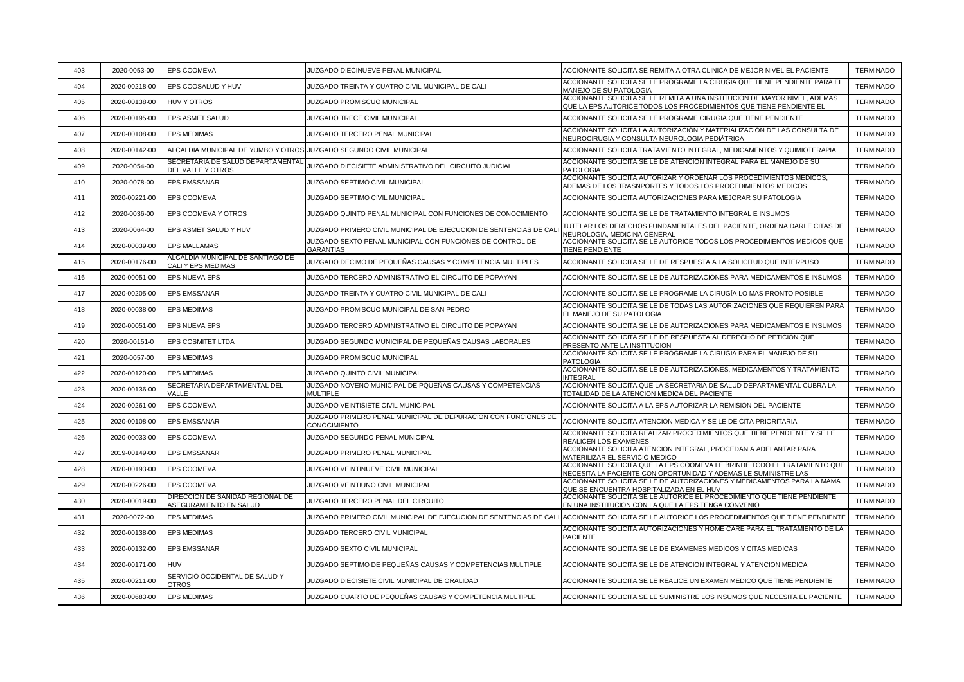| 403 | 2020-0053-00  | EPS COOMEVA                                                | JUZGADO DIECINUEVE PENAL MUNICIPAL                                             | ACCIONANTE SOLICITA SE REMITA A OTRA CLINICA DE MEJOR NIVEL EL PACIENTE                                                                          | <b>TERMINADO</b> |
|-----|---------------|------------------------------------------------------------|--------------------------------------------------------------------------------|--------------------------------------------------------------------------------------------------------------------------------------------------|------------------|
| 404 | 2020-00218-00 | EPS COOSALUD Y HUV                                         | JUZGADO TREINTA Y CUATRO CIVIL MUNICIPAL DE CALI                               | ACCIONANTE SOLICITA SE LE PROGRAME LA CIRUGIA QUE TIENE PENDIENTE PARA EL<br>MANEJO DE SU PATOLOGIA                                              | <b>TERMINADO</b> |
| 405 | 2020-00138-00 | <b>HUV Y OTROS</b>                                         | JUZGADO PROMISCUO MUNICIPAL                                                    | ACCIONANTE SOLICITA SE LE REMITA A UNA INSTITUCION DE MAYOR NIVEL, ADEMAS<br>QUE LA EPS AUTORICE TODOS LOS PROCEDIMIENTOS QUE TIENE PENDIENTE EL | <b>TERMINADO</b> |
| 406 | 2020-00195-00 | EPS ASMET SALUD                                            | JUZGADO TRECE CIVIL MUNICIPAL                                                  | ACCIONANTE SOLICITA SE LE PROGRAME CIRUGIA QUE TIENE PENDIENTE                                                                                   | <b>TERMINADO</b> |
| 407 | 2020-00108-00 | <b>EPS MEDIMAS</b>                                         | JUZGADO TERCERO PENAL MUNICIPAL                                                | ACCIONANTE SOLICITA LA AUTORIZACIÓN Y MATERIALIZACIÓN DE LAS CONSULTA DE<br>NEUROCIRUGIA Y CONSULTA NEUROLOGIA PEDIÁTRICA                        | <b>TERMINADO</b> |
| 408 | 2020-00142-00 | ALCALDIA MUNICIPAL DE YUMBO Y OTROS                        | JUZGADO SEGUNDO CIVIL MUNICIPAL                                                | ACCIONANTE SOLICITA TRATAMIENTO INTEGRAL, MEDICAMENTOS Y QUIMIOTERAPIA                                                                           | <b>TERMINADO</b> |
| 409 | 2020-0054-00  | SECRETARIA DE SALUD DEPARTAMENTAL<br>DEL VALLE Y OTROS     | JUZGADO DIECISIETE ADMINISTRATIVO DEL CIRCUITO JUDICIAL                        | ACCIONANTE SOLICITA SE LE DE ATENCION INTEGRAL PARA EL MANEJO DE SU<br>PATOLOGIA                                                                 | <b>TERMINADO</b> |
| 410 | 2020-0078-00  | <b>EPS EMSSANAR</b>                                        | JUZGADO SEPTIMO CIVIL MUNICIPAL                                                | ACCIONANTE SOLICITA AUTORIZAR Y ORDENAR LOS PROCEDIMIENTOS MEDICOS,<br>ADEMAS DE LOS TRASNPORTES Y TODOS LOS PROCEDIMIENTOS MEDICOS              | <b>TERMINADO</b> |
| 411 | 2020-00221-00 | EPS COOMEVA                                                | JUZGADO SEPTIMO CIVIL MUNICIPAL                                                | ACCIONANTE SOLICITA AUTORIZACIONES PARA MEJORAR SU PATOLOGIA                                                                                     | <b>TERMINADO</b> |
| 412 | 2020-0036-00  | EPS COOMEVA Y OTROS                                        | JUZGADO QUINTO PENAL MUNICIPAL CON FUNCIONES DE CONOCIMIENTO                   | ACCIONANTE SOLICITA SE LE DE TRATAMIENTO INTEGRAL E INSUMOS                                                                                      | <b>TERMINADO</b> |
| 413 | 2020-0064-00  | EPS ASMET SALUD Y HUV                                      | JUZGADO PRIMERO CIVIL MUNICIPAL DE EJECUCION DE SENTENCIAS DE CAL              | TUTELAR LOS DERECHOS FUNDAMENTALES DEL PACIENTE, ORDENA DARLE CITAS DE<br>NEUROLOGIA, MEDICINA GENERAL                                           | <b>TERMINADO</b> |
| 414 | 2020-00039-00 | <b>EPS MALLAMAS</b>                                        | JUZGADO SEXTO PENAL MUNICIPAL CON FUNCIONES DE CONTROL DE<br>GARANTIAS         | ACCIONANTE SOLICITA SE LE AUTORICE TODOS LOS PROCEDIMIENTOS MEDICOS QUE<br>TIENE PENDIENTE                                                       | <b>TERMINADO</b> |
| 415 | 2020-00176-00 | ALCALDIA MUNICIPAL DE SANTIAGO DE<br>CALI Y EPS MEDIMAS    | JUZGADO DECIMO DE PEQUEÑAS CAUSAS Y COMPETENCIA MULTIPLES                      | ACCIONANTE SOLICITA SE LE DE RESPUESTA A LA SOLICITUD QUE INTERPUSO                                                                              | <b>TERMINADO</b> |
| 416 | 2020-00051-00 | EPS NUEVA EPS                                              | JUZGADO TERCERO ADMINISTRATIVO EL CIRCUITO DE POPAYAN                          | ACCIONANTE SOLICITA SE LE DE AUTORIZACIONES PARA MEDICAMENTOS E INSUMOS                                                                          | <b>TERMINADO</b> |
| 417 | 2020-00205-00 | <b>EPS EMSSANAR</b>                                        | JUZGADO TREINTA Y CUATRO CIVIL MUNICIPAL DE CALI                               | ACCIONANTE SOLICITA SE LE PROGRAME LA CIRUGÍA LO MAS PRONTO POSIBLE                                                                              | TERMINADO        |
| 418 | 2020-00038-00 | <b>EPS MEDIMAS</b>                                         | JUZGADO PROMISCUO MUNICIPAL DE SAN PEDRO                                       | ACCIONANTE SOLICITA SE LE DE TODAS LAS AUTORIZACIONES QUE REQUIEREN PARA<br>EL MANEJO DE SU PATOLOGIA                                            | TERMINADO        |
| 419 | 2020-00051-00 | EPS NUEVA EPS                                              | JUZGADO TERCERO ADMINISTRATIVO EL CIRCUITO DE POPAYAN                          | ACCIONANTE SOLICITA SE LE DE AUTORIZACIONES PARA MEDICAMENTOS E INSUMOS                                                                          | <b>TERMINADO</b> |
| 420 | 2020-00151-0  | <b>EPS COSMITET LTDA</b>                                   | JUZGADO SEGUNDO MUNICIPAL DE PEQUEÑAS CAUSAS LABORALES                         | ACCIONANTE SOLICITA SE LE DE RESPUESTA AL DERECHO DE PETICION QUE<br>PRESENTO ANTE LA INSTITUCION                                                | <b>TERMINADO</b> |
| 421 | 2020-0057-00  | <b>EPS MEDIMAS</b>                                         | JUZGADO PROMISCUO MUNICIPAL                                                    | ACCIONANTE SOLICITA SE LE PROGRAME LA CIRUGIA PARA EL MANEJO DE SU<br><b>PATOLOGIA</b>                                                           | <b>TERMINADO</b> |
| 422 | 2020-00120-00 | <b>EPS MEDIMAS</b>                                         | JUZGADO QUINTO CIVIL MUNICIPAL                                                 | ACCIONANTE SOLICITA SE LE DE AUTORIZACIONES, MEDICAMENTOS Y TRATAMIENTO<br><b>INTEGRAL</b>                                                       | <b>TERMINADO</b> |
| 423 | 2020-00136-00 | SECRETARIA DEPARTAMENTAL DEL<br><b>VALLE</b>               | JUZGADO NOVENO MUNICIPAL DE PQUEÑAS CAUSAS Y COMPETENCIAS<br><b>MULTIPLE</b>   | ACCIONANTE SOLICITA QUE LA SECRETARIA DE SALUD DEPARTAMENTAL CUBRA LA<br>TOTALIDAD DE LA ATENCION MEDICA DEL PACIENTE                            | <b>TERMINADO</b> |
| 424 | 2020-00261-00 | EPS COOMEVA                                                | JUZGADO VEINTISIETE CIVIL MUNICIPAL                                            | ACCIONANTE SOLICITA A LA EPS AUTORIZAR LA REMISION DEL PACIENTE                                                                                  | <b>TERMINADO</b> |
| 425 | 2020-00108-00 | <b>EPS EMSSANAR</b>                                        | JUZGADO PRIMERO PENAL MUNICIPAL DE DEPURACION CON FUNCIONES DE<br>CONOCIMIENTO | ACCIONANTE SOLICITA ATENCION MEDICA Y SE LE DE CITA PRIORITARIA                                                                                  | <b>TERMINADO</b> |
| 426 | 2020-00033-00 | EPS COOMEVA                                                | JUZGADO SEGUNDO PENAL MUNICIPAL                                                | ACCIONANTE SOLICITA REALIZAR PROCEDIMIENTOS QUE TIENE PENDIENTE Y SE LE<br>REALICEN LOS EXAMENES                                                 | <b>TERMINADO</b> |
| 427 | 2019-00149-00 | <b>EPS EMSSANAR</b>                                        | JUZGADO PRIMERO PENAL MUNICIPAL                                                | ACCIONANTE SOLICITA ATENCION INTEGRAL, PROCEDAN A ADELANTAR PARA<br>MATERILIZAR EL SERVICIO MEDICO                                               | <b>TERMINADO</b> |
| 428 | 2020-00193-00 | EPS COOMEVA                                                | JUZGADO VEINTINUEVE CIVIL MUNICIPAL                                            | ACCIONANTE SOLICITA QUE LA EPS COOMEVA LE BRINDE TODO EL TRATAMIENTO QUE<br>NECESITA LA PACIENTE CON OPORTUNIDAD Y ADEMAS LE SUMINISTRE LAS      | TERMINADO        |
| 429 | 2020-00226-00 | EPS COOMEVA                                                | JUZGADO VEINTIUNO CIVIL MUNICIPAL                                              | ACCIONANTE SOLICITA SE LE DE AUTORIZACIONES Y MEDICAMENTOS PARA LA MAMA<br>QUE SE ENCUENTRA HOSPITALIZADA EN EL HUV                              | <b>TERMINADO</b> |
| 430 | 2020-00019-00 | DIRECCION DE SANIDAD REGIONAL DE<br>ASEGURAMIENTO EN SALUD | JUZGADO TERCERO PENAL DEL CIRCUITO                                             | ACCIONANTE SOLICITA SE LE AUTORICE EL PROCEDIMIENTO QUE TIENE PENDIENTE<br>EN UNA INSTITUCION CON LA QUE LA EPS TENGA CONVENIO                   | <b>TERMINADO</b> |
| 431 | 2020-0072-00  | <b>EPS MEDIMAS</b>                                         | JUZGADO PRIMERO CIVIL MUNICIPAL DE EJECUCION DE SENTENCIAS DE CALI             | ACCIONANTE SOLICITA SE LE AUTORICE LOS PROCEDIMIENTOS QUE TIENE PENDIENTE                                                                        | <b>TERMINADO</b> |
| 432 | 2020-00138-00 | <b>EPS MEDIMAS</b>                                         | JUZGADO TERCERO CIVIL MUNICIPAL                                                | ACCIONANTE SOLICITA AUTORIZACIONES Y HOME CARE PARA EL TRATAMIENTO DE LA<br><b>PACIENTE</b>                                                      | <b>TERMINADO</b> |
| 433 | 2020-00132-00 | EPS EMSSANAR                                               | JUZGADO SEXTO CIVIL MUNICIPAL                                                  | ACCIONANTE SOLICITA SE LE DE EXAMENES MEDICOS Y CITAS MEDICAS                                                                                    | <b>TERMINADO</b> |
| 434 | 2020-00171-00 | <b>HUV</b>                                                 | JUZGADO SEPTIMO DE PEQUEÑAS CAUSAS Y COMPETENCIAS MULTIPLE                     | ACCIONANTE SOLICITA SE LE DE ATENCION INTEGRAL Y ATENCION MEDICA                                                                                 | <b>TERMINADO</b> |
| 435 | 2020-00211-00 | SERVICIO OCCIDENTAL DE SALUD Y<br><b>OTROS</b>             | JUZGADO DIECISIETE CIVIL MUNICIPAL DE ORALIDAD                                 | ACCIONANTE SOLICITA SE LE REALICE UN EXAMEN MEDICO QUE TIENE PENDIENTE                                                                           | <b>TERMINADO</b> |
| 436 | 2020-00683-00 | <b>EPS MEDIMAS</b>                                         | JUZGADO CUARTO DE PEQUEÑAS CAUSAS Y COMPETENCIA MULTIPLE                       | ACCIONANTE SOLICITA SE LE SUMINISTRE LOS INSUMOS QUE NECESITA EL PACIENTE                                                                        | <b>TERMINADO</b> |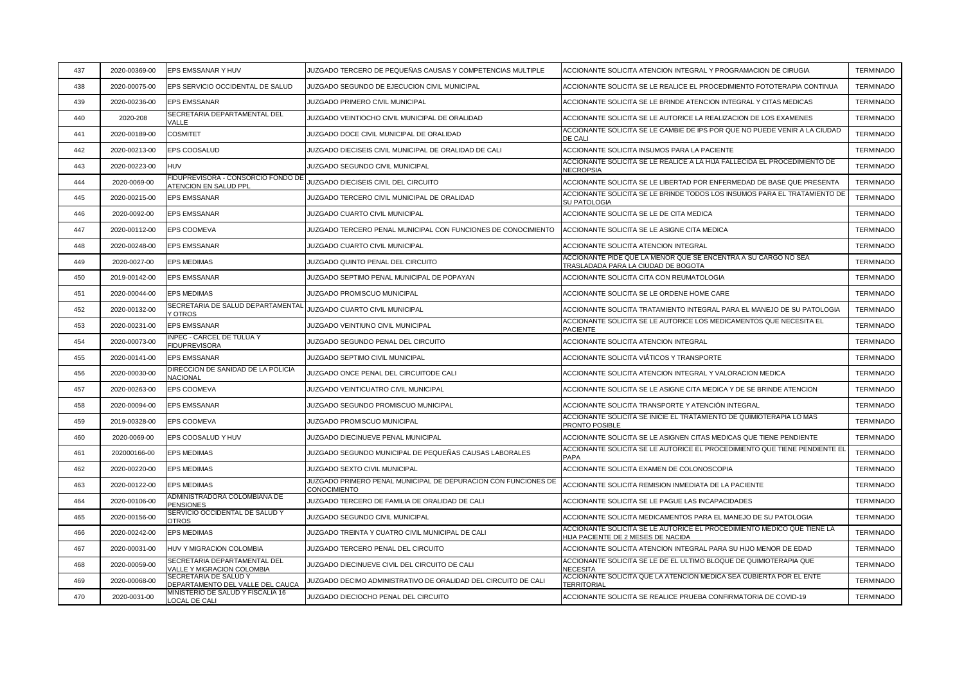| 437 | 2020-00369-00 | EPS EMSSANAR Y HUV                                          | JUZGADO TERCERO DE PEQUEÑAS CAUSAS Y COMPETENCIAS MULTIPLE                     | ACCIONANTE SOLICITA ATENCION INTEGRAL Y PROGRAMACION DE CIRUGIA                                               | <b>TERMINADO</b> |
|-----|---------------|-------------------------------------------------------------|--------------------------------------------------------------------------------|---------------------------------------------------------------------------------------------------------------|------------------|
| 438 | 2020-00075-00 | EPS SERVICIO OCCIDENTAL DE SALUD                            | JUZGADO SEGUNDO DE EJECUCION CIVIL MUNICIPAL                                   | ACCIONANTE SOLICITA SE LE REALICE EL PROCEDIMIENTO FOTOTERAPIA CONTINUA                                       | <b>TERMINADO</b> |
| 439 | 2020-00236-00 | <b>EPS EMSSANAR</b>                                         | JUZGADO PRIMERO CIVIL MUNICIPAL                                                | ACCIONANTE SOLICITA SE LE BRINDE ATENCION INTEGRAL Y CITAS MEDICAS                                            | <b>TERMINADO</b> |
| 440 | 2020-208      | SECRETARIA DEPARTAMENTAL DEL<br>VALLE                       | JUZGADO VEINTIOCHO CIVIL MUNICIPAL DE ORALIDAD                                 | ACCIONANTE SOLICITA SE LE AUTORICE LA REALIZACION DE LOS EXAMENES                                             | <b>TERMINADO</b> |
| 441 | 2020-00189-00 | <b>COSMITET</b>                                             | JUZGADO DOCE CIVIL MUNICIPAL DE ORALIDAD                                       | ACCIONANTE SOLICITA SE LE CAMBIE DE IPS POR QUE NO PUEDE VENIR A LA CIUDAD<br>DE CALI                         | <b>TERMINADO</b> |
| 442 | 2020-00213-00 | EPS COOSALUD                                                | JUZGADO DIECISEIS CIVIL MUNICIPAL DE ORALIDAD DE CALI                          | ACCIONANTE SOLICITA INSUMOS PARA LA PACIENTE                                                                  | <b>TERMINADO</b> |
| 443 | 2020-00223-00 | <b>HUV</b>                                                  | JUZGADO SEGUNDO CIVIL MUNICIPAL                                                | ACCIONANTE SOLICITA SE LE REALICE A LA HIJA FALLECIDA EL PROCEDIMIENTO DE<br>NECROPSIA                        | <b>TERMINADO</b> |
| 444 | 2020-0069-00  | FIDUPREVISORA - CONSORCIO FONDO DE<br>ATENCION EN SALUD PPL | JUZGADO DIECISEIS CIVIL DEL CIRCUITO                                           | ACCIONANTE SOLICITA SE LE LIBERTAD POR ENFERMEDAD DE BASE QUE PRESENTA                                        | <b>TERMINADO</b> |
| 445 | 2020-00215-00 | <b>EPS EMSSANAR</b>                                         | JUZGADO TERCERO CIVIL MUNICIPAL DE ORALIDAD                                    | ACCIONANTE SOLICITA SE LE BRINDE TODOS LOS INSUMOS PARA EL TRATAMIENTO DE<br>SU PATOLOGIA                     | <b>TERMINADO</b> |
| 446 | 2020-0092-00  | <b>EPS EMSSANAR</b>                                         | JUZGADO CUARTO CIVIL MUNICIPAL                                                 | ACCIONANTE SOLICITA SE LE DE CITA MEDICA                                                                      | <b>TERMINADO</b> |
| 447 | 2020-00112-00 | EPS COOMEVA                                                 | JUZGADO TERCERO PENAL MUNICIPAL CON FUNCIONES DE CONOCIMIENTO                  | ACCIONANTE SOLICITA SE LE ASIGNE CITA MEDICA                                                                  | <b>TERMINADO</b> |
| 448 | 2020-00248-00 | <b>EPS EMSSANAR</b>                                         | JUZGADO CUARTO CIVIL MUNICIPAL                                                 | ACCIONANTE SOLICITA ATENCION INTEGRAL                                                                         | <b>TERMINADO</b> |
| 449 | 2020-0027-00  | <b>EPS MEDIMAS</b>                                          | JUZGADO QUINTO PENAL DEL CIRCUITO                                              | ACCIONANTE PIDE QUE LA MENOR QUE SE ENCENTRA A SU CARGO NO SEA<br>TRASLADADA PARA LA CIUDAD DE BOGOTA         | <b>TERMINADO</b> |
| 450 | 2019-00142-00 | <b>EPS EMSSANAR</b>                                         | JUZGADO SEPTIMO PENAL MUNICIPAL DE POPAYAN                                     | ACCIONANTE SOLICITA CITA CON REUMATOLOGIA                                                                     | <b>TERMINADO</b> |
| 451 | 2020-00044-00 | <b>EPS MEDIMAS</b>                                          | JUZGADO PROMISCUO MUNICIPAL                                                    | ACCIONANTE SOLICITA SE LE ORDENE HOME CARE                                                                    | <b>TERMINADO</b> |
| 452 | 2020-00132-00 | SECRETARIA DE SALUD DEPARTAMENTAL<br><b>Y OTROS</b>         | JUZGADO CUARTO CIVIL MUNICIPAL                                                 | ACCIONANTE SOLICITA TRATAMIENTO INTEGRAL PARA EL MANEJO DE SU PATOLOGIA                                       | <b>TERMINADO</b> |
| 453 | 2020-00231-00 | <b>EPS EMSSANAR</b>                                         | JUZGADO VEINTIUNO CIVIL MUNICIPAL                                              | ACCIONANTE SOLICITA SE LE AUTORICE LOS MEDICAMENTOS QUE NECESITA EL<br><b>PACIENTE</b>                        | <b>TERMINADO</b> |
| 454 | 2020-00073-00 | <b>INPEC - CARCEL DE TULUA Y</b><br><b>FIDUPREVISORA</b>    | JUZGADO SEGUNDO PENAL DEL CIRCUITO                                             | ACCIONANTE SOLICITA ATENCION INTEGRAL                                                                         | <b>TERMINADO</b> |
| 455 | 2020-00141-00 | <b>EPS EMSSANAR</b>                                         | JUZGADO SEPTIMO CIVIL MUNICIPAL                                                | ACCIONANTE SOLICITA VIÁTICOS Y TRANSPORTE                                                                     | <b>TERMINADO</b> |
| 456 | 2020-00030-00 | DIRECCION DE SANIDAD DE LA POLICIA<br><b>NACIONAL</b>       | JUZGADO ONCE PENAL DEL CIRCUITODE CALI                                         | ACCIONANTE SOLICITA ATENCION INTEGRAL Y VALORACION MEDICA                                                     | <b>TERMINADO</b> |
| 457 | 2020-00263-00 | EPS COOMEVA                                                 | JUZGADO VEINTICUATRO CIVIL MUNICIPAL                                           | ACCIONANTE SOLICITA SE LE ASIGNE CITA MEDICA Y DE SE BRINDE ATENCION                                          | <b>TERMINADO</b> |
| 458 | 2020-00094-00 | <b>EPS EMSSANAR</b>                                         | JUZGADO SEGUNDO PROMISCUO MUNICIPAL                                            | ACCIONANTE SOLICITA TRANSPORTE Y ATENCIÓN INTEGRAL                                                            | <b>TERMINADO</b> |
| 459 | 2019-00328-00 | EPS COOMEVA                                                 | JUZGADO PROMISCUO MUNICIPAL                                                    | ACCIONANTE SOLICITA SE INICIE EL TRATAMIENTO DE QUIMIOTERAPIA LO MAS<br>PRONTO POSIBLE                        | <b>TERMINADO</b> |
| 460 | 2020-0069-00  | EPS COOSALUD Y HUV                                          | JUZGADO DIECINUEVE PENAL MUNICIPAL                                             | ACCIONANTE SOLICITA SE LE ASIGNEN CITAS MEDICAS QUE TIENE PENDIENTE                                           | <b>TERMINADO</b> |
| 461 | 202000166-00  | <b>EPS MEDIMAS</b>                                          | JUZGADO SEGUNDO MUNICIPAL DE PEQUEÑAS CAUSAS LABORALES                         | ACCIONANTE SOLICITA SE LE AUTORICE EL PROCEDIMIENTO QUE TIENE PENDIENTE EL<br>PAPA                            | <b>TERMINADO</b> |
| 462 | 2020-00220-00 | <b>EPS MEDIMAS</b>                                          | <b>JUZGADO SEXTO CIVIL MUNICIPAL</b>                                           | ACCIONANTE SOLICITA EXAMEN DE COLONOSCOPIA                                                                    | <b>TERMINADO</b> |
| 463 | 2020-00122-00 | <b>EPS MEDIMAS</b>                                          | JUZGADO PRIMERO PENAL MUNICIPAL DE DEPURACION CON FUNCIONES DE<br>CONOCIMIENTO | ACCIONANTE SOLICITA REMISION INMEDIATA DE LA PACIENTE                                                         | <b>TERMINADO</b> |
| 464 | 2020-00106-00 | ADMINISTRADORA COLOMBIANA DE<br><b>PENSIONES</b>            | JUZGADO TERCERO DE FAMILIA DE ORALIDAD DE CALI                                 | ACCIONANTE SOLICITA SE LE PAGUE LAS INCAPACIDADES                                                             | <b>TERMINADO</b> |
| 465 | 2020-00156-00 | SERVICIO OCCIDENTAL DE SALUD Y<br><b>OTROS</b>              | JUZGADO SEGUNDO CIVIL MUNICIPAL                                                | ACCIONANTE SOLICITA MEDICAMENTOS PARA EL MANEJO DE SU PATOLOGIA                                               | <b>TERMINADO</b> |
| 466 | 2020-00242-00 | <b>EPS MEDIMAS</b>                                          | JUZGADO TREINTA Y CUATRO CIVIL MUNICIPAL DE CALI                               | ACCIONANTE SOLICITA SE LE AUTORICE EL PROCEDIMIENTO MEDICO QUE TIENE LA<br>HIJA PACIENTE DE 2 MESES DE NACIDA | <b>TERMINADO</b> |
| 467 | 2020-00031-00 | HUV Y MIGRACION COLOMBIA                                    | JUZGADO TERCERO PENAL DEL CIRCUITO                                             | ACCIONANTE SOLICITA ATENCION INTEGRAL PARA SU HIJO MENOR DE EDAD                                              | <b>TERMINADO</b> |
| 468 | 2020-00059-00 | SECRETARIA DEPARTAMENTAL DEL<br>VALLE Y MIGRACION COLOMBIA  | JUZGADO DIECINUEVE CIVIL DEL CIRCUITO DE CALI                                  | ACCIONANTE SOLICITA SE LE DE EL ULTIMO BLOQUE DE QUIMIOTERAPIA QUE<br>NECESITA                                | <b>TERMINADO</b> |
| 469 | 2020-00068-00 | SECRETARIA DE SALUD Y<br>DEPARTAMENTO DEL VALLE DEL CAUCA   | JUZGADO DECIMO ADMINISTRATIVO DE ORALIDAD DEL CIRCUITO DE CALI                 | ACCIONANTE SOLICITA QUE LA ATENCION MEDICA SEA CUBIERTA POR EL ENTE<br>TERRITORIAL                            | <b>TERMINADO</b> |
| 470 | 2020-0031-00  | MINISTERIO DE SALUD Y FISCALIA 16<br>LOCAL DE CALI          | JUZGADO DIECIOCHO PENAL DEL CIRCUITO                                           | ACCIONANTE SOLICITA SE REALICE PRUEBA CONFIRMATORIA DE COVID-19                                               | <b>TERMINADO</b> |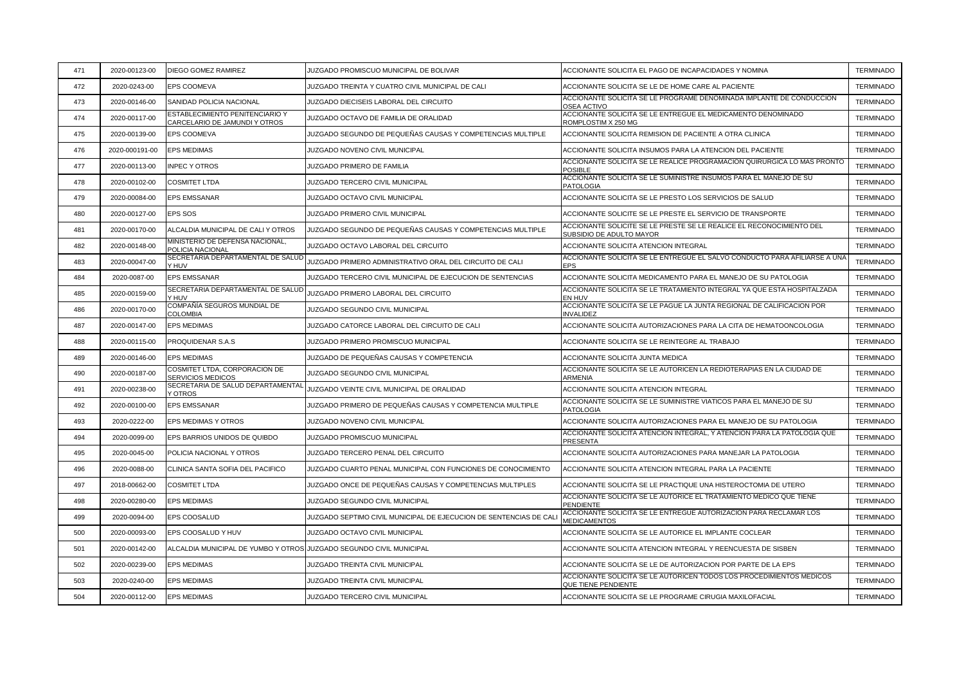| 471 | 2020-00123-00  | DIEGO GOMEZ RAMIREZ                                                  | JUZGADO PROMISCUO MUNICIPAL DE BOLIVAR                            | ACCIONANTE SOLICITA EL PAGO DE INCAPACIDADES Y NOMINA                                            | <b>TERMINADO</b> |
|-----|----------------|----------------------------------------------------------------------|-------------------------------------------------------------------|--------------------------------------------------------------------------------------------------|------------------|
| 472 | 2020-0243-00   | <b>EPS COOMEVA</b>                                                   | JUZGADO TREINTA Y CUATRO CIVIL MUNICIPAL DE CALI                  | ACCIONANTE SOLICITA SE LE DE HOME CARE AL PACIENTE                                               | <b>TERMINADO</b> |
| 473 | 2020-00146-00  | SANIDAD POLICIA NACIONAL                                             | JUZGADO DIECISEIS LABORAL DEL CIRCUITO                            | ACCIONANTE SOLICITA SE LE PROGRAME DENOMINADA IMPLANTE DE CONDUCCION<br><b>OSEA ACTIVO</b>       | <b>TERMINADO</b> |
| 474 | 2020-00117-00  | ESTABLECIMIENTO PENITENCIARIO Y<br>CARCELARIO DE JAMUNDI Y OTROS     | JUZGADO OCTAVO DE FAMILIA DE ORALIDAD                             | ACCIONANTE SOLICITA SE LE ENTREGUE EL MEDICAMENTO DENOMINADO<br>ROMPLOSTIM X 250 MG              | <b>TERMINADO</b> |
| 475 | 2020-00139-00  | EPS COOMEVA                                                          | JUZGADO SEGUNDO DE PEQUEÑAS CAUSAS Y COMPETENCIAS MULTIPLE        | ACCIONANTE SOLICITA REMISION DE PACIENTE A OTRA CLINICA                                          | <b>TERMINADO</b> |
| 476 | 2020-000191-00 | <b>EPS MEDIMAS</b>                                                   | JUZGADO NOVENO CIVIL MUNICIPAL                                    | ACCIONANTE SOLICITA INSUMOS PARA LA ATENCION DEL PACIENTE                                        | <b>TERMINADO</b> |
| 477 | 2020-00113-00  | <b>INPEC Y OTROS</b>                                                 | JUZGADO PRIMERO DE FAMILIA                                        | ACCIONANTE SOLICITA SE LE REALICE PROGRAMACION QUIRURGICA LO MAS PRONTO<br><b>POSIBLE</b>        | <b>TERMINADO</b> |
| 478 | 2020-00102-00  | <b>COSMITET LTDA</b>                                                 | JUZGADO TERCERO CIVIL MUNICIPAL                                   | ACCIONANTE SOLICITA SE LE SUMINISTRE INSUMOS PARA EL MANEJO DE SU<br><b>PATOLOGIA</b>            | <b>TERMINADO</b> |
| 479 | 2020-00084-00  | <b>EPS EMSSANAR</b>                                                  | JUZGADO OCTAVO CIVIL MUNICIPAL                                    | ACCIONANTE SOLICITA SE LE PRESTO LOS SERVICIOS DE SALUD                                          | <b>TERMINADO</b> |
| 480 | 2020-00127-00  | EPS SOS                                                              | <b>JUZGADO PRIMERO CIVIL MUNICIPAL</b>                            | ACCIONANTE SOLICITE SE LE PRESTE EL SERVICIO DE TRANSPORTE                                       | <b>TERMINADO</b> |
| 481 | 2020-00170-00  | ALCALDIA MUNICIPAL DE CALI Y OTROS                                   | JUZGADO SEGUNDO DE PEQUEÑAS CAUSAS Y COMPETENCIAS MULTIPLE        | ACCIONANTE SOLICITE SE LE PRESTE SE LE REALICE EL RECONOCIMIENTO DEL<br>SUBSIDIO DE ADULTO MAYOR | <b>TERMINADO</b> |
| 482 | 2020-00148-00  | MINISTERIO DE DEFENSA NACIONAL,<br>POLICIA NACIONAL                  | JUZGADO OCTAVO LABORAL DEL CIRCUITO                               | ACCIONANTE SOLICITA ATENCION INTEGRAL                                                            | <b>TERMINADO</b> |
| 483 | 2020-00047-00  | SECRETARIA DEPARTAMENTAL DE SALUD<br>Y HUV                           | JUZGADO PRIMERO ADMINISTRATIVO ORAL DEL CIRCUITO DE CALI          | ACCIONANTE SOLICITA SE LE ENTREGUE EL SALVO CONDUCTO PARA AFILIARSE A UNA<br><b>EPS</b>          | <b>TERMINADO</b> |
| 484 | 2020-0087-00   | EPS EMSSANAR                                                         | JUZGADO TERCERO CIVIL MUNICIPAL DE EJECUCION DE SENTENCIAS        | ACCIONANTE SOLICITA MEDICAMENTO PARA EL MANEJO DE SU PATOLOGIA                                   | <b>TERMINADO</b> |
| 485 | 2020-00159-00  | SECRETARIA DEPARTAMENTAL DE SALUD<br>Y HUV                           | JUZGADO PRIMERO LABORAL DEL CIRCUITO                              | ACCIONANTE SOLICITA SE LE TRATAMIENTO INTEGRAL YA QUE ESTA HOSPITALZADA<br>EN HUV                | <b>TERMINADO</b> |
| 486 | 2020-00170-00  | COMPAÑÍA SEGUROS MUNDIAL DE<br><b>COLOMBIA</b>                       | JUZGADO SEGUNDO CIVIL MUNICIPAL                                   | ACCIONANTE SOLICITA SE LE PAGUE LA JUNTA REGIONAL DE CALIFICACION POR<br><b>INVALIDEZ</b>        | <b>TERMINADO</b> |
| 487 | 2020-00147-00  | <b>EPS MEDIMAS</b>                                                   | JUZGADO CATORCE LABORAL DEL CIRCUITO DE CALI                      | ACCIONANTE SOLICITA AUTORIZACIONES PARA LA CITA DE HEMATOONCOLOGIA                               | <b>TERMINADO</b> |
| 488 | 2020-00115-00  | PROQUIDENAR S.A.S                                                    | JUZGADO PRIMERO PROMISCUO MUNICIPAL                               | ACCIONANTE SOLICITA SE LE REINTEGRE AL TRABAJO                                                   | <b>TERMINADO</b> |
| 489 | 2020-00146-00  | <b>EPS MEDIMAS</b>                                                   | JUZGADO DE PEQUEÑAS CAUSAS Y COMPETENCIA                          | ACCIONANTE SOLICITA JUNTA MEDICA                                                                 | <b>TERMINADO</b> |
| 490 | 2020-00187-00  | COSMITET LTDA, CORPORACION DE<br>SERVICIOS MEDICOS                   | JUZGADO SEGUNDO CIVIL MUNICIPAL                                   | ACCIONANTE SOLICITA SE LE AUTORICEN LA REDIOTERAPIAS EN LA CIUDAD DE<br>ARMENIA                  | <b>TERMINADO</b> |
| 491 | 2020-00238-00  | SECRETARIA DE SALUD DEPARTAMENTAL<br>Y OTROS                         | JUZGADO VEINTE CIVIL MUNICIPAL DE ORALIDAD                        | ACCIONANTE SOLICITA ATENCION INTEGRAL                                                            | <b>TERMINADO</b> |
| 492 | 2020-00100-00  | EPS EMSSANAR                                                         | JUZGADO PRIMERO DE PEQUEÑAS CAUSAS Y COMPETENCIA MULTIPLE         | ACCIONANTE SOLICITA SE LE SUMINISTRE VIATICOS PARA EL MANEJO DE SU<br><b>PATOLOGIA</b>           | <b>TERMINADO</b> |
| 493 | 2020-0222-00   | EPS MEDIMAS Y OTROS                                                  | JUZGADO NOVENO CIVIL MUNICIPAL                                    | ACCIONANTE SOLICITA AUTORIZACIONES PARA EL MANEJO DE SU PATOLOGIA                                | <b>TERMINADO</b> |
| 494 | 2020-0099-00   | EPS BARRIOS UNIDOS DE QUIBDO                                         | JUZGADO PROMISCUO MUNICIPAL                                       | ACCIONANTE SOLICITA ATENCION INTEGRAL, Y ATENCION PARA LA PATOLOGIA QUE<br>PRESENTA              | <b>TERMINADO</b> |
| 495 | 2020-0045-00   | POLICIA NACIONAL Y OTROS                                             | JUZGADO TERCERO PENAL DEL CIRCUITO                                | ACCIONANTE SOLICITA AUTORIZACIONES PARA MANEJAR LA PATOLOGIA                                     | <b>TERMINADO</b> |
| 496 | 2020-0088-00   | CLINICA SANTA SOFIA DEL PACIFICO                                     | JUZGADO CUARTO PENAL MUNICIPAL CON FUNCIONES DE CONOCIMIENTO      | ACCIONANTE SOLICITA ATENCION INTEGRAL PARA LA PACIENTE                                           | <b>TERMINADO</b> |
| 497 | 2018-00662-00  | <b>COSMITET LTDA</b>                                                 | JUZGADO ONCE DE PEQUEÑAS CAUSAS Y COMPETENCIAS MULTIPLES          | ACCIONANTE SOLICITA SE LE PRACTIQUE UNA HISTEROCTOMIA DE UTERO                                   | <b>TERMINADO</b> |
| 498 | 2020-00280-00  | <b>EPS MEDIMAS</b>                                                   | JUZGADO SEGUNDO CIVIL MUNICIPAL                                   | ACCIONANTE SOLICITA SE LE AUTORICE EL TRATAMIENTO MEDICO QUE TIENE<br><b>PENDIENTE</b>           | <b>TERMINADO</b> |
| 499 | 2020-0094-00   | EPS COOSALUD                                                         | JUZGADO SEPTIMO CIVIL MUNICIPAL DE EJECUCION DE SENTENCIAS DE CAL | ACCIONANTE SOLICITA SE LE ENTREGUE AUTORIZACION PARA RECLAMAR LOS<br><b>MEDICAMENTOS</b>         | <b>TERMINADO</b> |
| 500 | 2020-00093-00  | EPS COOSALUD Y HUV                                                   | JUZGADO OCTAVO CIVIL MUNICIPAL                                    | ACCIONANTE SOLICITA SE LE AUTORICE EL IMPLANTE COCLEAR                                           | <b>TERMINADO</b> |
| 501 | 2020-00142-00  | ALCALDIA MUNICIPAL DE YUMBO Y OTROS JJUZGADO SEGUNDO CIVIL MUNICIPAL |                                                                   | ACCIONANTE SOLICITA ATENCION INTEGRAL Y REENCUESTA DE SISBEN                                     | <b>TERMINADO</b> |
| 502 | 2020-00239-00  | <b>EPS MEDIMAS</b>                                                   | JUZGADO TREINTA CIVIL MUNICIPAL                                   | ACCIONANTE SOLICITA SE LE DE AUTORIZACION POR PARTE DE LA EPS                                    | <b>TERMINADO</b> |
| 503 | 2020-0240-00   | <b>EPS MEDIMAS</b>                                                   | JUZGADO TREINTA CIVIL MUNICIPAL                                   | ACCIONANTE SOLICITA SE LE AUTORICEN TODOS LOS PROCEDIMIENTOS MEDICOS<br>QUE TIENE PENDIENTE      | <b>TERMINADO</b> |
| 504 | 2020-00112-00  | <b>EPS MEDIMAS</b>                                                   | JUZGADO TERCERO CIVIL MUNICIPAL                                   | ACCIONANTE SOLICITA SE LE PROGRAME CIRUGIA MAXILOFACIAL                                          | <b>TERMINADO</b> |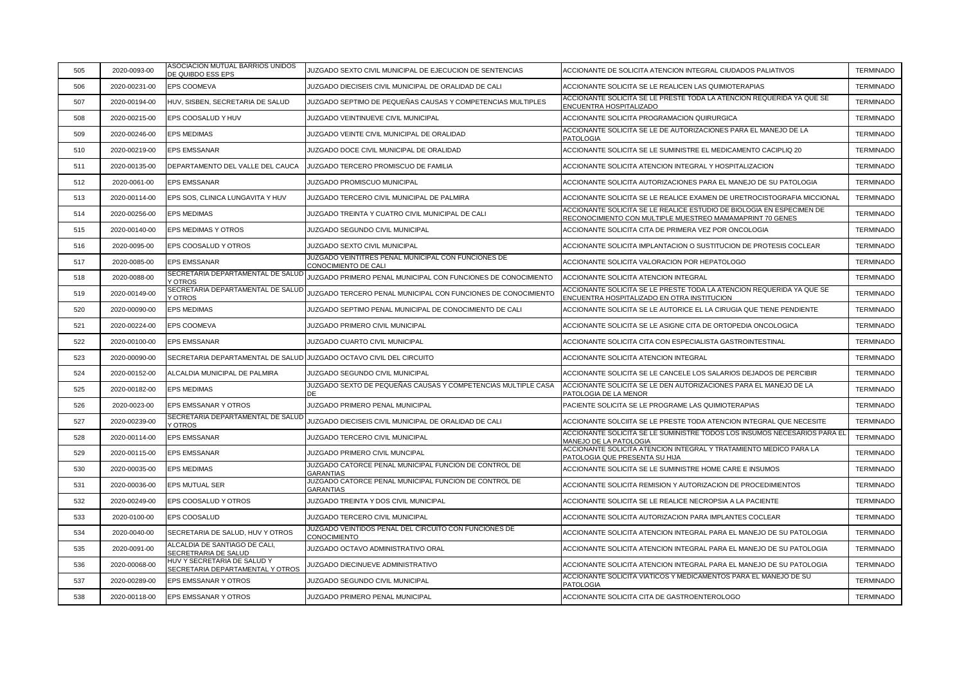| 505 | 2020-0093-00  | ASOCIACION MUTUAL BARRIOS UNIDOS<br>DE QUIBDO ESS EPS               | JUZGADO SEXTO CIVIL MUNICIPAL DE EJECUCION DE SENTENCIAS                    | ACCIONANTE DE SOLICITA ATENCION INTEGRAL CIUDADOS PALIATIVOS                                                                       | <b>TERMINADO</b> |
|-----|---------------|---------------------------------------------------------------------|-----------------------------------------------------------------------------|------------------------------------------------------------------------------------------------------------------------------------|------------------|
| 506 | 2020-00231-00 | EPS COOMEVA                                                         | JUZGADO DIECISEIS CIVIL MUNICIPAL DE ORALIDAD DE CALI                       | ACCIONANTE SOLICITA SE LE REALICEN LAS QUIMIOTERAPIAS                                                                              | <b>TERMINADO</b> |
| 507 | 2020-00194-00 | HUV, SISBEN, SECRETARIA DE SALUD                                    | JUZGADO SEPTIMO DE PEQUEÑAS CAUSAS Y COMPETENCIAS MULTIPLES                 | ACCIONANTE SOLICITA SE LE PRESTE TODA LA ATENCION REQUERIDA YA QUE SE<br>ENCUENTRA HOSPITALIZADO                                   | <b>TERMINADO</b> |
| 508 | 2020-00215-00 | EPS COOSALUD Y HUV                                                  | JUZGADO VEINTINUEVE CIVIL MUNICIPAL                                         | ACCIONANTE SOLICITA PROGRAMACION QUIRURGICA                                                                                        | <b>TERMINADO</b> |
| 509 | 2020-00246-00 | <b>EPS MEDIMAS</b>                                                  | JUZGADO VEINTE CIVIL MUNICIPAL DE ORALIDAD                                  | ACCIONANTE SOLICITA SE LE DE AUTORIZACIONES PARA EL MANEJO DE LA<br><b>PATOLOGIA</b>                                               | <b>TERMINADO</b> |
| 510 | 2020-00219-00 | EPS EMSSANAR                                                        | JUZGADO DOCE CIVIL MUNICIPAL DE ORALIDAD                                    | ACCIONANTE SOLICITA SE LE SUMINISTRE EL MEDICAMENTO CACIPLIQ 20                                                                    | <b>TERMINADO</b> |
| 511 | 2020-00135-00 | DEPARTAMENTO DEL VALLE DEL CAUCA                                    | JUZGADO TERCERO PROMISCUO DE FAMILIA                                        | ACCIONANTE SOLICITA ATENCION INTEGRAL Y HOSPITALIZACION                                                                            | <b>TERMINADO</b> |
| 512 | 2020-0061-00  | EPS EMSSANAR                                                        | JUZGADO PROMISCUO MUNICIPAL                                                 | ACCIONANTE SOLICITA AUTORIZACIONES PARA EL MANEJO DE SU PATOLOGIA                                                                  | <b>TERMINADO</b> |
| 513 | 2020-00114-00 | EPS SOS, CLINICA LUNGAVITA Y HUV                                    | JUZGADO TERCERO CIVIL MUNICIPAL DE PALMIRA                                  | ACCIONANTE SOLICITA SE LE REALICE EXAMEN DE URETROCISTOGRAFIA MICCIONAL                                                            | <b>TERMINADO</b> |
| 514 | 2020-00256-00 | EPS MEDIMAS                                                         | JUZGADO TREINTA Y CUATRO CIVIL MUNICIPAL DE CALI                            | ACCIONANTE SOLICITA SE LE REALICE ESTUDIO DE BIOLOGIA EN ESPECIMEN DE<br>RECONOCIMIENTO CON MULTIPLE MUESTREO MAMAMAPRINT 70 GENES | <b>TERMINADO</b> |
| 515 | 2020-00140-00 | EPS MEDIMAS Y OTROS                                                 | JUZGADO SEGUNDO CIVIL MUNICIPAL                                             | ACCIONANTE SOLICITA CITA DE PRIMERA VEZ POR ONCOLOGIA                                                                              | <b>TERMINADO</b> |
| 516 | 2020-0095-00  | EPS COOSALUD Y OTROS                                                | JUZGADO SEXTO CIVIL MUNICIPAL                                               | ACCIONANTE SOLICITA IMPLANTACION O SUSTITUCION DE PROTESIS COCLEAR                                                                 | <b>TERMINADO</b> |
| 517 | 2020-0085-00  | EPS EMSSANAR                                                        | JUZGADO VEINTITRES PENAL MUNICIPAL CON FUNCIONES DE<br>CONOCIMIENTO DE CALI | ACCIONANTE SOLICITA VALORACION POR HEPATOLOGO                                                                                      | <b>TERMINADO</b> |
| 518 | 2020-0088-00  | SECRETARIA DEPARTAMENTAL DE SALUD<br>Y OTROS                        | JUZGADO PRIMERO PENAL MUNICIPAL CON FUNCIONES DE CONOCIMIENTO               | ACCIONANTE SOLICITA ATENCION INTEGRAL                                                                                              | <b>TERMINADO</b> |
| 519 | 2020-00149-00 | SECRETARIA DEPARTAMENTAL DE SALUD<br>Y OTROS                        | JUZGADO TERCERO PENAL MUNICIPAL CON FUNCIONES DE CONOCIMIENTO               | ACCIONANTE SOLICITA SE LE PRESTE TODA LA ATENCION REQUERIDA YA QUE SE<br>ENCUENTRA HOSPITALIZADO EN OTRA INSTITUCION               | <b>TERMINADO</b> |
| 520 | 2020-00090-00 | <b>EPS MEDIMAS</b>                                                  | JUZGADO SEPTIMO PENAL MUNICIPAL DE CONOCIMIENTO DE CALI                     | ACCIONANTE SOLICITA SE LE AUTORICE EL LA CIRUGIA QUE TIENE PENDIENTE                                                               | <b>TERMINADO</b> |
| 521 | 2020-00224-00 | EPS COOMEVA                                                         | JUZGADO PRIMERO CIVIL MUNICIPAL                                             | ACCIONANTE SOLICITA SE LE ASIGNE CITA DE ORTOPEDIA ONCOLOGICA                                                                      | <b>TERMINADO</b> |
| 522 | 2020-00100-00 | EPS EMSSANAR                                                        | <b>JUZGADO CUARTO CIVIL MUNICIPAL</b>                                       | ACCIONANTE SOLICITA CITA CON ESPECIALISTA GASTROINTESTINAL                                                                         | <b>TERMINADO</b> |
| 523 | 2020-00090-00 | SECRETARIA DEPARTAMENTAL DE SALUD JUZGADO OCTAVO CIVIL DEL CIRCUITO |                                                                             | ACCIONANTE SOLICITA ATENCION INTEGRAL                                                                                              | <b>TERMINADO</b> |
| 524 | 2020-00152-00 | ALCALDIA MUNICIPAL DE PALMIRA                                       | <b>JUZGADO SEGUNDO CIVIL MUNICIPAL</b>                                      | ACCIONANTE SOLICITA SE LE CANCELE LOS SALARIOS DEJADOS DE PERCIBIR                                                                 | <b>TERMINADO</b> |
| 525 | 2020-00182-00 | <b>EPS MEDIMAS</b>                                                  | JUZGADO SEXTO DE PEQUEÑAS CAUSAS Y COMPETENCIAS MULTIPLE CASA<br>חר         | ACCIONANTE SOLICITA SE LE DEN AUTORIZACIONES PARA EL MANEJO DE LA<br>PATOLOGIA DE LA MENOR                                         | <b>TERMINADO</b> |
| 526 | 2020-0023-00  | EPS EMSSANAR Y OTROS                                                | JUZGADO PRIMERO PENAL MUNICIPAL                                             | PACIENTE SOLICITA SE LE PROGRAME LAS QUIMIOTERAPIAS                                                                                | <b>TERMINADO</b> |
| 527 | 2020-00239-00 | SECRETARIA DEPARTAMENTAL DE SALUD<br><b>Y OTROS</b>                 | JUZGADO DIECISEIS CIVIL MUNICIPAL DE ORALIDAD DE CALI                       | ACCIONANTE SOLCIITA SE LE PRESTE TODA ATENCION INTEGRAL QUE NECESITE                                                               | <b>TERMINADO</b> |
| 528 | 2020-00114-00 | EPS EMSSANAR                                                        | JUZGADO TERCERO CIVIL MUNICIPAL                                             | ACCIONANTE SOLICITA SE LE SUMINISTRE TODOS LOS INSUMOS NECESARIOS PARA EL<br>MANEJO DE LA PATOLOGIA                                | <b>TERMINADO</b> |
| 529 | 2020-00115-00 | <b>EPS EMSSANAR</b>                                                 | JUZGADO PRIMERO CIVIL MUNCIPAL                                              | ACCIONANTE SOLICITA ATENCION INTEGRAL Y TRATAMIENTO MEDICO PARA LA<br>PATOLOGIA QUE PRESENTA SU HIJA                               | <b>TERMINADO</b> |
| 530 | 2020-00035-00 | <b>EPS MEDIMAS</b>                                                  | JUZGADO CATORCE PENAL MUNICIPAL FUNCION DE CONTROL DE<br><b>GARANTIAS</b>   | ACCIONANTE SOLICITA SE LE SUMINISTRE HOME CARE E INSUMOS                                                                           | <b>TERMINADO</b> |
| 531 | 2020-00036-00 | EPS MUTUAL SER                                                      | JUZGADO CATORCE PENAL MUNICIPAL FUNCION DE CONTROL DE<br><b>GARANTIAS</b>   | ACCIONANTE SOLICITA REMISION Y AUTORIZACION DE PROCEDIMIENTOS                                                                      | <b>TERMINADO</b> |
| 532 | 2020-00249-00 | EPS COOSALUD Y OTROS                                                | JUZGADO TREINTA Y DOS CIVIL MUNICIPAL                                       | ACCIONANTE SOLICITA SE LE REALICE NECROPSIA A LA PACIENTE                                                                          | <b>TERMINADO</b> |
| 533 | 2020-0100-00  | EPS COOSALUD                                                        | JUZGADO TERCERO CIVIL MUNICIPAL                                             | ACCIONANTE SOLICITA AUTORIZACION PARA IMPLANTES COCLEAR                                                                            | <b>TERMINADO</b> |
| 534 | 2020-0040-00  | SECRETARIA DE SALUD, HUV Y OTROS                                    | JUZGADO VEINTIDOS PENAL DEL CIRCUITO CON FUNCIONES DE<br>CONOCIMIENTO       | ACCIONANTE SOLICITA ATENCION INTEGRAL PARA EL MANEJO DE SU PATOLOGIA                                                               | <b>TERMINADO</b> |
| 535 | 2020-0091-00  | ALCALDIA DE SANTIAGO DE CALI,<br>SECRETRARIA DE SALUD               | JUZGADO OCTAVO ADMINISTRATIVO ORAL                                          | ACCIONANTE SOLICITA ATENCION INTEGRAL PARA EL MANEJO DE SU PATOLOGIA                                                               | <b>TERMINADO</b> |
| 536 | 2020-00068-00 | HUV Y SECRETARIA DE SALUD Y<br>SECRETARIA DEPARTAMENTAL Y OTROS     | JUZGADO DIECINUEVE ADMINISTRATIVO                                           | ACCIONANTE SOLICITA ATENCION INTEGRAL PARA EL MANEJO DE SU PATOLOGIA                                                               | <b>TERMINADO</b> |
| 537 | 2020-00289-00 | EPS EMSSANAR Y OTROS                                                | JUZGADO SEGUNDO CIVIL MUNICIPAL                                             | ACCIONANTE SOLICITA VIATICOS Y MEDICAMENTOS PARA EL MANEJO DE SU<br><b>PATOLOGIA</b>                                               | <b>TERMINADO</b> |
| 538 | 2020-00118-00 | EPS EMSSANAR Y OTROS                                                | JUZGADO PRIMERO PENAL MUNICIPAL                                             | ACCIONANTE SOLICITA CITA DE GASTROENTEROLOGO                                                                                       | <b>TERMINADO</b> |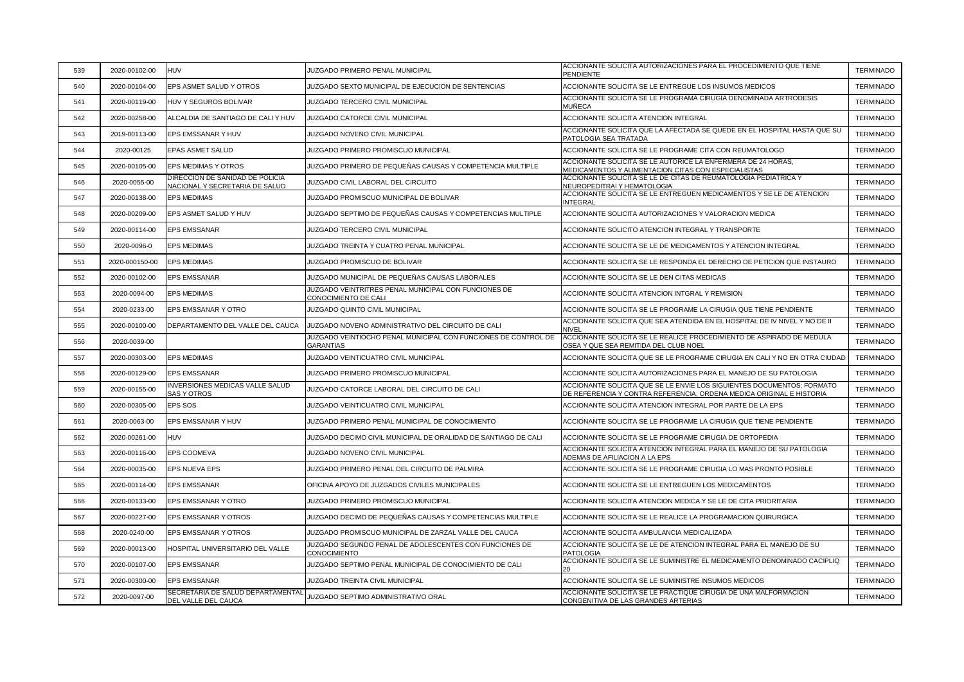| 539 | 2020-00102-00  | <b>HUV</b>                                                        | JUZGADO PRIMERO PENAL MUNICIPAL                                                    | ACCIONANTE SOLICITA AUTORIZACIONES PARA EL PROCEDIMIENTO QUE TIENE<br>PENDIENTE                                                                | <b>TERMINADO</b> |
|-----|----------------|-------------------------------------------------------------------|------------------------------------------------------------------------------------|------------------------------------------------------------------------------------------------------------------------------------------------|------------------|
| 540 | 2020-00104-00  | EPS ASMET SALUD Y OTROS                                           | JUZGADO SEXTO MUNICIPAL DE EJECUCION DE SENTENCIAS                                 | ACCIONANTE SOLICITA SE LE ENTREGUE LOS INSUMOS MEDICOS                                                                                         | <b>TERMINADO</b> |
| 541 | 2020-00119-00  | HUV Y SEGUROS BOLIVAR                                             | JUZGADO TERCERO CIVIL MUNICIPAL                                                    | ACCIONANTE SOLICITA SE LE PROGRAMA CIRUGÍA DENOMINADA ARTRODESIS<br>MUÑECA                                                                     | <b>TERMINADO</b> |
| 542 | 2020-00258-00  | ALCALDIA DE SANTIAGO DE CALI Y HUV                                | JUZGADO CATORCE CIVIL MUNICIPAL                                                    | ACCIONANTE SOLICITA ATENCION INTEGRAL                                                                                                          | <b>TERMINADO</b> |
| 543 | 2019-00113-00  | EPS EMSSANAR Y HUV                                                | JUZGADO NOVENO CIVIL MUNICIPAL                                                     | ACCIONANTE SOLICITA QUE LA AFECTADA SE QUEDE EN EL HOSPITAL HASTA QUE SU<br>PATOLOGIA SEA TRATADA                                              | <b>TERMINADO</b> |
| 544 | 2020-00125     | <b>EPAS ASMET SALUD</b>                                           | JUZGADO PRIMERO PROMISCUO MUNICIPAL                                                | ACCIONANTE SOLICITA SE LE PROGRAME CITA CON REUMATOLOGO                                                                                        | <b>TERMINADO</b> |
| 545 | 2020-00105-00  | EPS MEDIMAS Y OTROS                                               | JUZGADO PRIMERO DE PEQUEÑAS CAUSAS Y COMPETENCIA MULTIPLE                          | ACCIONANTE SOLICITA SE LE AUTORICE LA ENFERMERA DE 24 HORAS,<br>MEDICAMENTOS Y ALIMENTACION CITAS CON ESPECIALISTAS                            | <b>TERMINADO</b> |
| 546 | 2020-0055-00   | DIRECCION DE SANIDAD DE POLICIA<br>NACIONAL Y SECRETARIA DE SALUD | JUZGADO CIVIL LABORAL DEL CIRCUITO                                                 | ACCIONANTE SOLICITA SE LE DE CITAS DE REUMATOLOGIA PEDIATRICA Y<br>NEUROPEDITRAI Y HEMATOLOGIA                                                 | <b>TERMINADO</b> |
| 547 | 2020-00138-00  | <b>EPS MEDIMAS</b>                                                | JUZGADO PROMISCUO MUNICIPAL DE BOLIVAR                                             | ACCIONANTE SOLICITA SE LE ENTREGUEN MEDICAMENTOS Y SE LE DE ATENCION<br><b>INTEGRAL</b>                                                        | <b>TERMINADO</b> |
| 548 | 2020-00209-00  | EPS ASMET SALUD Y HUV                                             | JUZGADO SEPTIMO DE PEQUEÑAS CAUSAS Y COMPETENCIAS MULTIPLE                         | ACCIONANTE SOLICITA AUTORIZACIONES Y VALORACION MEDICA                                                                                         | <b>TERMINADO</b> |
| 549 | 2020-00114-00  | <b>EPS EMSSANAR</b>                                               | JUZGADO TERCERO CIVIL MUNICIPAL                                                    | ACCIONANTE SOLICITO ATENCION INTEGRAL Y TRANSPORTE                                                                                             | <b>TERMINADO</b> |
| 550 | 2020-0096-0    | <b>EPS MEDIMAS</b>                                                | JUZGADO TREINTA Y CUATRO PENAL MUNICIPAL                                           | ACCIONANTE SOLICITA SE LE DE MEDICAMENTOS Y ATENCION INTEGRAL                                                                                  | <b>TERMINADO</b> |
| 551 | 2020-000150-00 | <b>EPS MEDIMAS</b>                                                | JUZGADO PROMISCUO DE BOLIVAR                                                       | ACCIONANTE SOLICITA SE LE RESPONDA EL DERECHO DE PETICION QUE INSTAURO                                                                         | <b>TERMINADO</b> |
| 552 | 2020-00102-00  | <b>EPS EMSSANAR</b>                                               | JUZGADO MUNICIPAL DE PEQUEÑAS CAUSAS LABORALES                                     | ACCIONANTE SOLICITA SE LE DEN CITAS MEDICAS                                                                                                    | <b>TERMINADO</b> |
| 553 | 2020-0094-00   | <b>EPS MEDIMAS</b>                                                | JUZGADO VEINTRITRES PENAL MUNICIPAL CON FUNCIONES DE<br>CONOCIMIENTO DE CALI       | ACCIONANTE SOLICITA ATENCION INTGRAL Y REMISION                                                                                                | <b>TERMINADO</b> |
| 554 | 2020-0233-00   | EPS EMSSANAR Y OTRO                                               | <b>JUZGADO QUINTO CIVIL MUNICIPAL</b>                                              | ACCIONANTE SOLICITA SE LE PROGRAME LA CIRUGIA QUE TIENE PENDIENTE                                                                              | <b>TERMINADO</b> |
| 555 | 2020-00100-00  | DEPARTAMENTO DEL VALLE DEL CAUCA                                  | JUZGADO NOVENO ADMINISTRATIVO DEL CIRCUITO DE CALI                                 | ACCIONANTE SOLICITA QUE SEA ATENDIDA EN EL HOSPITAL DE IV NIVEL Y NO DE II<br>NIVEI                                                            | <b>TERMINADO</b> |
| 556 | 2020-0039-00   |                                                                   | JUZGADO VEINTIOCHO PENAL MUNICIPAL CON FUNCIONES DE CONTROL DE<br><b>GARANTIAS</b> | ACCIONANTE SOLICITA SE LE REALICE PROCEDIMIENTO DE ASPIRADO DE MEDULA<br>OSEA Y QUE SEA REMITIDA DEL CLUB NOEL                                 | <b>TERMINADO</b> |
| 557 | 2020-00303-00  | <b>EPS MEDIMAS</b>                                                | JUZGADO VEINTICUATRO CIVIL MUNICIPAL                                               | ACCIONANTE SOLICITA QUE SE LE PROGRAME CIRUGIA EN CALI Y NO EN OTRA CIUDAD                                                                     | <b>TERMINADO</b> |
| 558 | 2020-00129-00  | EPS EMSSANAR                                                      | JUZGADO PRIMERO PROMISCUO MUNICIPAL                                                | ACCIONANTE SOLICITA AUTORIZACIONES PARA EL MANEJO DE SU PATOLOGIA                                                                              | <b>TERMINADO</b> |
| 559 | 2020-00155-00  | <b>INVERSIONES MEDICAS VALLE SALUD</b><br><b>SAS Y OTROS</b>      | JUZGADO CATORCE LABORAL DEL CIRCUITO DE CALI                                       | ACCIONANTE SOLICITA QUE SE LE ENVIE LOS SIGUIENTES DOCUMENTOS: FORMATO<br>DE REFERENCIA Y CONTRA REFERENCIA, ORDENA MEDICA ORIGINAL E HISTORIA | <b>TERMINADO</b> |
| 560 | 2020-00305-00  | EPS SOS                                                           | JUZGADO VEINTICUATRO CIVIL MUNICIPAL                                               | ACCIONANTE SOLICITA ATENCION INTEGRAL POR PARTE DE LA EPS                                                                                      | <b>TERMINADO</b> |
| 561 | 2020-0063-00   | EPS EMSSANAR Y HUV                                                | JUZGADO PRIMERO PENAL MUNICIPAL DE CONOCIMIENTO                                    | ACCIONANTE SOLICITA SE LE PROGRAME LA CIRUGIA QUE TIENE PENDIENTE                                                                              | <b>TERMINADO</b> |
| 562 | 2020-00261-00  | <b>HUV</b>                                                        | JUZGADO DECIMO CIVIL MUNICIPAL DE ORALIDAD DE SANTIAGO DE CALI                     | ACCIONANTE SOLICITA SE LE PROGRAME CIRUGIA DE ORTOPEDIA                                                                                        | <b>TERMINADO</b> |
| 563 | 2020-00116-00  | EPS COOMEVA                                                       | JUZGADO NOVENO CIVIL MUNICIPAL                                                     | ACCIONANTE SOLICITA ATENCION INTEGRAL PARA EL MANEJO DE SU PATOLOGIA<br>ADEMAS DE AFILIACION A LA EPS                                          | <b>TERMINADO</b> |
| 564 | 2020-00035-00  | EPS NUEVA EPS                                                     | JUZGADO PRIMERO PENAL DEL CIRCUITO DE PALMIRA                                      | ACCIONANTE SOLICITA SE LE PROGRAME CIRUGIA LO MAS PRONTO POSIBLE                                                                               | <b>TERMINADO</b> |
| 565 | 2020-00114-00  | <b>EPS EMSSANAR</b>                                               | OFICINA APOYO DE JUZGADOS CIVILES MUNICIPALES                                      | ACCIONANTE SOLICITA SE LE ENTREGUEN LOS MEDICAMENTOS                                                                                           | <b>TERMINADO</b> |
| 566 | 2020-00133-00  | EPS EMSSANAR Y OTRO                                               | JUZGADO PRIMERO PROMISCUO MUNICIPAL                                                | ACCIONANTE SOLICITA ATENCION MEDICA Y SE LE DE CITA PRIORITARIA                                                                                | <b>TERMINADO</b> |
| 567 | 2020-00227-00  | EPS EMSSANAR Y OTROS                                              | JUZGADO DECIMO DE PEQUEÑAS CAUSAS Y COMPETENCIAS MULTIPLE                          | ACCIONANTE SOLICITA SE LE REALICE LA PROGRAMACION QUIRURGICA                                                                                   | <b>TERMINADO</b> |
| 568 | 2020-0240-00   | EPS EMSSANAR Y OTROS                                              | JUZGADO PROMISCUO MUNICIPAL DE ZARZAL VALLE DEL CAUCA                              | ACCIONANTE SOLICITA AMBULANCIA MEDICALIZADA                                                                                                    | <b>TERMINADO</b> |
| 569 | 2020-00013-00  | HOSPITAL UNIVERSITARIO DEL VALLE                                  | JUZGADO SEGUNDO PENAL DE ADOLESCENTES CON FUNCIONES DE<br>CONOCIMIENTO             | ACCIONANTE SOLICITA SE LE DE ATENCION INTEGRAL PARA EL MANEJO DE SU<br>PATOLOGIA                                                               | <b>TERMINADO</b> |
| 570 | 2020-00107-00  | <b>EPS EMSSANAR</b>                                               | JUZGADO SEPTIMO PENAL MUNICIPAL DE CONOCIMIENTO DE CALI                            | ACCIONANTE SOLICITA SE LE SUMINISTRE EL MEDICAMENTO DENOMINADO CACIPLIQ                                                                        | <b>TERMINADO</b> |
| 571 | 2020-00300-00  | <b>EPS EMSSANAR</b>                                               | JUZGADO TREINTA CIVIL MUNICIPAL                                                    | ACCIONANTE SOLICITA SE LE SUMINISTRE INSUMOS MEDICOS                                                                                           | <b>TERMINADO</b> |
| 572 | 2020-0097-00   | SECRETARIA DE SALUD DEPARTAMENTAL<br>DEL VALLE DEL CAUCA          | JUZGADO SEPTIMO ADMINISTRATIVO ORAL                                                | ACCIONANTE SOLICITA SE LE PRACTIQUE CIRUGIA DE UNA MALFORMACION<br>CONGENITIVA DE LAS GRANDES ARTERIAS                                         | <b>TERMINADO</b> |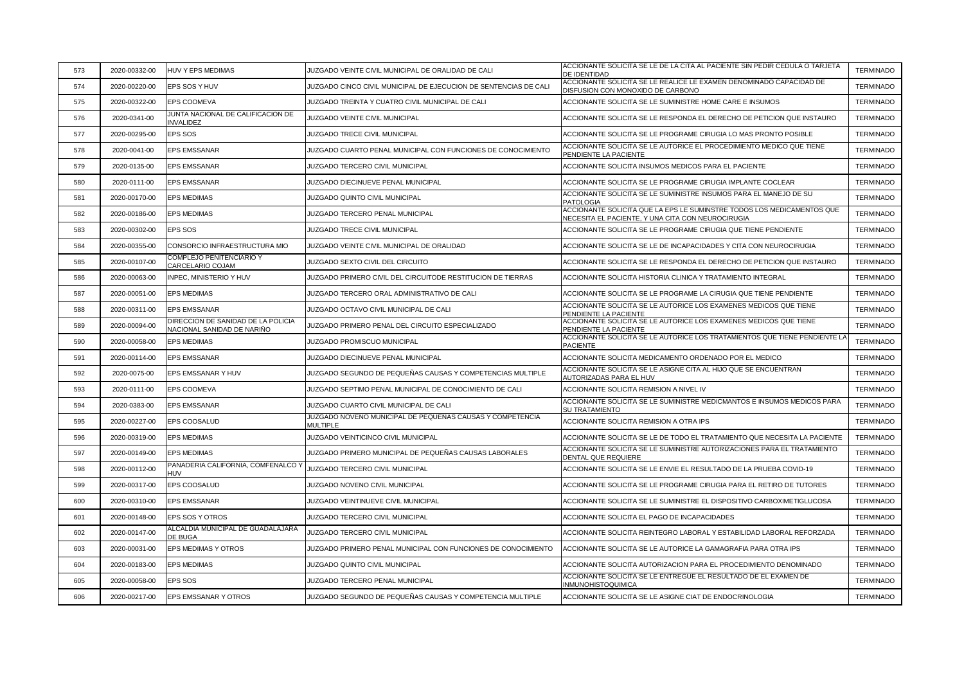| 573 | 2020-00332-00 | HUV Y EPS MEDIMAS                                                | JUZGADO VEINTE CIVIL MUNICIPAL DE ORALIDAD DE CALI                           | ACCIONANTE SOLICITA SE LE DE LA CITA AL PACIENTE SIN PEDIR CEDULA O TARJETA<br>DE IDENTIDAD                                 | <b>TERMINADO</b> |
|-----|---------------|------------------------------------------------------------------|------------------------------------------------------------------------------|-----------------------------------------------------------------------------------------------------------------------------|------------------|
| 574 | 2020-00220-00 | EPS SOS Y HUV                                                    | JUZGADO CINCO CIVIL MUNICIPAL DE EJECUCION DE SENTENCIAS DE CALI             | ACCIONANTE SOLICITA SE LE REALICE LE EXAMEN DENOMINADO CAPACIDAD DE<br>DISFUSION CON MONOXIDO DE CARBONO                    | <b>TERMINADO</b> |
| 575 | 2020-00322-00 | EPS COOMEVA                                                      | JUZGADO TREINTA Y CUATRO CIVIL MUNICIPAL DE CALI                             | ACCIONANTE SOLICITA SE LE SUMINISTRE HOME CARE E INSUMOS                                                                    | <b>TERMINADO</b> |
| 576 | 2020-0341-00  | JUNTA NACIONAL DE CALIFICACION DE<br><b>INVALIDEZ</b>            | JUZGADO VEINTE CIVIL MUNICIPAL                                               | ACCIONANTE SOLICITA SE LE RESPONDA EL DERECHO DE PETICION QUE INSTAURO                                                      | <b>TERMINADO</b> |
| 577 | 2020-00295-00 | EPS SOS                                                          | JUZGADO TRECE CIVIL MUNICIPAL                                                | ACCIONANTE SOLICITA SE LE PROGRAME CIRUGIA LO MAS PRONTO POSIBLE                                                            | <b>TERMINADO</b> |
| 578 | 2020-0041-00  | <b>EPS EMSSANAR</b>                                              | JUZGADO CUARTO PENAL MUNICIPAL CON FUNCIONES DE CONOCIMIENTO                 | ACCIONANTE SOLICITA SE LE AUTORICE EL PROCEDIMIENTO MEDICO QUE TIENE<br>PENDIENTE LA PACIENTE                               | <b>TERMINADO</b> |
| 579 | 2020-0135-00  | <b>EPS EMSSANAR</b>                                              | JUZGADO TERCERO CIVIL MUNICIPAL                                              | ACCIONANTE SOLICITA INSUMOS MEDICOS PARA EL PACIENTE                                                                        | <b>TERMINADO</b> |
| 580 | 2020-0111-00  | EPS EMSSANAR                                                     | JUZGADO DIECINUEVE PENAL MUNICIPAL                                           | ACCIONANTE SOLICITA SE LE PROGRAME CIRUGIA IMPLANTE COCLEAR                                                                 | <b>TERMINADO</b> |
| 581 | 2020-00170-00 | <b>EPS MEDIMAS</b>                                               | JUZGADO QUINTO CIVIL MUNICIPAL                                               | ACCIONANTE SOLICITA SE LE SUMINISTRE INSUMOS PARA EL MANEJO DE SU<br><b>PATOLOGIA</b>                                       | <b>TERMINADO</b> |
| 582 | 2020-00186-00 | <b>EPS MEDIMAS</b>                                               | JUZGADO TERCERO PENAL MUNICIPAL                                              | ACCIONANTE SOLICITA QUE LA EPS LE SUMINSTRE TODOS LOS MEDICAMENTOS QUE<br>NECESITA EL PACIENTE, Y UNA CITA CON NEUROCIRUGIA | <b>TERMINADO</b> |
| 583 | 2020-00302-00 | EPS SOS                                                          | JUZGADO TRECE CIVIL MUNICIPAL                                                | ACCIONANTE SOLICITA SE LE PROGRAME CIRUGIA QUE TIENE PENDIENTE                                                              | <b>TERMINADO</b> |
| 584 | 2020-00355-00 | CONSORCIO INFRAESTRUCTURA MIO                                    | JUZGADO VEINTE CIVIL MUNICIPAL DE ORALIDAD                                   | ACCIONANTE SOLICITA SE LE DE INCAPACIDADES Y CITA CON NEUROCIRUGIA                                                          | <b>TERMINADO</b> |
| 585 | 2020-00107-00 | COMPLEJO PENITENCIARIO Y<br>CARCELARIO COJAM                     | JUZGADO SEXTO CIVIL DEL CIRCUITO                                             | ACCIONANTE SOLICITA SE LE RESPONDA EL DERECHO DE PETICION QUE INSTAURO                                                      | <b>TERMINADO</b> |
| 586 | 2020-00063-00 | INPEC, MINISTERIO Y HUV                                          | JUZGADO PRIMERO CIVIL DEL CIRCUITODE RESTITUCION DE TIERRAS                  | ACCIONANTE SOLICITA HISTORIA CLINICA Y TRATAMIENTO INTEGRAL                                                                 | <b>TERMINADO</b> |
| 587 | 2020-00051-00 | <b>EPS MEDIMAS</b>                                               | JUZGADO TERCERO ORAL ADMINISTRATIVO DE CALI                                  | ACCIONANTE SOLICITA SE LE PROGRAME LA CIRUGIA QUE TIENE PENDIENTE                                                           | <b>TERMINADO</b> |
| 588 | 2020-00311-00 | <b>EPS EMSSANAR</b>                                              | JUZGADO OCTAVO CIVIL MUNICIPAL DE CALI                                       | ACCIONANTE SOLICITA SE LE AUTORICE LOS EXAMENES MEDICOS QUE TIENE<br>PENDIENTE LA PACIENTE                                  | <b>TERMINADO</b> |
| 589 | 2020-00094-00 | DIRECCION DE SANIDAD DE LA POLICIA<br>NACIONAL SANIDAD DE NARIÑO | JUZGADO PRIMERO PENAL DEL CIRCUITO ESPECIALIZADO                             | ACCIONANTE SOLICITA SE LE AUTORICE LOS EXAMENES MEDICOS QUE TIENE<br>PENDIENTE LA PACIENTE                                  | <b>TERMINADO</b> |
| 590 | 2020-00058-00 | <b>EPS MEDIMAS</b>                                               | JUZGADO PROMISCUO MUNICIPAL                                                  | ACCIONANTE SOLICITA SE LE AUTORICE LOS TRATAMIENTOS QUE TIENE PENDIENTE LA<br><b>PACIENTE</b>                               | <b>TERMINADO</b> |
| 591 | 2020-00114-00 | <b>EPS EMSSANAR</b>                                              | JUZGADO DIECINUEVE PENAL MUNICIPAL                                           | ACCIONANTE SOLICITA MEDICAMENTO ORDENADO POR EL MEDICO                                                                      | <b>TERMINADO</b> |
| 592 | 2020-0075-00  | EPS EMSSANAR Y HUV                                               | JUZGADO SEGUNDO DE PEQUEÑAS CAUSAS Y COMPETENCIAS MULTIPLE                   | ACCIONANTE SOLICITA SE LE ASIGNE CITA AL HIJO QUE SE ENCUENTRAN<br>AUTORIZADAS PARA EL HUV                                  | <b>TERMINADO</b> |
| 593 | 2020-0111-00  | EPS COOMEVA                                                      | JUZGADO SEPTIMO PENAL MUNICIPAL DE CONOCIMIENTO DE CALI                      | ACCIONANTE SOLICITA REMISION A NIVEL IV                                                                                     | <b>TERMINADO</b> |
| 594 | 2020-0383-00  | <b>EPS EMSSANAR</b>                                              | JUZGADO CUARTO CIVIL MUNICIPAL DE CALI                                       | ACCIONANTE SOLICITA SE LE SUMINISTRE MEDICMANTOS E INSUMOS MEDICOS PARA<br><b>SU TRATAMIENTO</b>                            | <b>TERMINADO</b> |
| 595 | 2020-00227-00 | EPS COOSALUD                                                     | JUZGADO NOVENO MUNICIPAL DE PEQUEÑAS CAUSAS Y COMPETENCIA<br><b>MULTIPLE</b> | ACCIONANTE SOLICITA REMISION A OTRA IPS                                                                                     | <b>TERMINADO</b> |
| 596 | 2020-00319-00 | <b>EPS MEDIMAS</b>                                               | <b>JUZGADO VEINTICINCO CIVIL MUNICIPAL</b>                                   | ACCIONANTE SOLICITA SE LE DE TODO EL TRATAMIENTO QUE NECESITA LA PACIENTE                                                   | <b>TERMINADO</b> |
| 597 | 2020-00149-00 | <b>EPS MEDIMAS</b>                                               | JUZGADO PRIMERO MUNICIPAL DE PEQUEÑAS CAUSAS LABORALES                       | ACCIONANTE SOLICITA SE LE SUMINISTRE AUTORIZACIONES PARA EL TRATAMIENTO<br>DENTAL QUE REQUIERE                              | <b>TERMINADO</b> |
| 598 | 2020-00112-00 | PANADERIA CALIFORNIA, COMFENALCO Y<br>HUV                        | JUZGADO TERCERO CIVIL MUNICIPAL                                              | ACCIONANTE SOLICITA SE LE ENVIE EL RESULTADO DE LA PRUEBA COVID-19                                                          | <b>TERMINADO</b> |
| 599 | 2020-00317-00 | EPS COOSALUD                                                     | JUZGADO NOVENO CIVIL MUNICIPAL                                               | ACCIONANTE SOLICITA SE LE PROGRAME CIRUGIA PARA EL RETIRO DE TUTORES                                                        | <b>TERMINADO</b> |
| 600 | 2020-00310-00 | EPS EMSSANAR                                                     | JUZGADO VEINTINUEVE CIVIL MUNICIPAL                                          | ACCIONANTE SOLICITA SE LE SUMINISTRE EL DISPOSITIVO CARBOXIMETIGLUCOSA                                                      | <b>TERMINADO</b> |
| 601 | 2020-00148-00 | EPS SOS Y OTROS                                                  | JUZGADO TERCERO CIVIL MUNICIPAL                                              | ACCIONANTE SOLICITA EL PAGO DE INCAPACIDADES                                                                                | <b>TERMINADO</b> |
| 602 | 2020-00147-00 | ALCALDIA MUNICIPAL DE GUADALAJARA<br>DE BUGA                     | <b>JUZGADO TERCERO CIVIL MUNICIPAL</b>                                       | ACCIONANTE SOLICITA REINTEGRO LABORAL Y ESTABILIDAD LABORAL REFORZADA                                                       | <b>TERMINADO</b> |
| 603 | 2020-00031-00 | EPS MEDIMAS Y OTROS                                              | JUZGADO PRIMERO PENAL MUNICIPAL CON FUNCIONES DE CONOCIMIENTO                | ACCIONANTE SOLICITA SE LE AUTORICE LA GAMAGRAFIA PARA OTRA IPS                                                              | <b>TERMINADO</b> |
| 604 | 2020-00183-00 | <b>EPS MEDIMAS</b>                                               | JUZGADO QUINTO CIVIL MUNICIPAL                                               | ACCIONANTE SOLICITA AUTORIZACION PARA EL PROCEDIMIENTO DENOMINADO                                                           | <b>TERMINADO</b> |
| 605 | 2020-00058-00 | EPS SOS                                                          | JUZGADO TERCERO PENAL MUNICIPAL                                              | ACCIONANTE SOLICITA SE LE ENTREGUE EL RESULTADO DE EL EXAMEN DE<br>INMUNOHISTOQUIMICA                                       | <b>TERMINADO</b> |
| 606 | 2020-00217-00 | EPS EMSSANAR Y OTROS                                             | JUZGADO SEGUNDO DE PEQUEÑAS CAUSAS Y COMPETENCIA MULTIPLE                    | ACCIONANTE SOLICITA SE LE ASIGNE CIAT DE ENDOCRINOLOGIA                                                                     | <b>TERMINADO</b> |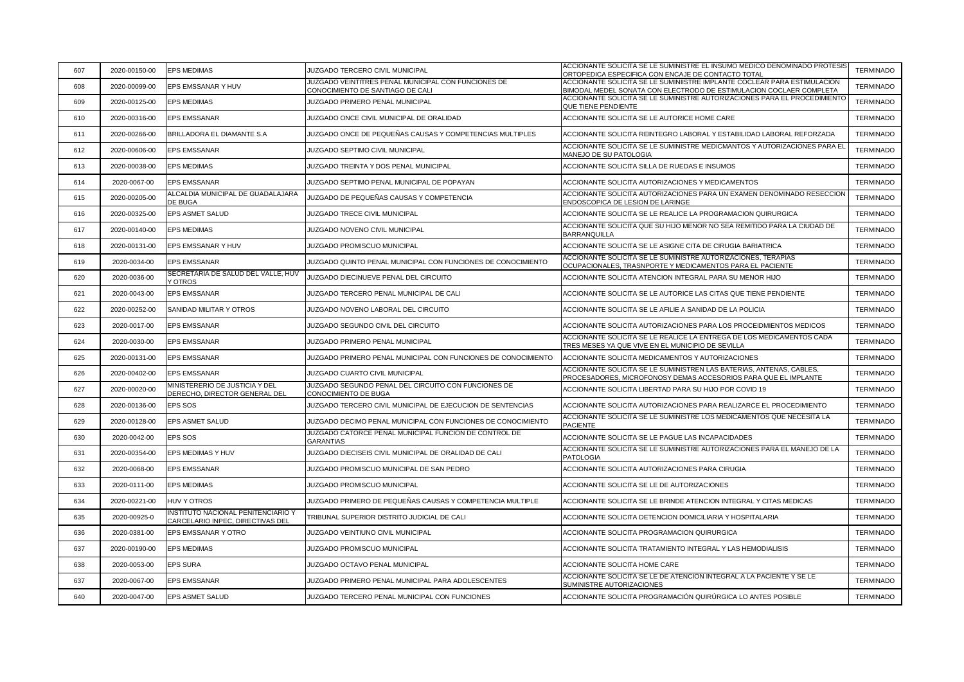| 607 | 2020-00150-00 | <b>EPS MEDIMAS</b>                                                     | JUZGADO TERCERO CIVIL MUNICIPAL                                                         | ACCIONANTE SOLICITA SE LE SUMINISTRE EL INSUMO MEDICO DENOMINADO PROTESIS<br>ORTOPEDICA ESPECIFICA CON ENCAJE DE CONTACTO TOTAL                        | <b>TERMINADO</b> |
|-----|---------------|------------------------------------------------------------------------|-----------------------------------------------------------------------------------------|--------------------------------------------------------------------------------------------------------------------------------------------------------|------------------|
| 608 | 2020-00099-00 | EPS EMSSANAR Y HUV                                                     | JUZGADO VEINTITRES PENAL MUNICIPAL CON FUNCIONES DE<br>CONOCIMIENTO DE SANTIAGO DE CALI | ACCIONANTE SOLICITA SE LE SUMINIISTRE IMPLANTE COCLEAR PARA ESTIMULACION<br><u>BIMODAL MEDEL SONATA CON ELECTRODO DE ESTIMULACION COCLAER COMPLETA</u> | <b>TERMINADO</b> |
| 609 | 2020-00125-00 | <b>EPS MEDIMAS</b>                                                     | JUZGADO PRIMERO PENAL MUNICIPAL                                                         | ACCIONANTE SOLICITA SE LE SUMINISTRE AUTORIZACIONES PARA EL PROCEDIMIENTO<br>QUE TIENE PENDIENTE                                                       | <b>TERMINADO</b> |
| 610 | 2020-00316-00 | <b>EPS EMSSANAR</b>                                                    | JUZGADO ONCE CIVIL MUNICIPAL DE ORALIDAD                                                | ACCIONANTE SOLICITA SE LE AUTORICE HOME CARE                                                                                                           | <b>TERMINADO</b> |
| 611 | 2020-00266-00 | BRILLADORA EL DIAMANTE S.A                                             | JUZGADO ONCE DE PEQUEÑAS CAUSAS Y COMPETENCIAS MULTIPLES                                | ACCIONANTE SOLICITA REINTEGRO LABORAL Y ESTABILIDAD LABORAL REFORZADA                                                                                  | <b>TERMINADO</b> |
| 612 | 2020-00606-00 | <b>EPS EMSSANAR</b>                                                    | JUZGADO SEPTIMO CIVIL MUNICIPAL                                                         | ACCIONANTE SOLICITA SE LE SUMINISTRE MEDICMANTOS Y AUTORIZACIONES PARA EL<br>MANEJO DE SU PATOLOGIA                                                    | <b>TERMINADO</b> |
| 613 | 2020-00038-00 | <b>EPS MEDIMAS</b>                                                     | JUZGADO TREINTA Y DOS PENAL MUNICIPAL                                                   | ACCIONANTE SOLICITA SILLA DE RUEDAS E INSUMOS                                                                                                          | <b>TERMINADO</b> |
| 614 | 2020-0067-00  | <b>EPS EMSSANAR</b>                                                    | JUZGADO SEPTIMO PENAL MUNICIPAL DE POPAYAN                                              | ACCIONANTE SOLICITA AUTORIZACIONES Y MEDICAMENTOS                                                                                                      | <b>TERMINADO</b> |
| 615 | 2020-00205-00 | ALCALDIA MUNICIPAL DE GUADALAJARA<br>DE BUGA                           | JUZGADO DE PEQUEÑAS CAUSAS Y COMPETENCIA                                                | ACCIONANTE SOLICITA AUTORIZACIONES PARA UN EXAMEN DENOMINADO RESECCION<br>ENDOSCOPICA DE LESION DE LARINGE                                             | <b>TERMINADO</b> |
| 616 | 2020-00325-00 | EPS ASMET SALUD                                                        | JUZGADO TRECE CIVIL MUNICIPAL                                                           | ACCIONANTE SOLICITA SE LE REALICE LA PROGRAMACION QUIRURGICA                                                                                           | <b>TERMINADO</b> |
| 617 | 2020-00140-00 | <b>EPS MEDIMAS</b>                                                     | JUZGADO NOVENO CIVIL MUNICIPAL                                                          | ACCIONANTE SOLICITA QUE SU HIJO MENOR NO SEA REMITIDO PARA LA CIUDAD DE<br>BARRANQUILLA                                                                | <b>TERMINADO</b> |
| 618 | 2020-00131-00 | EPS EMSSANAR Y HUV                                                     | JUZGADO PROMISCUO MUNICIPAL                                                             | ACCIONANTE SOLICITA SE LE ASIGNE CITA DE CIRUGIA BARIATRICA                                                                                            | <b>TERMINADO</b> |
| 619 | 2020-0034-00  | <b>EPS EMSSANAR</b>                                                    | JUZGADO QUINTO PENAL MUNICIPAL CON FUNCIONES DE CONOCIMIENTO                            | ACCIONANTE SOLICITA SE LE SUMINISTRE AUTORIZACIONES, TERAPIAS<br>OCUPACIONALES, TRASNPORTE Y MEDICAMENTOS PARA EL PACIENTE                             | <b>TERMINADO</b> |
| 620 | 2020-0036-00  | SECRETARIA DE SALUD DEL VALLE, HUV<br><b>Y OTROS</b>                   | JUZGADO DIECINUEVE PENAL DEL CIRCUITO                                                   | ACCIONANTE SOLICITA ATENCION INTEGRAL PARA SU MENOR HIJO                                                                                               | <b>TERMINADO</b> |
| 621 | 2020-0043-00  | <b>EPS EMSSANAR</b>                                                    | JUZGADO TERCERO PENAL MUNICIPAL DE CALI                                                 | ACCIONANTE SOLICITA SE LE AUTORICE LAS CITAS QUE TIENE PENDIENTE                                                                                       | <b>TERMINADO</b> |
| 622 | 2020-00252-00 | SANIDAD MILITAR Y OTROS                                                | JUZGADO NOVENO LABORAL DEL CIRCUITO                                                     | ACCIONANTE SOLICITA SE LE AFILIE A SANIDAD DE LA POLICIA                                                                                               | <b>TERMINADO</b> |
| 623 | 2020-0017-00  | <b>EPS EMSSANAR</b>                                                    | JUZGADO SEGUNDO CIVIL DEL CIRCUITO                                                      | ACCIONANTE SOLICITA AUTORIZACIONES PARA LOS PROCEIDMIENTOS MEDICOS                                                                                     | <b>TERMINADO</b> |
| 624 | 2020-0030-00  | <b>EPS EMSSANAR</b>                                                    | JUZGADO PRIMERO PENAL MUNICIPAL                                                         | ACCIONANTE SOLICITA SE LE REALICE LA ENTREGA DE LOS MEDICAMENTOS CADA<br>TRES MESES YA QUE VIVE EN EL MUNICIPIO DE SEVILLA                             | <b>TERMINADO</b> |
| 625 | 2020-00131-00 | <b>EPS EMSSANAR</b>                                                    | JUZGADO PRIMERO PENAL MUNICIPAL CON FUNCIONES DE CONOCIMIENTO                           | ACCIONANTE SOLICITA MEDICAMENTOS Y AUTORIZACIONES                                                                                                      | <b>TERMINADO</b> |
| 626 | 2020-00402-00 | <b>EPS EMSSANAR</b>                                                    | JUZGADO CUARTO CIVIL MUNICIPAL                                                          | ACCIONANTE SOLICITA SE LE SUMINISTREN LAS BATERIAS, ANTENAS, CABLES,<br>PROCESADORES, MICROFONOSY DEMAS ACCESORIOS PARA QUE EL IMPLANTE                | <b>TERMINADO</b> |
| 627 | 2020-00020-00 | MINISTERERIO DE JUSTICIA Y DEL<br>DERECHO, DIRECTOR GENERAL DEL        | JUZGADO SEGUNDO PENAL DEL CIRCUITO CON FUNCIONES DE<br>CONOCIMIENTO DE BUGA             | ACCIONANTE SOLICITA LIBERTAD PARA SU HIJO POR COVID 19                                                                                                 | <b>TERMINADO</b> |
| 628 | 2020-00136-00 | <b>EPS SOS</b>                                                         | JUZGADO TERCERO CIVIL MUNICIPAL DE EJECUCION DE SENTENCIAS                              | ACCIONANTE SOLICITA AUTORIZACIONES PARA REALIZARCE EL PROCEDIMIENTO                                                                                    | <b>TERMINADO</b> |
| 629 | 2020-00128-00 | <b>EPS ASMET SALUD</b>                                                 | JUZGADO DECIMO PENAL MUNICIPAL CON FUNCIONES DE CONOCIMIENTO                            | ACCIONANTE SOLICITA SE LE SUMINISTRE LOS MEDICAMENTOS QUE NECESITA LA<br><b>PACIENTE</b>                                                               | <b>TERMINADO</b> |
| 630 | 2020-0042-00  | EPS SOS                                                                | JUZGADO CATORCE PENAL MUNICIPAL FUNCION DE CONTROL DE<br><b>GARANTIAS</b>               | ACCIONANTE SOLICITA SE LE PAGUE LAS INCAPACIDADES                                                                                                      | <b>TERMINADO</b> |
| 631 | 2020-00354-00 | EPS MEDIMAS Y HUV                                                      | JUZGADO DIECISEIS CIVIL MUNICIPAL DE ORALIDAD DE CALI                                   | ACCIONANTE SOLICITA SE LE SUMINISTRE AUTORIZACIONES PARA EL MANEJO DE LA<br><b>PATOLOGIA</b>                                                           | <b>TERMINADO</b> |
| 632 | 2020-0068-00  | EPS EMSSANAR                                                           | JUZGADO PROMISCUO MUNICIPAL DE SAN PEDRO                                                | ACCIONANTE SOLICITA AUTORIZACIONES PARA CIRUGIA                                                                                                        | <b>TERMINADO</b> |
| 633 | 2020-0111-00  | <b>EPS MEDIMAS</b>                                                     | JUZGADO PROMISCUO MUNICIPAL                                                             | ACCIONANTE SOLICITA SE LE DE AUTORIZACIONES                                                                                                            | <b>TERMINADO</b> |
| 634 | 2020-00221-00 | <b>HUV Y OTROS</b>                                                     | JUZGADO PRIMERO DE PEQUEÑAS CAUSAS Y COMPETENCIA MULTIPLE                               | ACCIONANTE SOLICITA SE LE BRINDE ATENCION INTEGRAL Y CITAS MEDICAS                                                                                     | <b>TERMINADO</b> |
| 635 | 2020-00925-0  | INSTITUTO NACIONAL PENITENCIARIO Y<br>CARCELARIO INPEC, DIRECTIVAS DEL | TRIBUNAL SUPERIOR DISTRITO JUDICIAL DE CALI                                             | ACCIONANTE SOLICITA DETENCION DOMICILIARIA Y HOSPITALARIA                                                                                              | <b>TERMINADO</b> |
| 636 | 2020-0381-00  | EPS EMSSANAR Y OTRO                                                    | JUZGADO VEINTIUNO CIVIL MUNICIPAL                                                       | ACCIONANTE SOLICITA PROGRAMACION QUIRURGICA                                                                                                            | <b>TERMINADO</b> |
| 637 | 2020-00190-00 | <b>EPS MEDIMAS</b>                                                     | JUZGADO PROMISCUO MUNICIPAL                                                             | ACCIONANTE SOLICITA TRATAMIENTO INTEGRAL Y LAS HEMODIALISIS                                                                                            | <b>TERMINADO</b> |
| 638 | 2020-0053-00  | <b>EPS SURA</b>                                                        | JUZGADO OCTAVO PENAL MUNICIPAL                                                          | ACCIONANTE SOLICITA HOME CARE                                                                                                                          | <b>TERMINADO</b> |
| 637 | 2020-0067-00  | <b>EPS EMSSANAR</b>                                                    | JUZGADO PRIMERO PENAL MUNICIPAL PARA ADOLESCENTES                                       | ACCIONANTE SOLICITA SE LE DE ATENCION INTEGRAL A LA PACIENTE Y SE LE<br>SUMINISTRE AUTORIZACIONES                                                      | <b>TERMINADO</b> |
| 640 | 2020-0047-00  | <b>EPS ASMET SALUD</b>                                                 | JUZGADO TERCERO PENAL MUNICIPAL CON FUNCIONES                                           | ACCIONANTE SOLICITA PROGRAMACIÓN QUIRÚRGICA LO ANTES POSIBLE                                                                                           | <b>TERMINADO</b> |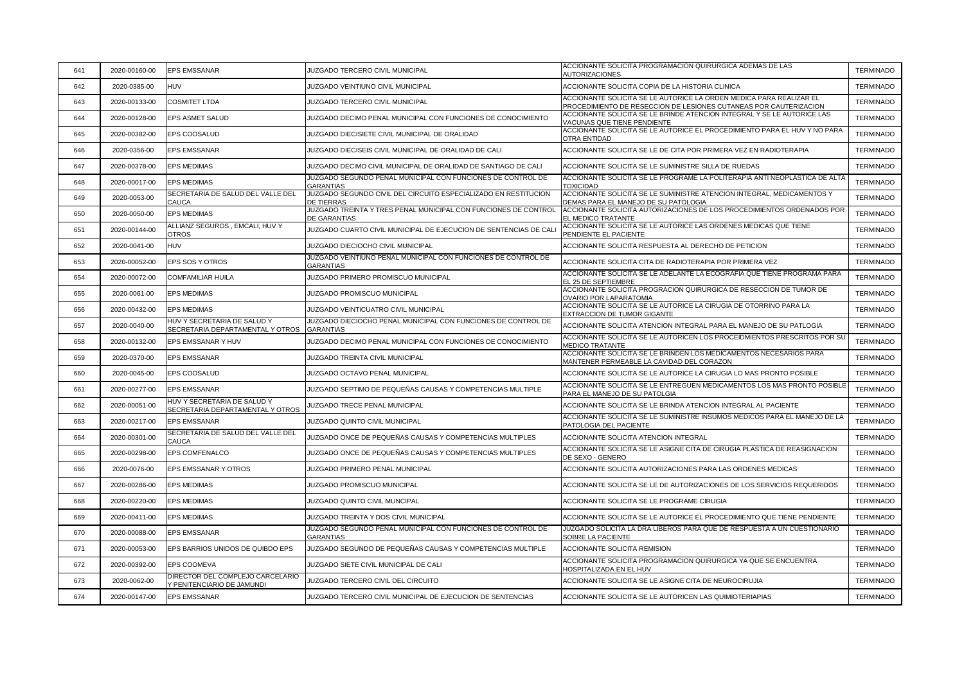| 641 | 2020-00160-00 | <b>EPS EMSSANAR</b>                                             | JUZGADO TERCERO CIVIL MUNICIPAL                                                        | ACCIONANTE SOLICITA PROGRAMACION QUIRURGICA ADEMAS DE LAS<br>AUTORIZACIONES                                                              | <b>TERMINADO</b> |
|-----|---------------|-----------------------------------------------------------------|----------------------------------------------------------------------------------------|------------------------------------------------------------------------------------------------------------------------------------------|------------------|
| 642 | 2020-0385-00  | <b>HUV</b>                                                      | JUZGADO VEINTIUNO CIVIL MUNICIPAL                                                      | ACCIONANTE SOLICITA COPIA DE LA HISTORIA CLINICA                                                                                         | <b>TERMINADO</b> |
| 643 | 2020-00133-00 | <b>COSMITET LTDA</b>                                            | JUZGADO TERCERO CIVIL MUNICIPAL                                                        | ACCIONANTE SOLICITA SE LE AUTORICE LA ORDEN MEDICA PARA REALIZAR EL<br>PROCEDIMIENTO DE RESECCION DE LESIONES CUTANEAS POR CAUTERIZACION | <b>TERMINADO</b> |
| 644 | 2020-00128-00 | EPS ASMET SALUD                                                 | JUZGADO DECIMO PENAL MUNICIPAL CON FUNCIONES DE CONOCIMIENTO                           | ACCIONANTE SOLICITA SE LE BRINDE ATENCION INTEGRAL Y SE LE AUTORICE LAS<br>VACUNAS QUE TIENE PENDIENTE                                   | <b>TERMINADO</b> |
| 645 | 2020-00382-00 | EPS COOSALUD                                                    | JUZGADO DIECISIETE CIVIL MUNICIPAL DE ORALIDAD                                         | ACCIONANTE SOLICITA SE LE AUTORICE EL PROCEDIMIENTO PARA EL HUV Y NO PARA<br><b>OTRA ENTIDAD</b>                                         | <b>TERMINADO</b> |
| 646 | 2020-0356-00  | EPS EMSSANAR                                                    | JUZGADO DIECISEIS CIVIL MUNICIPAL DE ORALIDAD DE CALI                                  | ACCIONANTE SOLICITA SE LE DE CITA POR PRIMERA VEZ EN RADIOTERAPIA                                                                        | <b>TERMINADO</b> |
| 647 | 2020-00378-00 | <b>EPS MEDIMAS</b>                                              | JUZGADO DECIMO CIVIL MUNICIPAL DE ORALIDAD DE SANTIAGO DE CALI                         | ACCIONANTE SOLICITA SE LE SUMINISTRE SILLA DE RUEDAS                                                                                     | <b>TERMINADO</b> |
| 648 | 2020-00017-00 | <b>EPS MEDIMAS</b>                                              | JUZGADO SEGUNDO PENAL MUNICIPAL CON FUNCIONES DE CONTROL DE<br><b>GARANTIAS</b>        | ACCIONANTE SOLICITA SE LE PROGRAME LA POLITERAPIA ANTI NEOPLASTICA DE ALTA<br><b>TOXICIDAD</b>                                           | <b>TERMINADO</b> |
| 649 | 2020-0053-00  | SECRETARIA DE SALUD DEL VALLE DEL<br>CAUCA                      | JUZGADO SEGUNDO CIVIL DEL CIRCUITO ESPECIALIZADO EN RESTITUCION<br><b>DE TIERRAS</b>   | ACCIONANTE SOLICITA SE LE SUMINISTRE ATENCION INTEGRAL, MEDICAMENTOS Y<br>DEMAS PARA EL MANEJO DE SU PATOLOGIA                           | <b>TERMINADO</b> |
| 650 | 2020-0050-00  | <b>EPS MEDIMAS</b>                                              | JUZGADO TREINTA Y TRES PENAL MUNICIPAL CON FUNCIONES DE CONTROL<br><b>DE GARANTIAS</b> | ACCIONANTE SOLICITA AUTORIZACIONES DE LOS PROCEDIMIENTOS ORDENADOS POR<br>EL MEDICO TRATANTE                                             | <b>TERMINADO</b> |
| 651 | 2020-00144-00 | ALLIANZ SEGUROS, EMCALI, HUV Y<br><b>OTROS</b>                  | JUZGADO CUARTO CIVIL MUNICIPAL DE EJECUCION DE SENTENCIAS DE CALI                      | ACCIONANTE SOLICITA SE LE AUTORICE LAS ORDENES MEDICAS QUE TIENE<br>PENDIENTE EL PACIENTE                                                | <b>TERMINADO</b> |
| 652 | 2020-0041-00  | <b>HUV</b>                                                      | JUZGADO DIECIOCHO CIVIL MUNICIPAL                                                      | ACCIONANTE SOLICITA RESPUESTA AL DERECHO DE PETICION                                                                                     | <b>TERMINADO</b> |
| 653 | 2020-00052-00 | EPS SOS Y OTROS                                                 | JUZGADO VEINTIUNO PENAL MUNICIPAL CON FUNCIONES DE CONTROL DE<br><b>GARANTIAS</b>      | ACCIONANTE SOLICITA CITA DE RADIOTERAPIA POR PRIMERA VEZ                                                                                 | <b>TERMINADO</b> |
| 654 | 2020-00072-00 | <b>COMFAMILIAR HUILA</b>                                        | JUZGADO PRIMERO PROMISCUO MUNICIPAL                                                    | ACCIONANTE SOLICITA SE LE ADELANTE LA ECOGRAFIA QUE TIENE PROGRAMA PARA<br>EL 25 DE SEPTIEMBRE                                           | <b>TERMINADO</b> |
| 655 | 2020-0061-00  | <b>EPS MEDIMAS</b>                                              | JUZGADO PROMISCUO MUNICIPAL                                                            | ACCIONANTE SOLICITA PROGRACION QUIRURGICA DE RESECCION DE TUMOR DE<br><b>OVARIO POR LAPARATOMIA</b>                                      | <b>TERMINADO</b> |
| 656 | 2020-00432-00 | <b>EPS MEDIMAS</b>                                              | JUZGADO VEINTICUATRO CIVIL MUNICIPAL                                                   | ACCIONANTE SOLICITA SE LE AUTORICE LA CIRUGIA DE OTORRINO PARA LA<br>EXTRACCION DE TUMOR GIGANTE                                         | <b>TERMINADO</b> |
| 657 | 2020-0040-00  | HUV Y SECRETARIA DE SALUD Y<br>SECRETARIA DEPARTAMENTAL Y OTROS | JUZGADO DIECIOCHO PENAL MUNICIPAL CON FUNCIONES DE CONTROL DE<br><b>GARANTIAS</b>      | ACCIONANTE SOLICITA ATENCION INTEGRAL PARA EL MANEJO DE SU PATLOGIA                                                                      | <b>TERMINADO</b> |
| 658 | 2020-00132-00 | EPS EMSSANAR Y HUV                                              | JUZGADO DECIMO PENAL MUNICIPAL CON FUNCIONES DE CONOCIMIENTO                           | ACCIONANTE SOLICITA SE LE AUTORICEN LOS PROCEIDMIENTOS PRESCRITOS POR SU<br><b>MEDICO TRATANTE</b>                                       | <b>TERMINADO</b> |
| 659 | 2020-0370-00  | <b>EPS EMSSANAR</b>                                             | JUZGADO TREINTA CIVIL MUNICIPAL                                                        | ACCIONANTE SOLICITA SE LE BRINDEN LOS MEDICAMENTOS NECESARIOS PARA<br>MANTENER PERMEABLE LA CAVIDAD DEL CORAZON                          | <b>TERMINADO</b> |
| 660 | 2020-0045-00  | EPS COOSALUD                                                    | JUZGADO OCTAVO PENAL MUNICIPAL                                                         | ACCIONANTE SOLICITA SE LE AUTORICE LA CIRUGIA LO MAS PRONTO POSIBLE                                                                      | <b>TERMINADO</b> |
| 661 | 2020-00277-00 | <b>EPS EMSSANAR</b>                                             | JUZGADO SEPTIMO DE PEQUEÑAS CAUSAS Y COMPETENCIAS MULTIPLE                             | ACCIONANTE SOLICITA SE LE ENTREGUEN MEDICAMENTOS LOS MAS PRONTO POSIBLE<br>PARA EL MANEJO DE SU PATOLGIA                                 | <b>TERMINADO</b> |
| 662 | 2020-00051-00 | HUV Y SECRETARIA DE SALUD Y<br>SECRETARIA DEPARTAMENTAL Y OTROS | JUZGADO TRECE PENAL MUNICIPAL                                                          | ACCIONANTE SOLICITA SE LE BRINDA ATENCION INTEGRAL AL PACIENTE                                                                           | <b>TERMINADO</b> |
| 663 | 2020-00217-00 | EPS EMSSANAR                                                    | JUZGADO QUINTO CIVIL MUNICIPAL                                                         | ACCIONANTE SOLICITA SE LE SUMINISTRE INSUMOS MEDICOS PARA EL MANEJO DE LA<br>PATOLOGIA DEL PACIENTE                                      | <b>TERMINADO</b> |
| 664 | 2020-00301-00 | SECRETARIA DE SALUD DEL VALLE DEL<br>CAUCA                      | JUZGADO ONCE DE PEQUEÑAS CAUSAS Y COMPETENCIAS MULTIPLES                               | ACCIONANTE SOLICITA ATENCION INTEGRAL                                                                                                    | <b>TERMINADO</b> |
| 665 | 2020-00298-00 | EPS COMFENALCO                                                  | JUZGADO ONCE DE PEQUEÑAS CAUSAS Y COMPETENCIAS MULTIPLES                               | ACCIONANTE SOLICITA SE LE ASIGNE CITA DE CIRUGIA PLASTICA DE REASIGNACION<br>DE SEXO - GENERO                                            | <b>TERMINADO</b> |
| 666 | 2020-0076-00  | EPS EMSSANAR Y OTROS                                            | JUZGADO PRIMERO PENAL MUNICIPAL                                                        | ACCIONANTE SOLICITA AUTORIZACIONES PARA LAS ORDENES MEDICAS                                                                              | <b>TERMINADO</b> |
| 667 | 2020-00286-00 | <b>EPS MEDIMAS</b>                                              | JUZGADO PROMISCUO MUNICIPAL                                                            | ACCIONANTE SOLICITA SE LE DE AUTORIZACIONES DE LOS SERVICIOS REQUERIDOS                                                                  | <b>TERMINADO</b> |
| 668 | 2020-00220-00 | <b>EPS MEDIMAS</b>                                              | JUZGADO QUINTO CIVIL MUNCIPAL                                                          | ACCIONANTE SOLICITA SE LE PROGRAME CIRUGIA                                                                                               | <b>TERMINADO</b> |
| 669 | 2020-00411-00 | <b>EPS MEDIMAS</b>                                              | JUZGADO TREINTA Y DOS CIVIL MUNICIPAL                                                  | ACCIONANTE SOLICITA SE LE AUTORICE EL PROCEDIMIENTO QUE TIENE PENDIENTE                                                                  | <b>TERMINADO</b> |
| 670 | 2020-00088-00 | <b>EPS EMSSANAR</b>                                             | JUZGADO SEGUNDO PENAL MUNICIPAL CON FUNCIONES DE CONTROL DE<br><b>GARANTIAS</b>        | JUZGADO SOLICITA LA DRA LIBEROS PARA QUE DE RESPUESTA A UN CUESTIONARIO<br>SOBRE LA PACIENTE                                             | <b>TERMINADO</b> |
| 671 | 2020-00053-00 | EPS BARRIOS UNIDOS DE QUIBDO EPS                                | JUZGADO SEGUNDO DE PEQUEÑAS CAUSAS Y COMPETENCIAS MULTIPLE                             | ACCIONANTE SOLICITA REMISION                                                                                                             | <b>TERMINADO</b> |
| 672 | 2020-00392-00 | EPS COOMEVA                                                     | JUZGADO SIETE CIVIL MUNICIPAL DE CALI                                                  | ACCIONANTE SOLICITA PROGRAMACION QUIRURGICA YA QUE SE ENCUENTRA<br>HOSPITALIZADA EN EL HUV                                               | <b>TERMINADO</b> |
| 673 | 2020-0062-00  | DIRECTOR DEL COMPLEJO CARCELARIO<br>Y PENITENCIARIO DE JAMUNDI  | JUZGADO TERCERO CIVIL DEL CIRCUITO                                                     | ACCIONANTE SOLICITA SE LE ASIGNE CITA DE NEUROCIRUJIA                                                                                    | <b>TERMINADO</b> |
| 674 | 2020-00147-00 | <b>EPS EMSSANAR</b>                                             | JUZGADO TERCERO CIVIL MUNICIPAL DE EJECUCION DE SENTENCIAS                             | ACCIONANTE SOLICITA SE LE AUTORICEN LAS QUIMIOTERIAPIAS                                                                                  | <b>TERMINADO</b> |